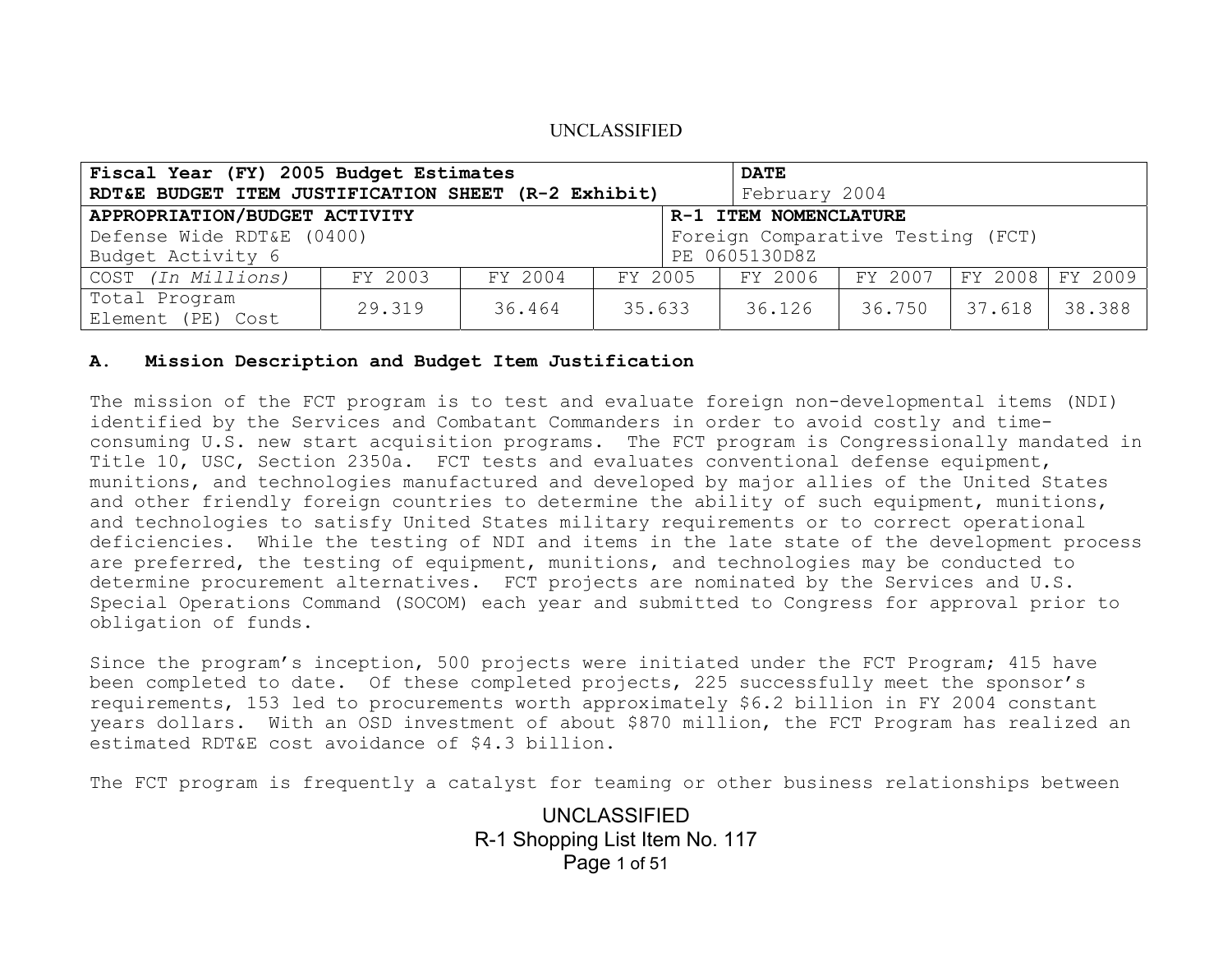| Fiscal Year (FY) 2005 Budget Estimates                 |         |         |        |                                   | <b>DATE</b>   |         |                   |        |
|--------------------------------------------------------|---------|---------|--------|-----------------------------------|---------------|---------|-------------------|--------|
| RDT&E BUDGET ITEM JUSTIFICATION SHEET (R-2 Exhibit)    |         |         |        |                                   | February 2004 |         |                   |        |
| APPROPRIATION/BUDGET ACTIVITY<br>R-1 ITEM NOMENCLATURE |         |         |        |                                   |               |         |                   |        |
| Defense Wide RDT&E (0400)                              |         |         |        | Foreign Comparative Testing (FCT) |               |         |                   |        |
| Budget Activity 6                                      |         |         |        | PE 0605130D8Z                     |               |         |                   |        |
| COST (In Millions)                                     | FY 2003 | FY 2004 |        | FY 2005                           | FY 2006       | FY 2007 | FY 2008   FY 2009 |        |
| Total Program<br>Element (PE) Cost                     | 29.319  | 36.464  | 35.633 |                                   | 36.126        | 36.750  | 37.618            | 38.388 |

#### **A. Mission Description and Budget Item Justification**

The mission of the FCT program is to test and evaluate foreign non-developmental items (NDI) identified by the Services and Combatant Commanders in order to avoid costly and timeconsuming U.S. new start acquisition programs. The FCT program is Congressionally mandated in Title 10, USC, Section 2350a. FCT tests and evaluates conventional defense equipment, munitions, and technologies manufactured and developed by major allies of the United States and other friendly foreign countries to determine the ability of such equipment, munitions, and technologies to satisfy United States military requirements or to correct operational deficiencies. While the testing of NDI and items in the late state of the development process are preferred, the testing of equipment, munitions, and technologies may be conducted to determine procurement alternatives. FCT projects are nominated by the Services and U.S. Special Operations Command (SOCOM) each year and submitted to Congress for approval prior to obligation of funds.

Since the program's inception, 500 projects were initiated under the FCT Program; 415 have been completed to date. Of these completed projects, 225 successfully meet the sponsor's requirements, 153 led to procurements worth approximately \$6.2 billion in FY 2004 constant years dollars. With an OSD investment of about \$870 million, the FCT Program has realized an estimated RDT&E cost avoidance of \$4.3 billion.

The FCT program is frequently a catalyst for teaming or other business relationships between

UNCLASSIFIED R-1 Shopping List Item No. 117 Page 1 of 51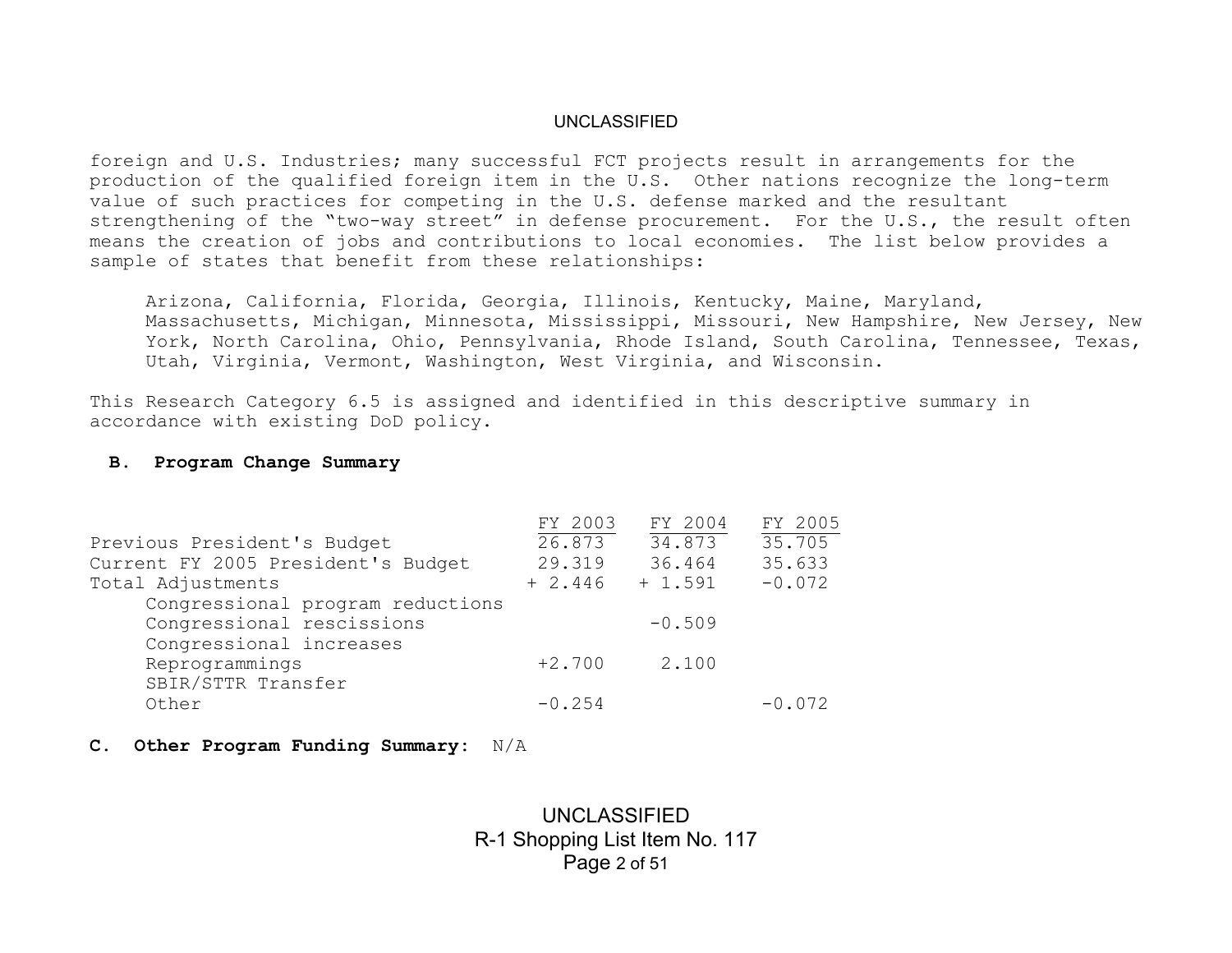foreign and U.S. Industries; many successful FCT projects result in arrangements for the production of the qualified foreign item in the U.S. Other nations recognize the long-term value of such practices for competing in the U.S. defense marked and the resultant strengthening of the "two-way street" in defense procurement. For the U.S., the result often means the creation of jobs and contributions to local economies. The list below provides a sample of states that benefit from these relationships:

Arizona, California, Florida, Georgia, Illinois, Kentucky, Maine, Maryland, Massachusetts, Michigan, Minnesota, Mississippi, Missouri, New Hampshire, New Jersey, New York, North Carolina, Ohio, Pennsylvania, Rhode Island, South Carolina, Tennessee, Texas, Utah, Virginia, Vermont, Washington, West Virginia, and Wisconsin.

This Research Category 6.5 is assigned and identified in this descriptive summary in accordance with existing DoD policy.

#### **B. Program Change Summary**

|                                    | FY 2003  | FY 2004   | FY 2005  |
|------------------------------------|----------|-----------|----------|
| Previous President's Budget        | 26.873   | 34.873    | 35.705   |
| Current FY 2005 President's Budget | 29.319   | 36.464    | 35.633   |
| Total Adjustments                  | $+2.446$ | $+ 1.591$ | $-0.072$ |
| Congressional program reductions   |          |           |          |
| Congressional rescissions          |          | $-0.509$  |          |
| Congressional increases            |          |           |          |
| Reprogrammings                     | $+2.700$ | 2.100     |          |
| SBIR/STTR Transfer                 |          |           |          |
| Other                              | $-0.254$ |           | $-0.072$ |

**C. Other Program Funding Summary:** N/A

# UNCLASSIFIED R-1 Shopping List Item No. 117 Page 2 of 51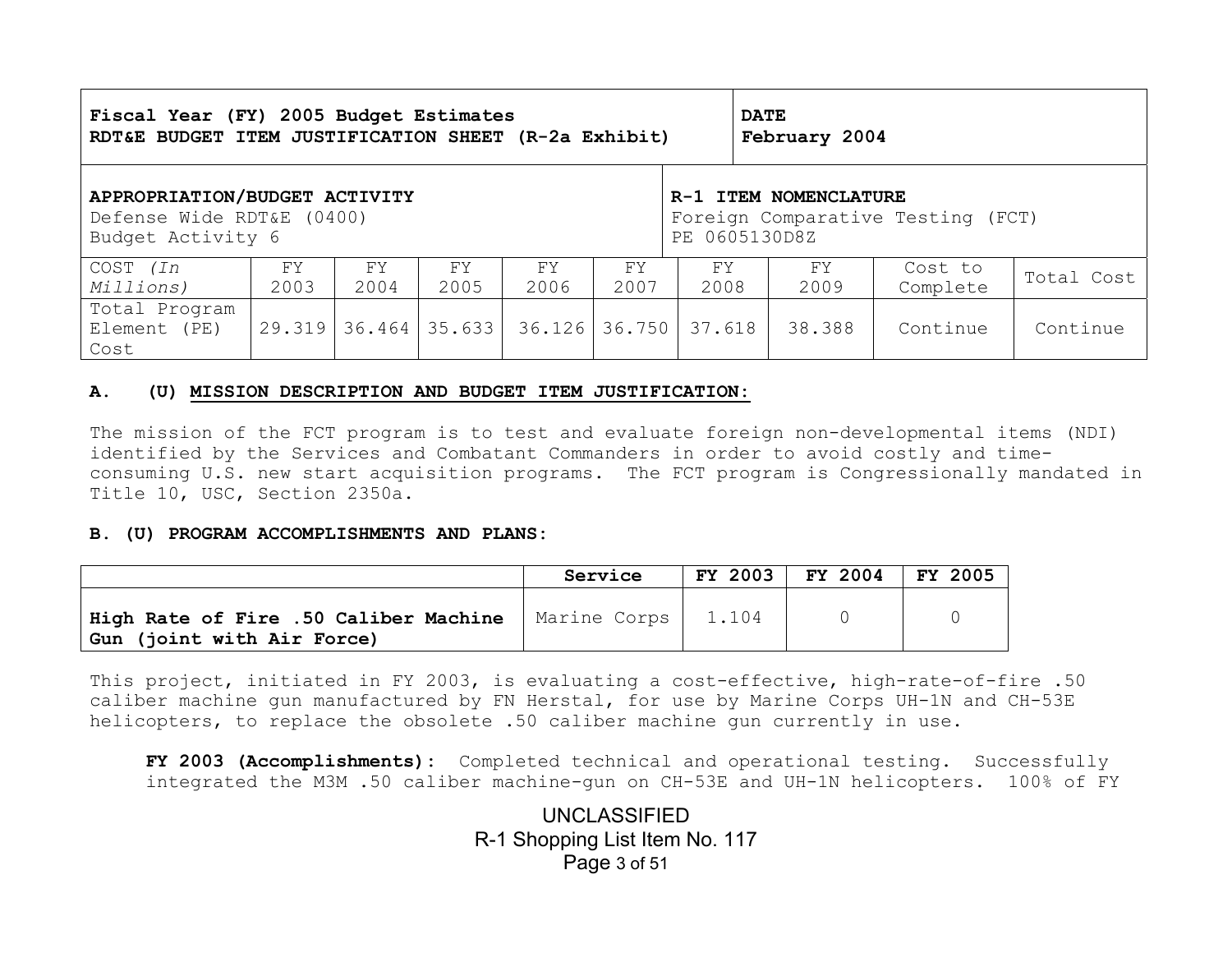| Fiscal Year (FY) 2005 Budget Estimates<br>RDT&E BUDGET ITEM JUSTIFICATION SHEET (R-2a Exhibit) |        |      |                   |                                   | <b>DATE</b><br>February 2004 |        |        |          |            |
|------------------------------------------------------------------------------------------------|--------|------|-------------------|-----------------------------------|------------------------------|--------|--------|----------|------------|
| APPROPRIATION/BUDGET ACTIVITY                                                                  |        |      |                   | R-1 ITEM NOMENCLATURE             |                              |        |        |          |            |
| Defense Wide RDT&E (0400)                                                                      |        |      |                   | Foreign Comparative Testing (FCT) |                              |        |        |          |            |
| Budget Activity 6                                                                              |        |      |                   | PE 0605130D8Z                     |                              |        |        |          |            |
| COST (In                                                                                       | FY     | FY.  | FY.               | FY                                | FY.                          | FY     | FY.    | Cost to  | Total Cost |
| Millions)                                                                                      | 2003   | 2004 | 2005              | 2006                              | 2007                         | 2008   | 2009   | Complete |            |
| Total Program<br>Element (PE)<br>Cost                                                          | 29.319 |      | $36.464$   35.633 | 36.126 36.750                     |                              | 37.618 | 38.388 | Continue | Continue   |

#### **A. (U) MISSION DESCRIPTION AND BUDGET ITEM JUSTIFICATION:**

The mission of the FCT program is to test and evaluate foreign non-developmental items (NDI) identified by the Services and Combatant Commanders in order to avoid costly and timeconsuming U.S. new start acquisition programs. The FCT program is Congressionally mandated in Title 10, USC, Section 2350a.

#### **B. (U) PROGRAM ACCOMPLISHMENTS AND PLANS:**

|                                                                     | Service      | <b>FY 2003</b> | FY 2004 | FY 2005 |
|---------------------------------------------------------------------|--------------|----------------|---------|---------|
| High Rate of Fire .50 Caliber Machine<br>Gun (joint with Air Force) | Marine Corps | 1.104          |         |         |

This project, initiated in FY 2003, is evaluating a cost-effective, high-rate-of-fire .50 caliber machine gun manufactured by FN Herstal, for use by Marine Corps UH-1N and CH-53E helicopters, to replace the obsolete .50 caliber machine gun currently in use.

**FY 2003 (Accomplishments):** Completed technical and operational testing. Successfully integrated the M3M .50 caliber machine-gun on CH-53E and UH-1N helicopters. 100% of FY

> UNCLASSIFIED R-1 Shopping List Item No. 117 Page 3 of 51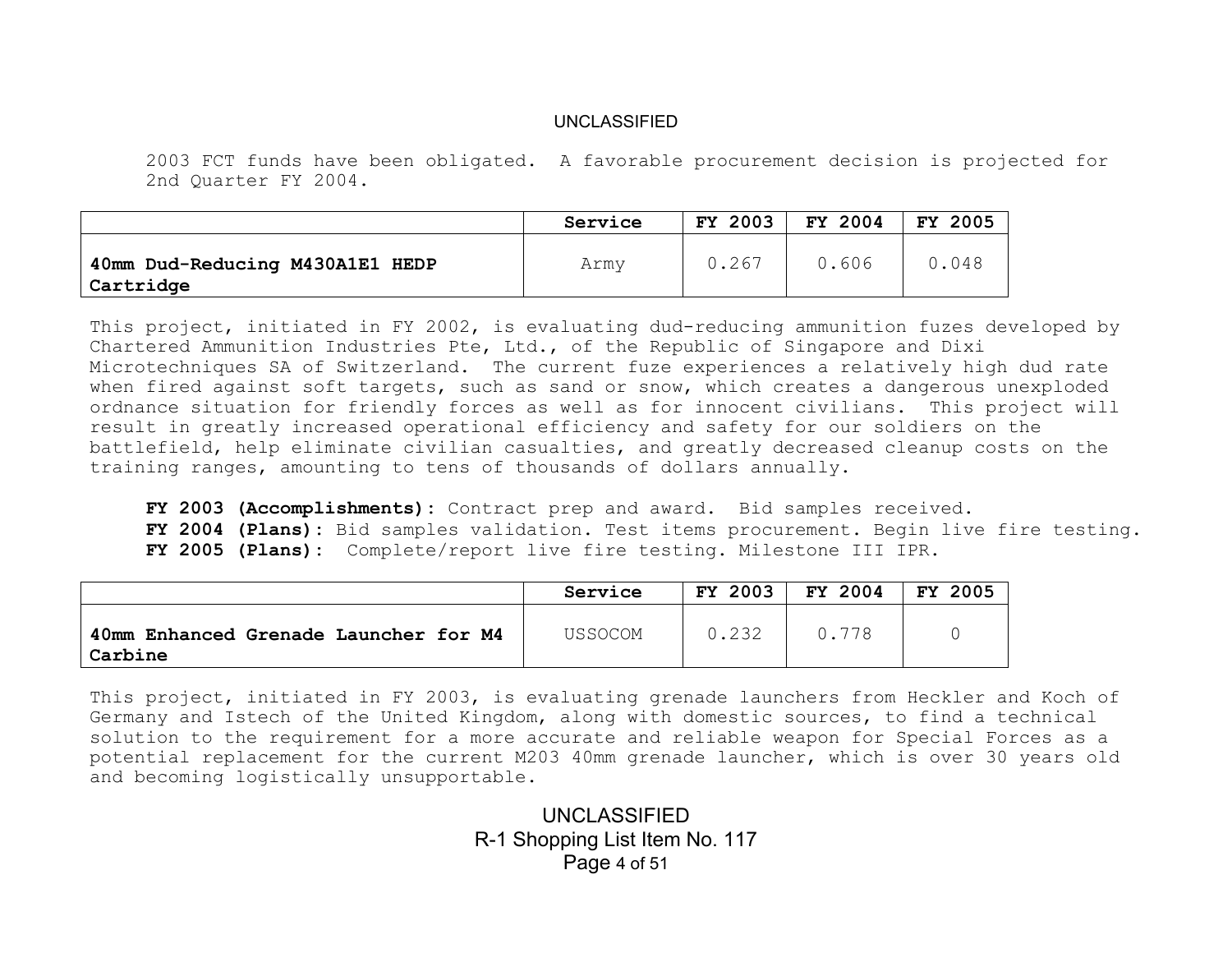2003 FCT funds have been obligated. A favorable procurement decision is projected for 2nd Quarter FY 2004.

|                                              | Service | <b>FY 2003</b> | FY 2004 | <b>FY 2005</b> |
|----------------------------------------------|---------|----------------|---------|----------------|
| 40mm Dud-Reducing M430A1E1 HEDP<br>Cartridge | Army    | 0.267          | 0.606   | 0.048          |

This project, initiated in FY 2002, is evaluating dud-reducing ammunition fuzes developed by Chartered Ammunition Industries Pte, Ltd., of the Republic of Singapore and Dixi Microtechniques SA of Switzerland. The current fuze experiences a relatively high dud rate when fired against soft targets, such as sand or snow, which creates a dangerous unexploded ordnance situation for friendly forces as well as for innocent civilians. This project will result in greatly increased operational efficiency and safety for our soldiers on the battlefield, help eliminate civilian casualties, and greatly decreased cleanup costs on the training ranges, amounting to tens of thousands of dollars annually.

**FY 2003 (Accomplishments):** Contract prep and award. Bid samples received. **FY 2004 (Plans):** Bid samples validation. Test items procurement. Begin live fire testing. **FY 2005 (Plans):** Complete/report live fire testing. Milestone III IPR.

|                                                  | Service | <b>FY 2003</b> | FY 2004 | 2005<br>FY. |
|--------------------------------------------------|---------|----------------|---------|-------------|
| 40mm Enhanced Grenade Launcher for M4<br>Carbine | USSOCOM | 0.232          | 0.778   |             |

This project, initiated in FY 2003, is evaluating grenade launchers from Heckler and Koch of Germany and Istech of the United Kingdom, along with domestic sources, to find a technical solution to the requirement for a more accurate and reliable weapon for Special Forces as a potential replacement for the current M203 40mm grenade launcher, which is over 30 years old and becoming logistically unsupportable.

> UNCLASSIFIED R-1 Shopping List Item No. 117 Page 4 of 51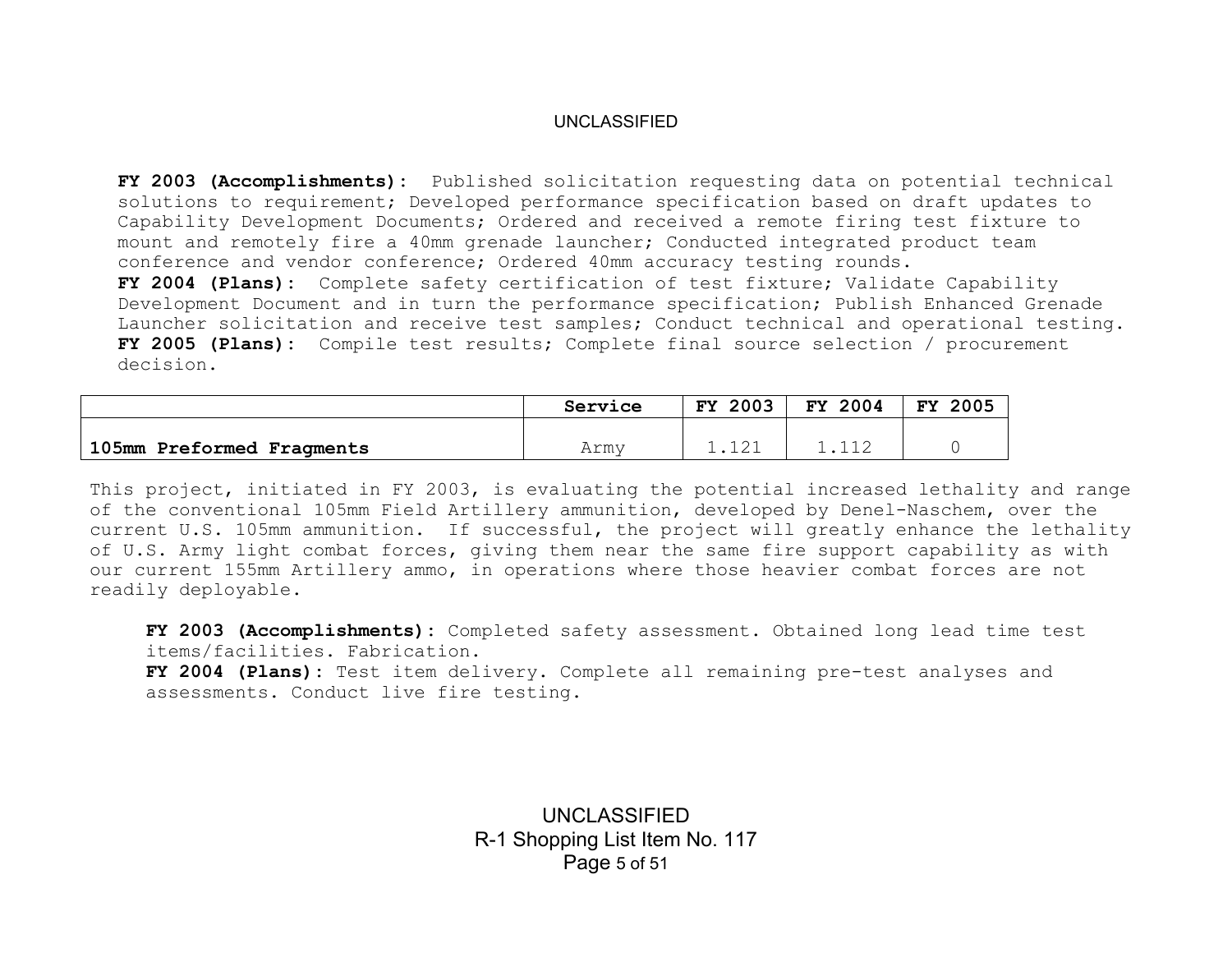**FY 2003 (Accomplishments):** Published solicitation requesting data on potential technical solutions to requirement; Developed performance specification based on draft updates to Capability Development Documents; Ordered and received a remote firing test fixture to mount and remotely fire a 40mm grenade launcher; Conducted integrated product team conference and vendor conference; Ordered 40mm accuracy testing rounds. **FY 2004 (Plans):** Complete safety certification of test fixture; Validate Capability Development Document and in turn the performance specification; Publish Enhanced Grenade Launcher solicitation and receive test samples; Conduct technical and operational testing. **FY 2005 (Plans):** Compile test results; Complete final source selection / procurement decision.

|                           | Service | 2003<br>FY. | FY 2004 | 2005<br><b>FY</b> |
|---------------------------|---------|-------------|---------|-------------------|
|                           |         |             |         |                   |
| 105mm Preformed Fragments | Arm,    |             |         |                   |

This project, initiated in FY 2003, is evaluating the potential increased lethality and range of the conventional 105mm Field Artillery ammunition, developed by Denel-Naschem, over the current U.S. 105mm ammunition. If successful, the project will greatly enhance the lethality of U.S. Army light combat forces, giving them near the same fire support capability as with our current 155mm Artillery ammo, in operations where those heavier combat forces are not readily deployable.

**FY 2003 (Accomplishments):** Completed safety assessment. Obtained long lead time test items/facilities. Fabrication.

**FY 2004 (Plans):** Test item delivery. Complete all remaining pre-test analyses and assessments. Conduct live fire testing.

> UNCLASSIFIED R-1 Shopping List Item No. 117 Page 5 of 51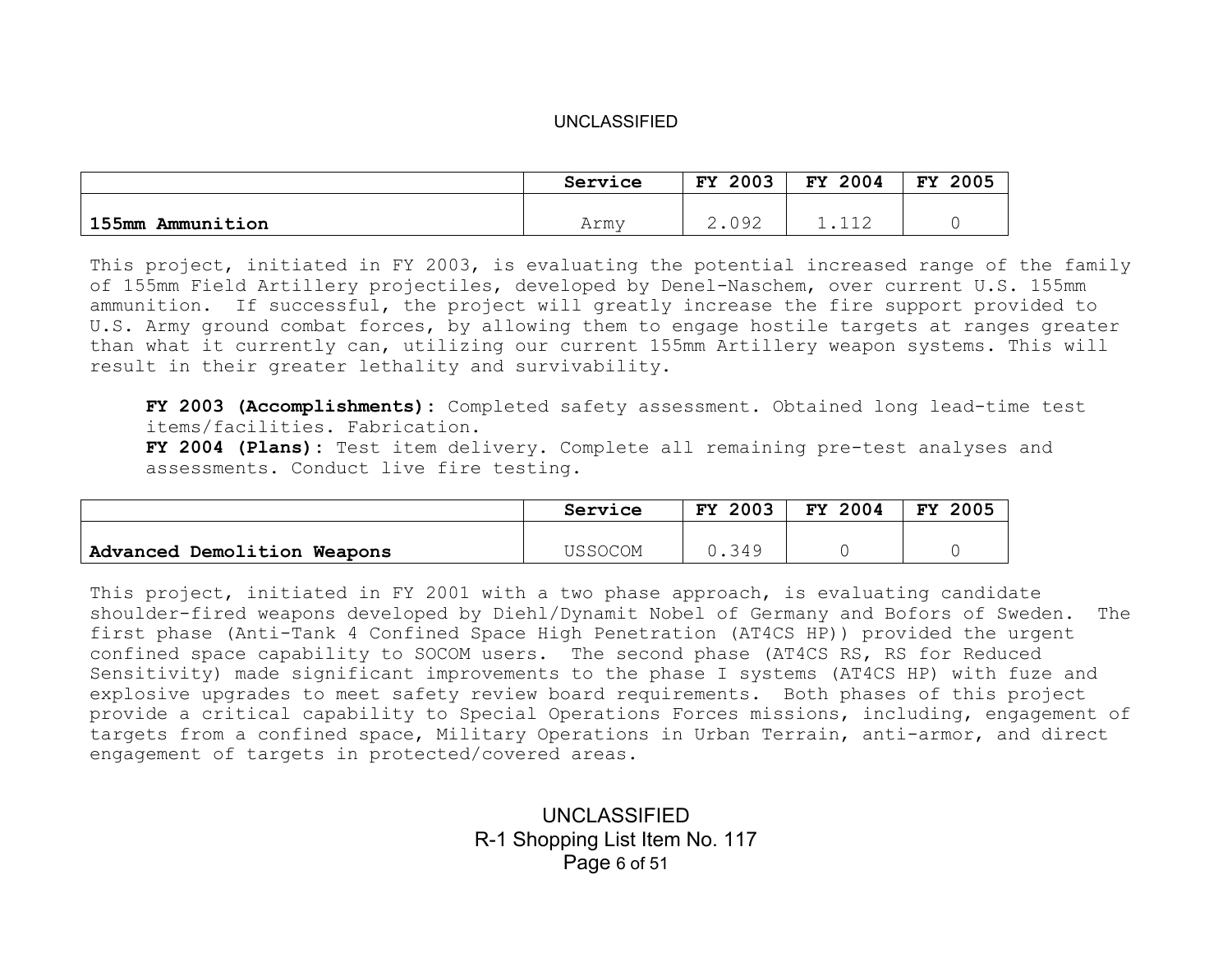|                     | Service | 2003<br>FY | 2004<br><b>FY</b> | 2005<br>FY |
|---------------------|---------|------------|-------------------|------------|
|                     |         | 000        |                   |            |
| 155mm<br>Ammunition | Army    | 2 . V J 4  | ᅩ ᆂ ᄼ             |            |

This project, initiated in FY 2003, is evaluating the potential increased range of the family of 155mm Field Artillery projectiles, developed by Denel-Naschem, over current U.S. 155mm ammunition. If successful, the project will greatly increase the fire support provided to U.S. Army ground combat forces, by allowing them to engage hostile targets at ranges greater than what it currently can, utilizing our current 155mm Artillery weapon systems. This will result in their greater lethality and survivability.

**FY 2003 (Accomplishments):** Completed safety assessment. Obtained long lead-time test items/facilities. Fabrication.

**FY 2004 (Plans):** Test item delivery. Complete all remaining pre-test analyses and assessments. Conduct live fire testing.

|                             | Service | 2003<br>FY. | FY 2004 | 2005<br><b>FY</b> |
|-----------------------------|---------|-------------|---------|-------------------|
|                             |         |             |         |                   |
| Advanced Demolition Weapons | USSOCOM | J.349       |         |                   |

This project, initiated in FY 2001 with a two phase approach, is evaluating candidate shoulder-fired weapons developed by Diehl/Dynamit Nobel of Germany and Bofors of Sweden. The first phase (Anti-Tank 4 Confined Space High Penetration (AT4CS HP)) provided the urgent confined space capability to SOCOM users. The second phase (AT4CS RS, RS for Reduced Sensitivity) made significant improvements to the phase I systems (AT4CS HP) with fuze and explosive upgrades to meet safety review board requirements. Both phases of this project provide a critical capability to Special Operations Forces missions, including, engagement of targets from a confined space, Military Operations in Urban Terrain, anti-armor, and direct engagement of targets in protected/covered areas.

> UNCLASSIFIED R-1 Shopping List Item No. 117 Page 6 of 51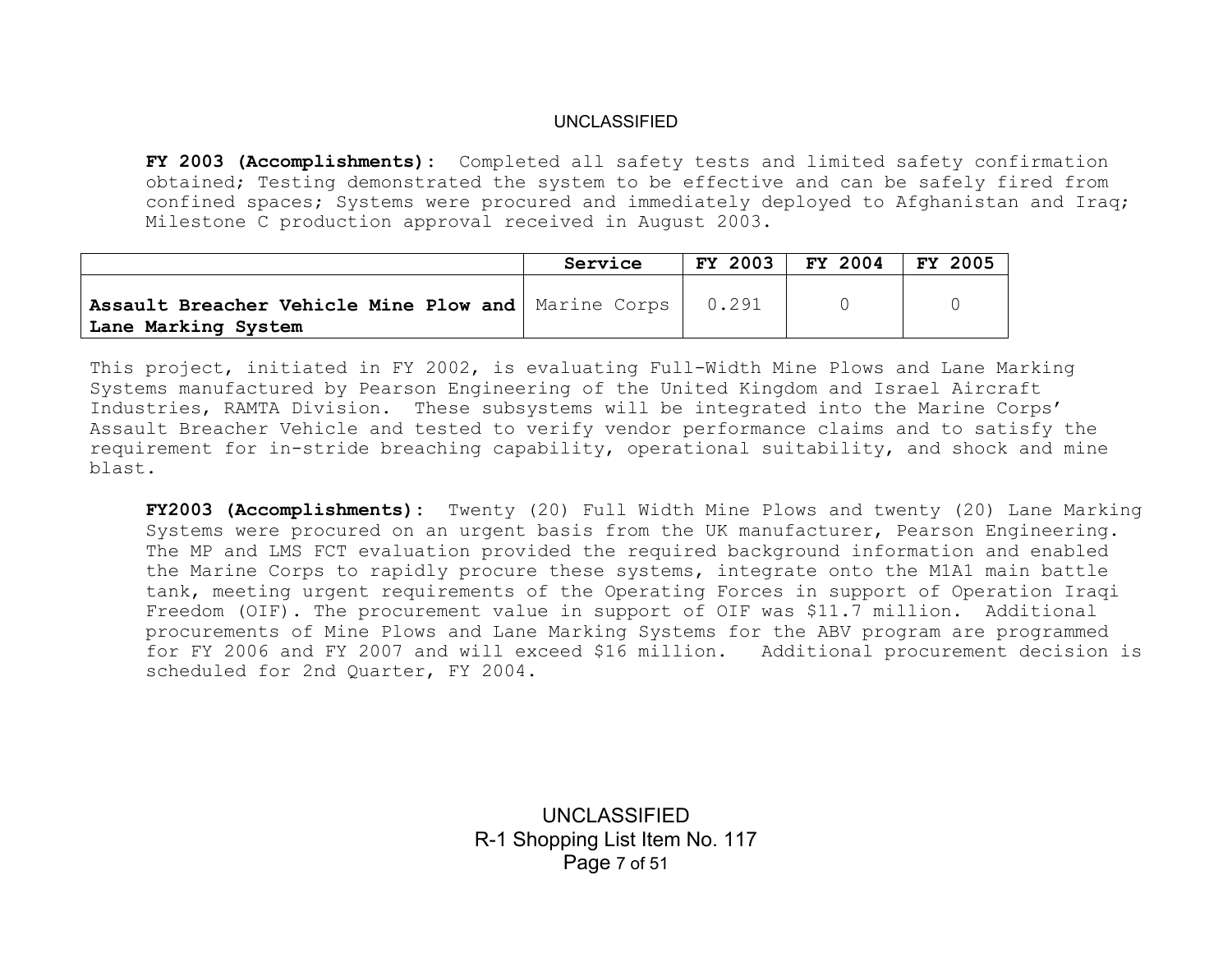**FY 2003 (Accomplishments):** Completed all safety tests and limited safety confirmation obtained; Testing demonstrated the system to be effective and can be safely fired from confined spaces; Systems were procured and immediately deployed to Afghanistan and Iraq; Milestone C production approval received in August 2003.

|                                                                              | Service | <b>FY 2003</b> | FY 2004 | FY 2005 |
|------------------------------------------------------------------------------|---------|----------------|---------|---------|
| Assault Breacher Vehicle Mine Plow and   Marine Corps<br>Lane Marking System |         | 0.291          |         |         |

This project, initiated in FY 2002, is evaluating Full-Width Mine Plows and Lane Marking Systems manufactured by Pearson Engineering of the United Kingdom and Israel Aircraft Industries, RAMTA Division. These subsystems will be integrated into the Marine Corps' Assault Breacher Vehicle and tested to verify vendor performance claims and to satisfy the requirement for in-stride breaching capability, operational suitability, and shock and mine blast.

**FY2003 (Accomplishments):** Twenty (20) Full Width Mine Plows and twenty (20) Lane Marking Systems were procured on an urgent basis from the UK manufacturer, Pearson Engineering. The MP and LMS FCT evaluation provided the required background information and enabled the Marine Corps to rapidly procure these systems, integrate onto the M1A1 main battle tank, meeting urgent requirements of the Operating Forces in support of Operation Iraqi Freedom (OIF). The procurement value in support of OIF was \$11.7 million. Additional procurements of Mine Plows and Lane Marking Systems for the ABV program are programmed for FY 2006 and FY 2007 and will exceed \$16 million. Additional procurement decision is scheduled for 2nd Quarter, FY 2004.

> UNCLASSIFIED R-1 Shopping List Item No. 117 Page 7 of 51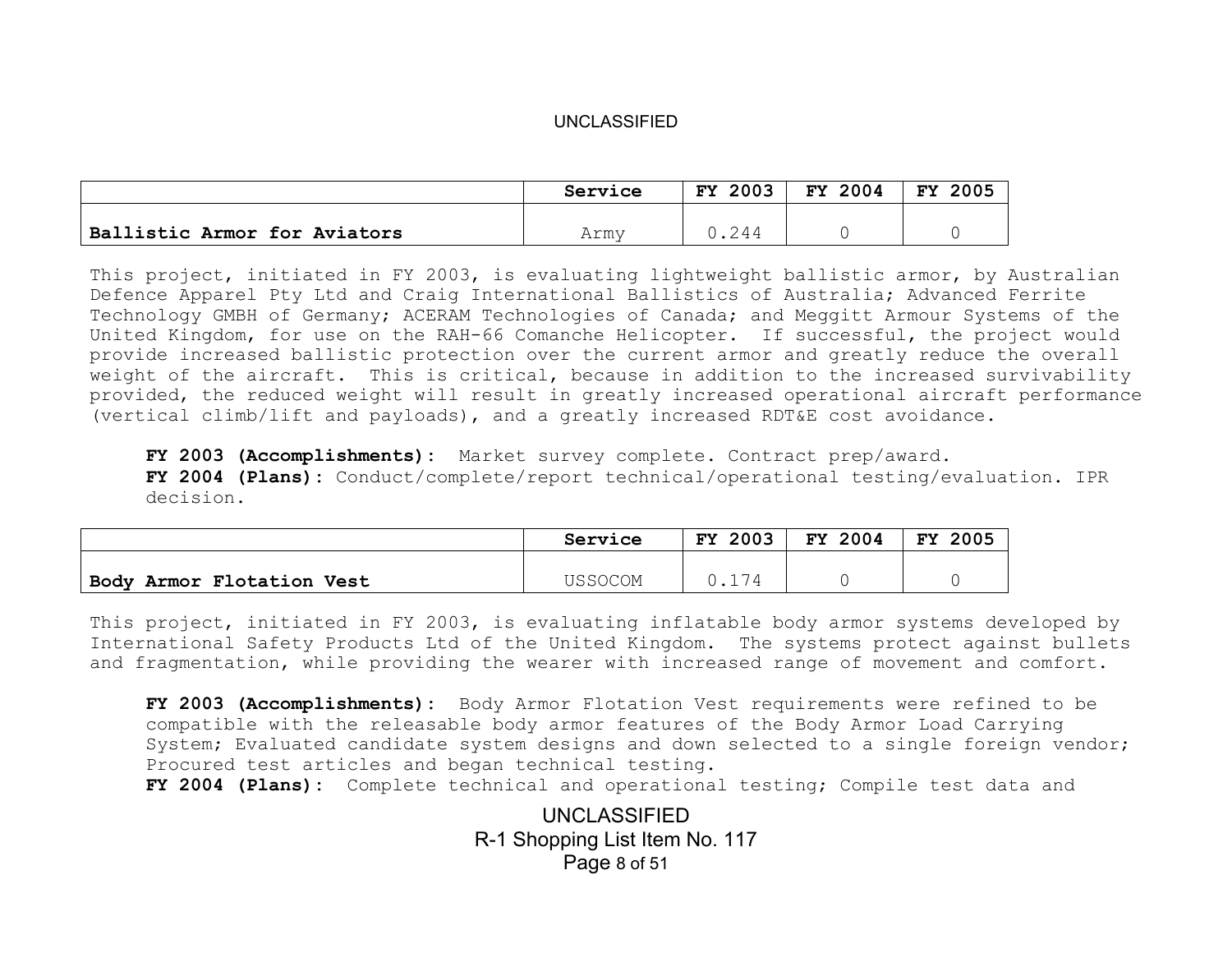|                              | Service | 2003<br><b>FY</b> | 2004<br><b>FY</b> | 2005<br><b>FY</b> |
|------------------------------|---------|-------------------|-------------------|-------------------|
|                              |         |                   |                   |                   |
| Ballistic Armor for Aviators | Army    | 0.244             |                   |                   |

This project, initiated in FY 2003, is evaluating lightweight ballistic armor, by Australian Defence Apparel Pty Ltd and Craig International Ballistics of Australia; Advanced Ferrite Technology GMBH of Germany; ACERAM Technologies of Canada; and Meggitt Armour Systems of the United Kingdom, for use on the RAH-66 Comanche Helicopter. If successful, the project would provide increased ballistic protection over the current armor and greatly reduce the overall weight of the aircraft. This is critical, because in addition to the increased survivability provided, the reduced weight will result in greatly increased operational aircraft performance (vertical climb/lift and payloads), and a greatly increased RDT&E cost avoidance.

FY 2003 (Accomplishments): Market survey complete. Contract prep/award. **FY 2004 (Plans):** Conduct/complete/report technical/operational testing/evaluation. IPR decision.

|                           | Service | 2003<br>FY. | <b>FY 2004</b> | 2005<br>FY |
|---------------------------|---------|-------------|----------------|------------|
|                           |         |             |                |            |
| Body Armor Flotation Vest | USSOCOM |             |                |            |

This project, initiated in FY 2003, is evaluating inflatable body armor systems developed by International Safety Products Ltd of the United Kingdom. The systems protect against bullets and fragmentation, while providing the wearer with increased range of movement and comfort.

**FY 2003 (Accomplishments):** Body Armor Flotation Vest requirements were refined to be compatible with the releasable body armor features of the Body Armor Load Carrying System; Evaluated candidate system designs and down selected to a single foreign vendor; Procured test articles and began technical testing.

**FY 2004 (Plans):** Complete technical and operational testing; Compile test data and

UNCLASSIFIED R-1 Shopping List Item No. 117 Page 8 of 51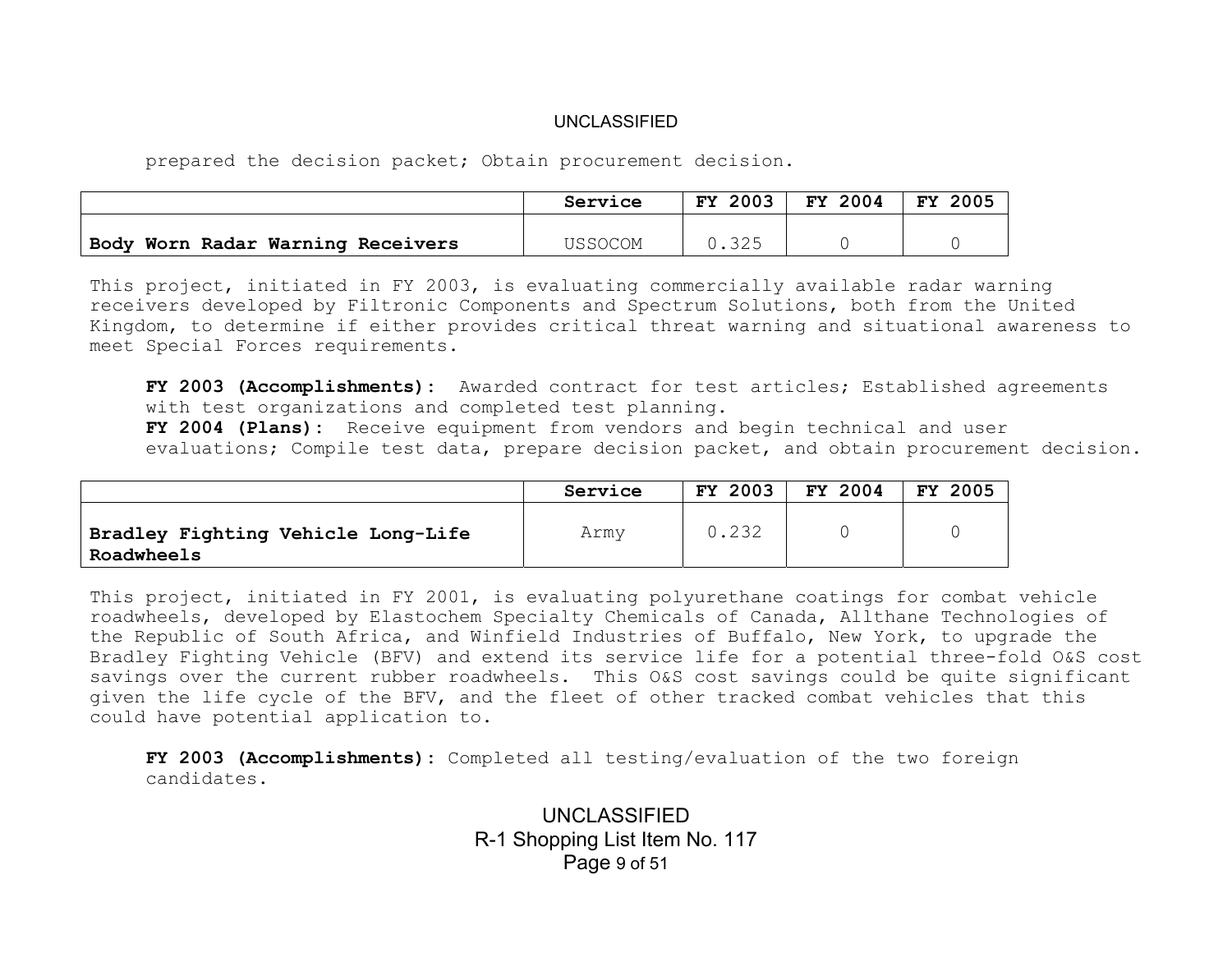prepared the decision packet; Obtain procurement decision.

|                                   | Service | <b>FY 2003</b> | <b>FY 2004</b> | 2005<br>FY. |
|-----------------------------------|---------|----------------|----------------|-------------|
|                                   |         |                |                |             |
| Body Worn Radar Warning Receivers | USSOCOM |                |                |             |

This project, initiated in FY 2003, is evaluating commercially available radar warning receivers developed by Filtronic Components and Spectrum Solutions, both from the United Kingdom, to determine if either provides critical threat warning and situational awareness to meet Special Forces requirements.

**FY 2003 (Accomplishments):** Awarded contract for test articles; Established agreements with test organizations and completed test planning.

**FY 2004 (Plans):** Receive equipment from vendors and begin technical and user evaluations; Compile test data, prepare decision packet, and obtain procurement decision.

|                                                  | Service | <b>FY 2003</b> | FY 2004 | <b>FY 2005</b> |
|--------------------------------------------------|---------|----------------|---------|----------------|
| Bradley Fighting Vehicle Long-Life<br>Roadwheels | Army    | 0.232          |         |                |

This project, initiated in FY 2001, is evaluating polyurethane coatings for combat vehicle roadwheels, developed by Elastochem Specialty Chemicals of Canada, Allthane Technologies of the Republic of South Africa, and Winfield Industries of Buffalo, New York, to upgrade the Bradley Fighting Vehicle (BFV) and extend its service life for a potential three-fold O&S cost savings over the current rubber roadwheels. This O&S cost savings could be quite significant given the life cycle of the BFV, and the fleet of other tracked combat vehicles that this could have potential application to.

**FY 2003 (Accomplishments):** Completed all testing/evaluation of the two foreign candidates.

> UNCLASSIFIED R-1 Shopping List Item No. 117 Page 9 of 51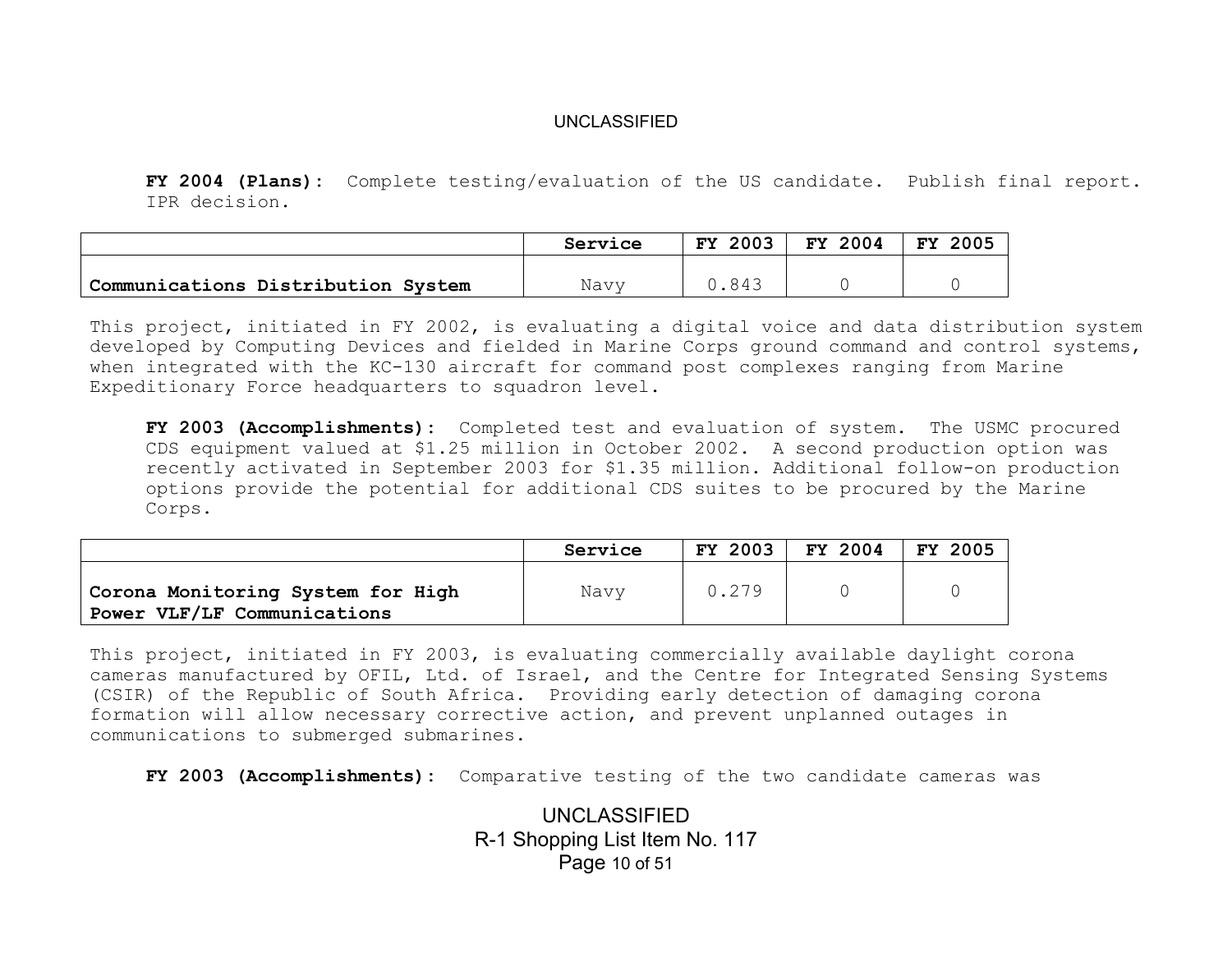**FY 2004 (Plans):** Complete testing/evaluation of the US candidate. Publish final report. IPR decision.

|                                    | Service | <b>FY 2003</b> | FY 2004 | 2005<br>FY. |
|------------------------------------|---------|----------------|---------|-------------|
|                                    |         |                |         |             |
| Communications Distribution System | Navv    | 843            |         |             |

This project, initiated in FY 2002, is evaluating a digital voice and data distribution system developed by Computing Devices and fielded in Marine Corps ground command and control systems, when integrated with the KC-130 aircraft for command post complexes ranging from Marine Expeditionary Force headquarters to squadron level.

**FY 2003 (Accomplishments):** Completed test and evaluation of system. The USMC procured CDS equipment valued at \$1.25 million in October 2002. A second production option was recently activated in September 2003 for \$1.35 million. Additional follow-on production options provide the potential for additional CDS suites to be procured by the Marine Corps.

|                                                                  | Service | <b>FY 2003</b> | FY 2004 | 2005<br>FY. |
|------------------------------------------------------------------|---------|----------------|---------|-------------|
| Corona Monitoring System for High<br>Power VLF/LF Communications | Navy    | 0.279          |         |             |

This project, initiated in FY 2003, is evaluating commercially available daylight corona cameras manufactured by OFIL, Ltd. of Israel, and the Centre for Integrated Sensing Systems (CSIR) of the Republic of South Africa. Providing early detection of damaging corona formation will allow necessary corrective action, and prevent unplanned outages in communications to submerged submarines.

**FY 2003 (Accomplishments):** Comparative testing of the two candidate cameras was

UNCLASSIFIED R-1 Shopping List Item No. 117 Page 10 of 51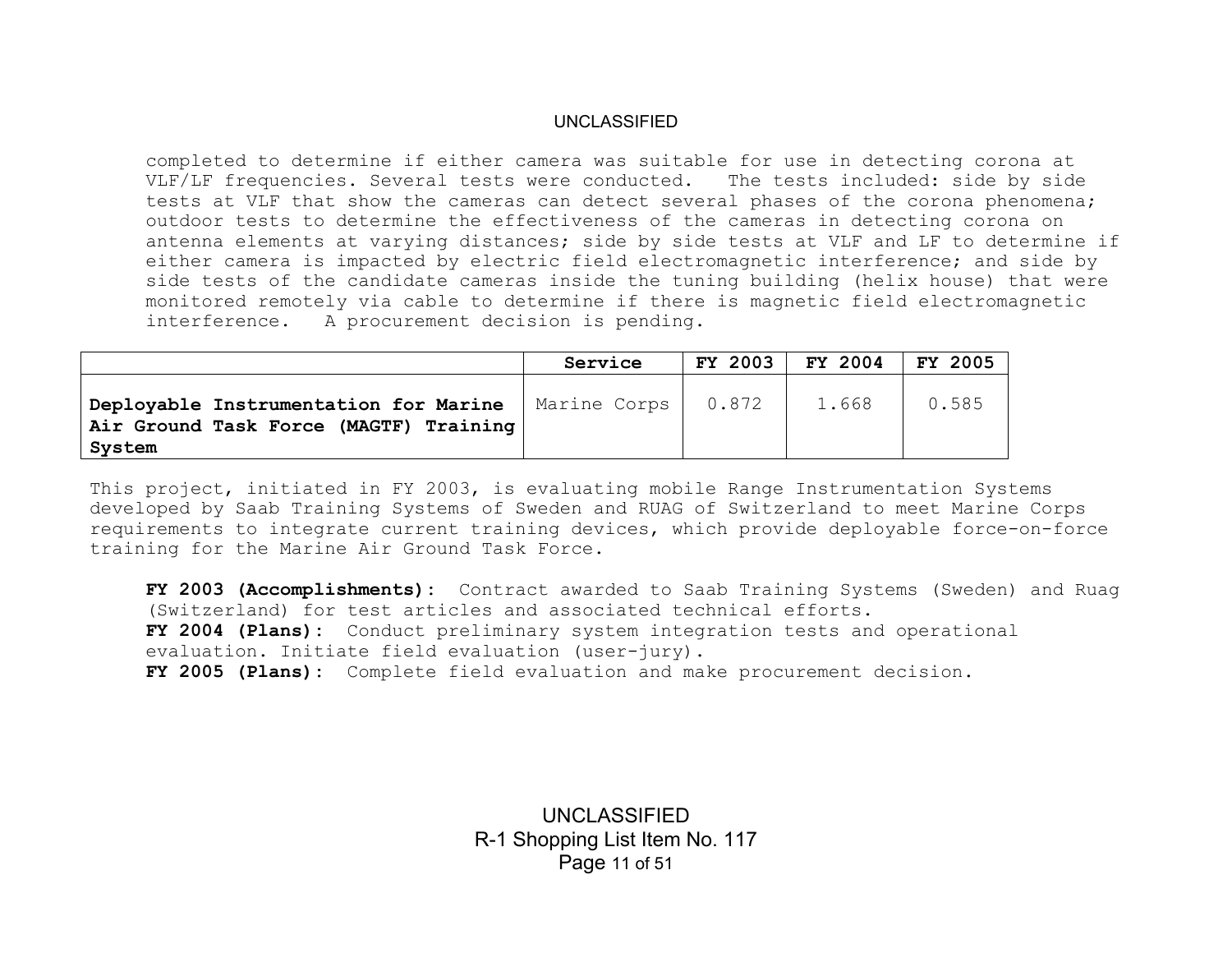completed to determine if either camera was suitable for use in detecting corona at VLF/LF frequencies. Several tests were conducted. The tests included: side by side tests at VLF that show the cameras can detect several phases of the corona phenomena; outdoor tests to determine the effectiveness of the cameras in detecting corona on antenna elements at varying distances; side by side tests at VLF and LF to determine if either camera is impacted by electric field electromagnetic interference; and side by side tests of the candidate cameras inside the tuning building (helix house) that were monitored remotely via cable to determine if there is magnetic field electromagnetic interference. A procurement decision is pending.

|                                                                                           | Service      | <b>FY 2003</b> | FY 2004 | <b>FY 2005</b> |
|-------------------------------------------------------------------------------------------|--------------|----------------|---------|----------------|
| Deployable Instrumentation for Marine<br>Air Ground Task Force (MAGTF) Training<br>System | Marine Corps | 0.872          | 1.668   | 0.585          |

This project, initiated in FY 2003, is evaluating mobile Range Instrumentation Systems developed by Saab Training Systems of Sweden and RUAG of Switzerland to meet Marine Corps requirements to integrate current training devices, which provide deployable force-on-force training for the Marine Air Ground Task Force.

**FY 2003 (Accomplishments):** Contract awarded to Saab Training Systems (Sweden) and Ruag (Switzerland) for test articles and associated technical efforts. **FY 2004 (Plans):** Conduct preliminary system integration tests and operational evaluation. Initiate field evaluation (user-jury). **FY 2005 (Plans):** Complete field evaluation and make procurement decision.

> UNCLASSIFIED R-1 Shopping List Item No. 117 Page 11 of 51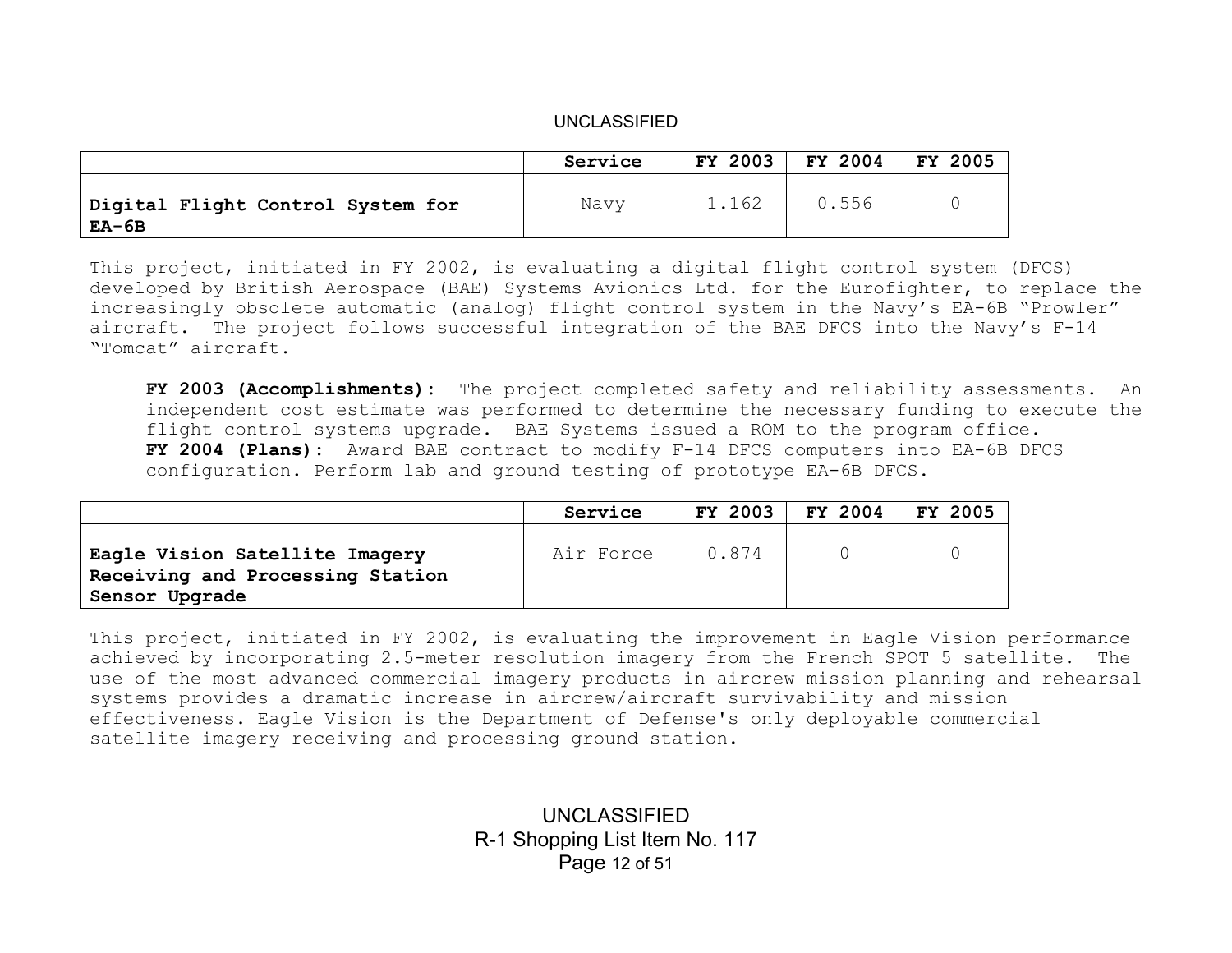|                                                   | Service | FY 2003 | FY 2004 | FY 2005 |
|---------------------------------------------------|---------|---------|---------|---------|
| Digital Flight Control System for<br><b>EA-6B</b> | Navy    | 1.162   | 0.556   |         |

This project, initiated in FY 2002, is evaluating a digital flight control system (DFCS) developed by British Aerospace (BAE) Systems Avionics Ltd. for the Eurofighter, to replace the increasingly obsolete automatic (analog) flight control system in the Navy's EA-6B "Prowler" aircraft. The project follows successful integration of the BAE DFCS into the Navy's F-14 "Tomcat" aircraft.

**FY 2003 (Accomplishments):** The project completed safety and reliability assessments. An independent cost estimate was performed to determine the necessary funding to execute the flight control systems upgrade. BAE Systems issued a ROM to the program office. **FY 2004 (Plans):** Award BAE contract to modify F-14 DFCS computers into EA-6B DFCS configuration. Perform lab and ground testing of prototype EA-6B DFCS.

|                                                                                      | Service   | <b>FY 2003</b> | FY 2004 | <b>FY 2005</b> |
|--------------------------------------------------------------------------------------|-----------|----------------|---------|----------------|
| Eagle Vision Satellite Imagery<br>Receiving and Processing Station<br>Sensor Upgrade | Air Force | 0.874          |         |                |

This project, initiated in FY 2002, is evaluating the improvement in Eagle Vision performance achieved by incorporating 2.5-meter resolution imagery from the French SPOT 5 satellite. The use of the most advanced commercial imagery products in aircrew mission planning and rehearsal systems provides a dramatic increase in aircrew/aircraft survivability and mission effectiveness. Eagle Vision is the Department of Defense's only deployable commercial satellite imagery receiving and processing ground station.

> UNCLASSIFIED R-1 Shopping List Item No. 117 Page 12 of 51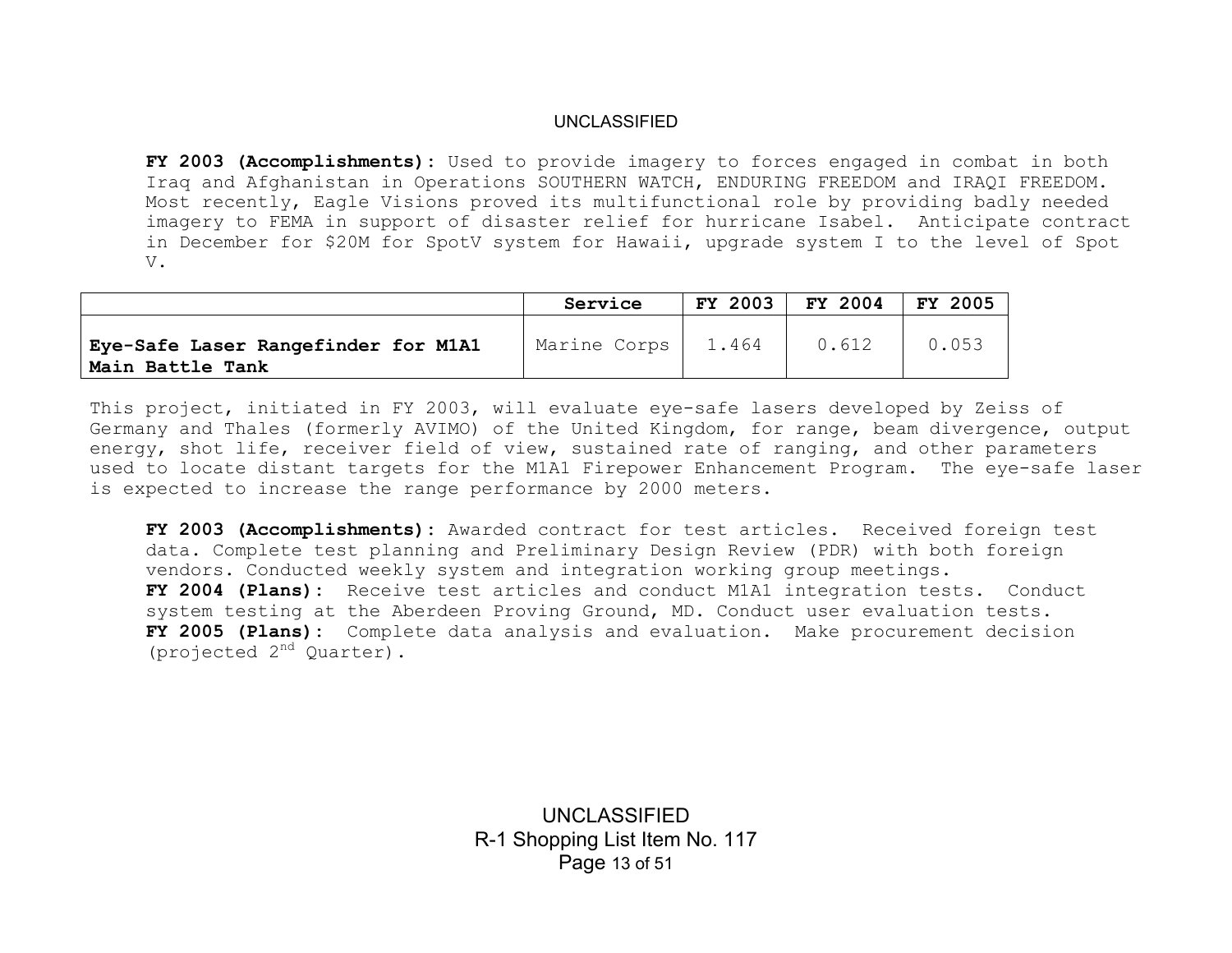**FY 2003 (Accomplishments):** Used to provide imagery to forces engaged in combat in both Iraq and Afghanistan in Operations SOUTHERN WATCH, ENDURING FREEDOM and IRAQI FREEDOM. Most recently, Eagle Visions proved its multifunctional role by providing badly needed imagery to FEMA in support of disaster relief for hurricane Isabel. Anticipate contract in December for \$20M for SpotV system for Hawaii, upgrade system I to the level of Spot V.

|                                                         | Service      | FY 2003 | FY 2004 | FY 2005 |
|---------------------------------------------------------|--------------|---------|---------|---------|
| Eye-Safe Laser Rangefinder for M1A1<br>Main Battle Tank | Marine Corps | 1.464   | 0.612   | 0.053   |

This project, initiated in FY 2003, will evaluate eye-safe lasers developed by Zeiss of Germany and Thales (formerly AVIMO) of the United Kingdom, for range, beam divergence, output energy, shot life, receiver field of view, sustained rate of ranging, and other parameters used to locate distant targets for the M1A1 Firepower Enhancement Program. The eye-safe laser is expected to increase the range performance by 2000 meters.

**FY 2003 (Accomplishments):** Awarded contract for test articles. Received foreign test data. Complete test planning and Preliminary Design Review (PDR) with both foreign vendors. Conducted weekly system and integration working group meetings. **FY 2004 (Plans):** Receive test articles and conduct M1A1 integration tests. Conduct system testing at the Aberdeen Proving Ground, MD. Conduct user evaluation tests. **FY 2005 (Plans):** Complete data analysis and evaluation. Make procurement decision (projected 2nd Quarter).

> UNCLASSIFIED R-1 Shopping List Item No. 117 Page 13 of 51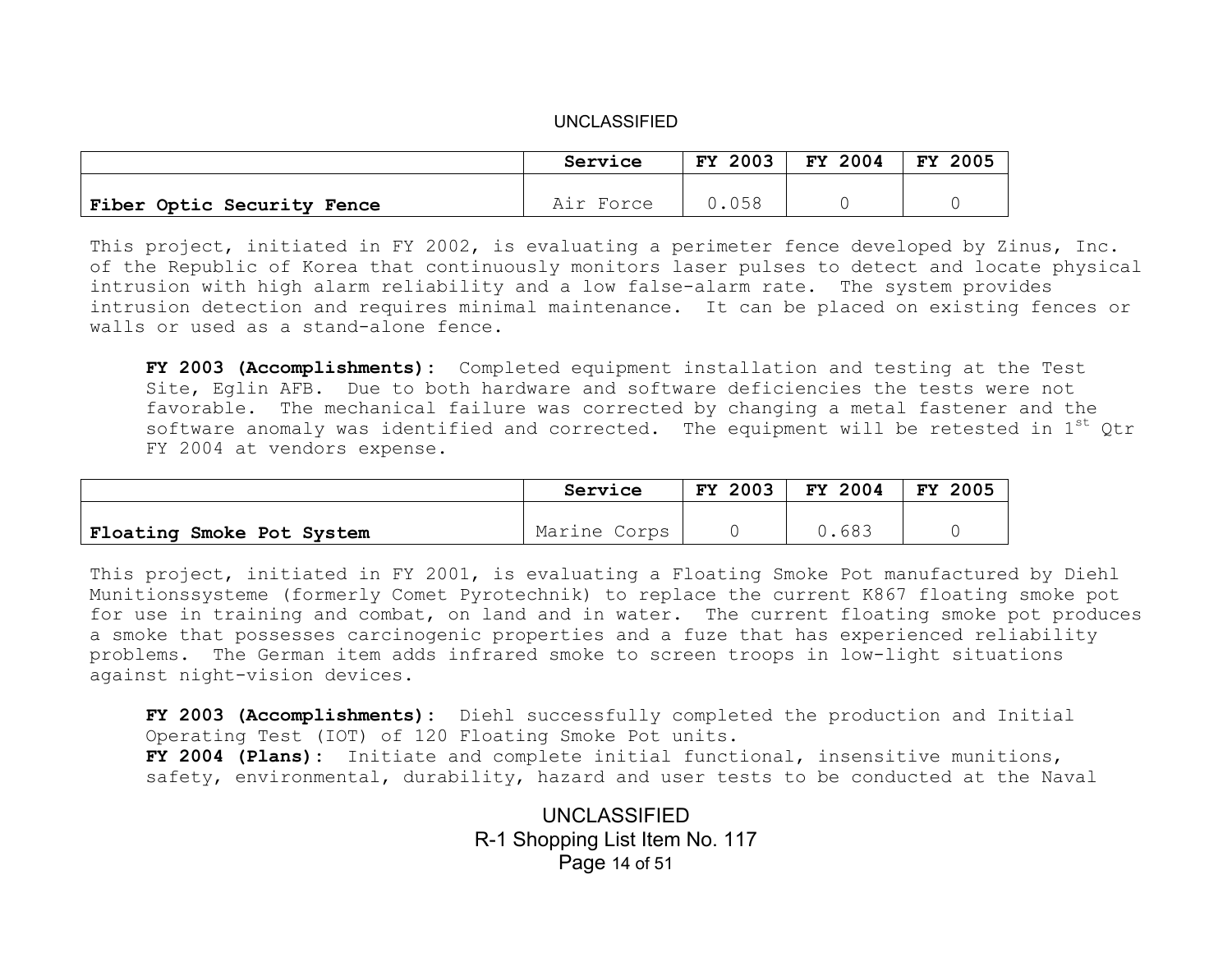|                                   | Service   | FY 2003 | FY 2004 | FY 2005 |
|-----------------------------------|-----------|---------|---------|---------|
|                                   |           |         |         |         |
| <b>Fiber Optic Security Fence</b> | Air Force | 0.058   |         |         |

This project, initiated in FY 2002, is evaluating a perimeter fence developed by Zinus, Inc. of the Republic of Korea that continuously monitors laser pulses to detect and locate physical intrusion with high alarm reliability and a low false-alarm rate. The system provides intrusion detection and requires minimal maintenance. It can be placed on existing fences or walls or used as a stand-alone fence.

**FY 2003 (Accomplishments):** Completed equipment installation and testing at the Test Site, Eglin AFB. Due to both hardware and software deficiencies the tests were not favorable. The mechanical failure was corrected by changing a metal fastener and the software anomaly was identified and corrected. The equipment will be retested in  $1^{st}$  Qtr FY 2004 at vendors expense.

|                           | Service      | <b>FY 2003</b> | <b>FY 2004</b> | FY 2005 |
|---------------------------|--------------|----------------|----------------|---------|
|                           |              |                |                |         |
| Floating Smoke Pot System | Marine Corps |                | 0.683          |         |

This project, initiated in FY 2001, is evaluating a Floating Smoke Pot manufactured by Diehl Munitionssysteme (formerly Comet Pyrotechnik) to replace the current K867 floating smoke pot for use in training and combat, on land and in water. The current floating smoke pot produces a smoke that possesses carcinogenic properties and a fuze that has experienced reliability problems. The German item adds infrared smoke to screen troops in low-light situations against night-vision devices.

**FY 2003 (Accomplishments):** Diehl successfully completed the production and Initial Operating Test (IOT) of 120 Floating Smoke Pot units. **FY 2004 (Plans):** Initiate and complete initial functional, insensitive munitions, safety, environmental, durability, hazard and user tests to be conducted at the Naval

> UNCLASSIFIED R-1 Shopping List Item No. 117 Page 14 of 51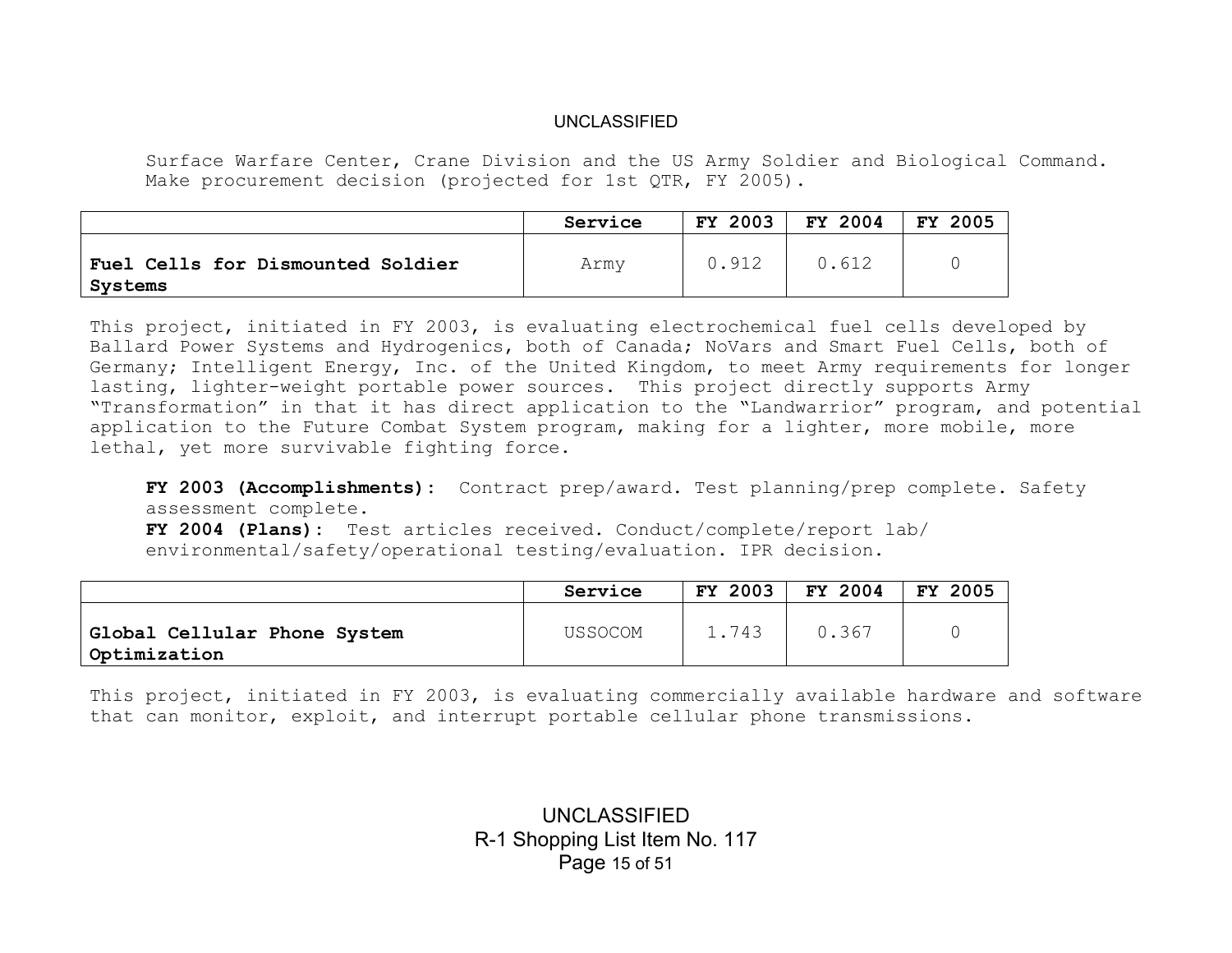Surface Warfare Center, Crane Division and the US Army Soldier and Biological Command. Make procurement decision (projected for 1st QTR, FY 2005).

|                                              | Service | <b>FY 2003</b> | FY 2004 | <b>FY 2005</b> |
|----------------------------------------------|---------|----------------|---------|----------------|
| Fuel Cells for Dismounted Soldier<br>Systems | Army    | 0.912          | 0.612   |                |

This project, initiated in FY 2003, is evaluating electrochemical fuel cells developed by Ballard Power Systems and Hydrogenics, both of Canada; NoVars and Smart Fuel Cells, both of Germany; Intelligent Energy, Inc. of the United Kingdom, to meet Army requirements for longer lasting, lighter-weight portable power sources. This project directly supports Army "Transformation" in that it has direct application to the "Landwarrior" program, and potential application to the Future Combat System program, making for a lighter, more mobile, more lethal, yet more survivable fighting force.

**FY 2003 (Accomplishments):** Contract prep/award. Test planning/prep complete. Safety assessment complete.

**FY 2004 (Plans):** Test articles received. Conduct/complete/report lab/ environmental/safety/operational testing/evaluation. IPR decision.

|                                              | Service | <b>FY 2003</b> | FY 2004 | 2005<br><b>FY</b> |
|----------------------------------------------|---------|----------------|---------|-------------------|
| Global Cellular Phone System<br>Optimization | USSOCOM | 1.743          | 0.367   |                   |

This project, initiated in FY 2003, is evaluating commercially available hardware and software that can monitor, exploit, and interrupt portable cellular phone transmissions.

> UNCLASSIFIED R-1 Shopping List Item No. 117 Page 15 of 51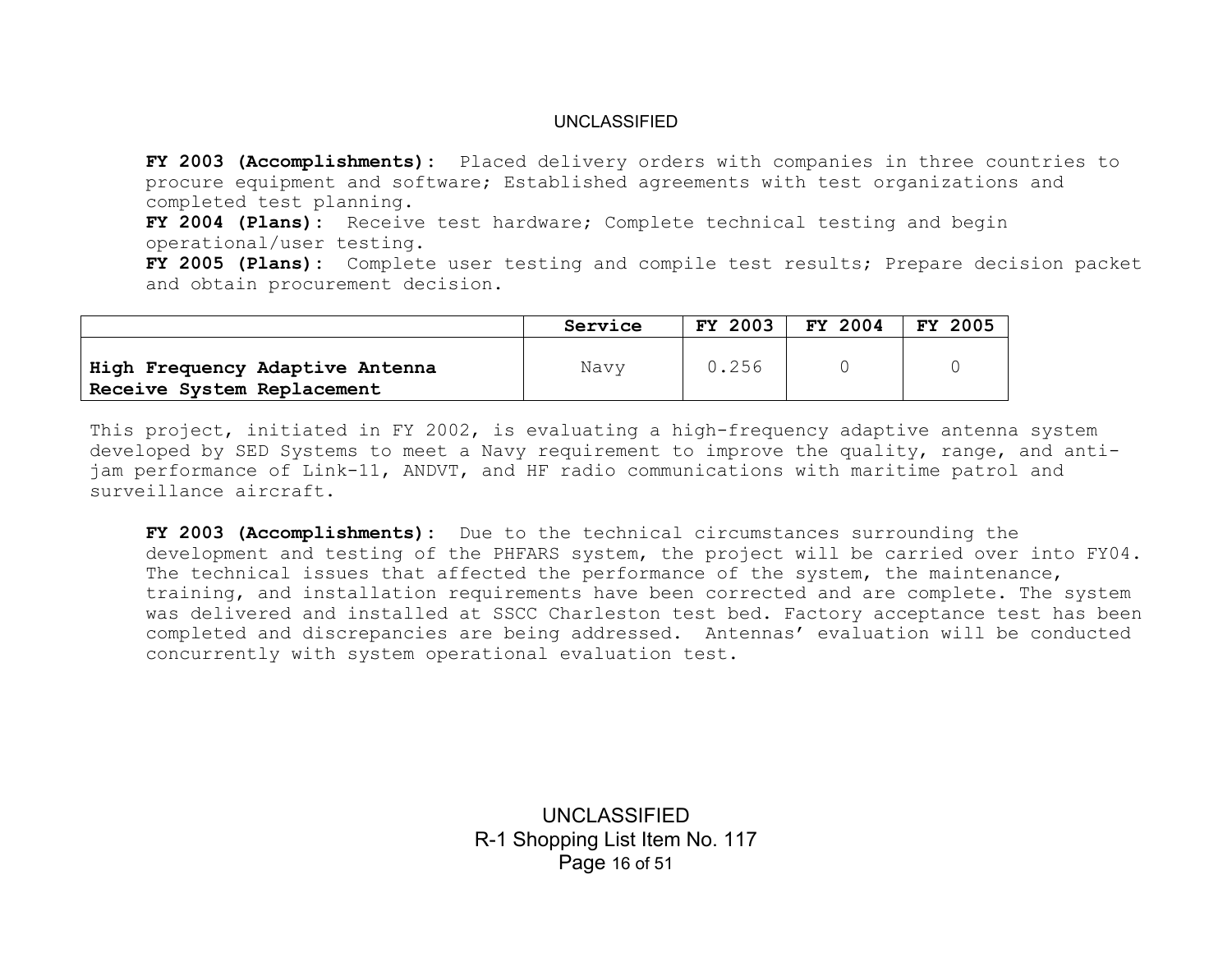**FY 2003 (Accomplishments):** Placed delivery orders with companies in three countries to procure equipment and software; Established agreements with test organizations and completed test planning.

**FY 2004 (Plans):** Receive test hardware; Complete technical testing and begin operational/user testing.

**FY 2005 (Plans):** Complete user testing and compile test results; Prepare decision packet and obtain procurement decision.

|                                                               | Service | FY 2003 | FY 2004 | <b>FY 2005</b> |
|---------------------------------------------------------------|---------|---------|---------|----------------|
| High Frequency Adaptive Antenna<br>Receive System Replacement | Navy    | 0.256   |         |                |

This project, initiated in FY 2002, is evaluating a high-frequency adaptive antenna system developed by SED Systems to meet a Navy requirement to improve the quality, range, and antijam performance of Link-11, ANDVT, and HF radio communications with maritime patrol and surveillance aircraft.

**FY 2003 (Accomplishments):** Due to the technical circumstances surrounding the development and testing of the PHFARS system, the project will be carried over into FY04. The technical issues that affected the performance of the system, the maintenance, training, and installation requirements have been corrected and are complete. The system was delivered and installed at SSCC Charleston test bed. Factory acceptance test has been completed and discrepancies are being addressed. Antennas' evaluation will be conducted concurrently with system operational evaluation test.

> UNCLASSIFIED R-1 Shopping List Item No. 117 Page 16 of 51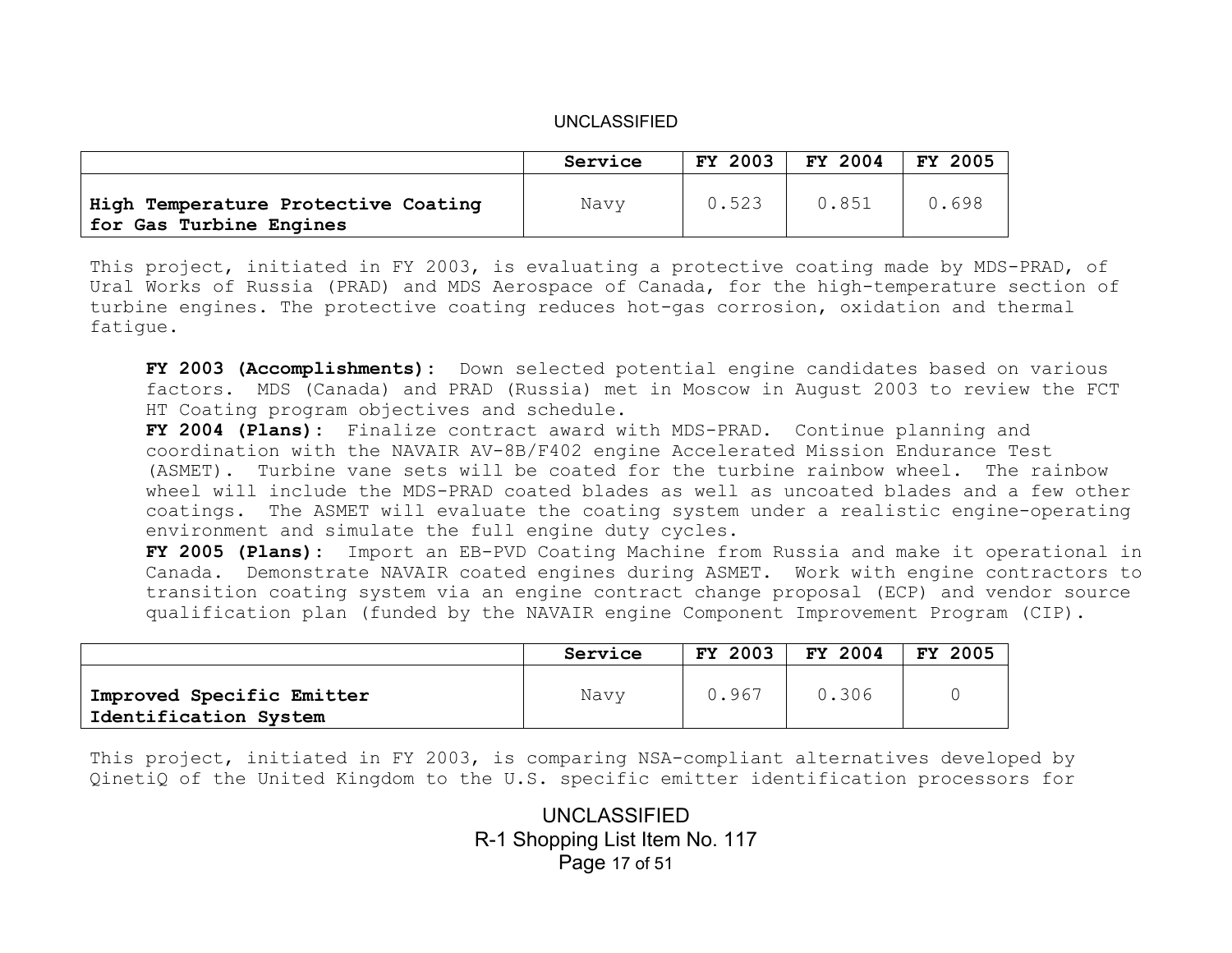|                                                                | Service | FY 2003 | FY 2004 | 2005<br>FY. |
|----------------------------------------------------------------|---------|---------|---------|-------------|
| High Temperature Protective Coating<br>for Gas Turbine Engines | Navy    | 0.523   | 0.851   | 0.698       |

This project, initiated in FY 2003, is evaluating a protective coating made by MDS-PRAD, of Ural Works of Russia (PRAD) and MDS Aerospace of Canada, for the high-temperature section of turbine engines. The protective coating reduces hot-gas corrosion, oxidation and thermal fatigue.

**FY 2003 (Accomplishments):** Down selected potential engine candidates based on various factors. MDS (Canada) and PRAD (Russia) met in Moscow in August 2003 to review the FCT HT Coating program objectives and schedule.

**FY 2004 (Plans):** Finalize contract award with MDS-PRAD. Continue planning and coordination with the NAVAIR AV-8B/F402 engine Accelerated Mission Endurance Test (ASMET). Turbine vane sets will be coated for the turbine rainbow wheel. The rainbow wheel will include the MDS-PRAD coated blades as well as uncoated blades and a few other coatings. The ASMET will evaluate the coating system under a realistic engine-operating environment and simulate the full engine duty cycles.

**FY 2005 (Plans):** Import an EB-PVD Coating Machine from Russia and make it operational in Canada. Demonstrate NAVAIR coated engines during ASMET. Work with engine contractors to transition coating system via an engine contract change proposal (ECP) and vendor source qualification plan (funded by the NAVAIR engine Component Improvement Program (CIP).

|                                                    | Service | FY 2003 | FY 2004 | FY 2005 |
|----------------------------------------------------|---------|---------|---------|---------|
| Improved Specific Emitter<br>Identification System | Navy    | 0.967   | 0.306   |         |

This project, initiated in FY 2003, is comparing NSA-compliant alternatives developed by QinetiQ of the United Kingdom to the U.S. specific emitter identification processors for

> UNCLASSIFIED R-1 Shopping List Item No. 117 Page 17 of 51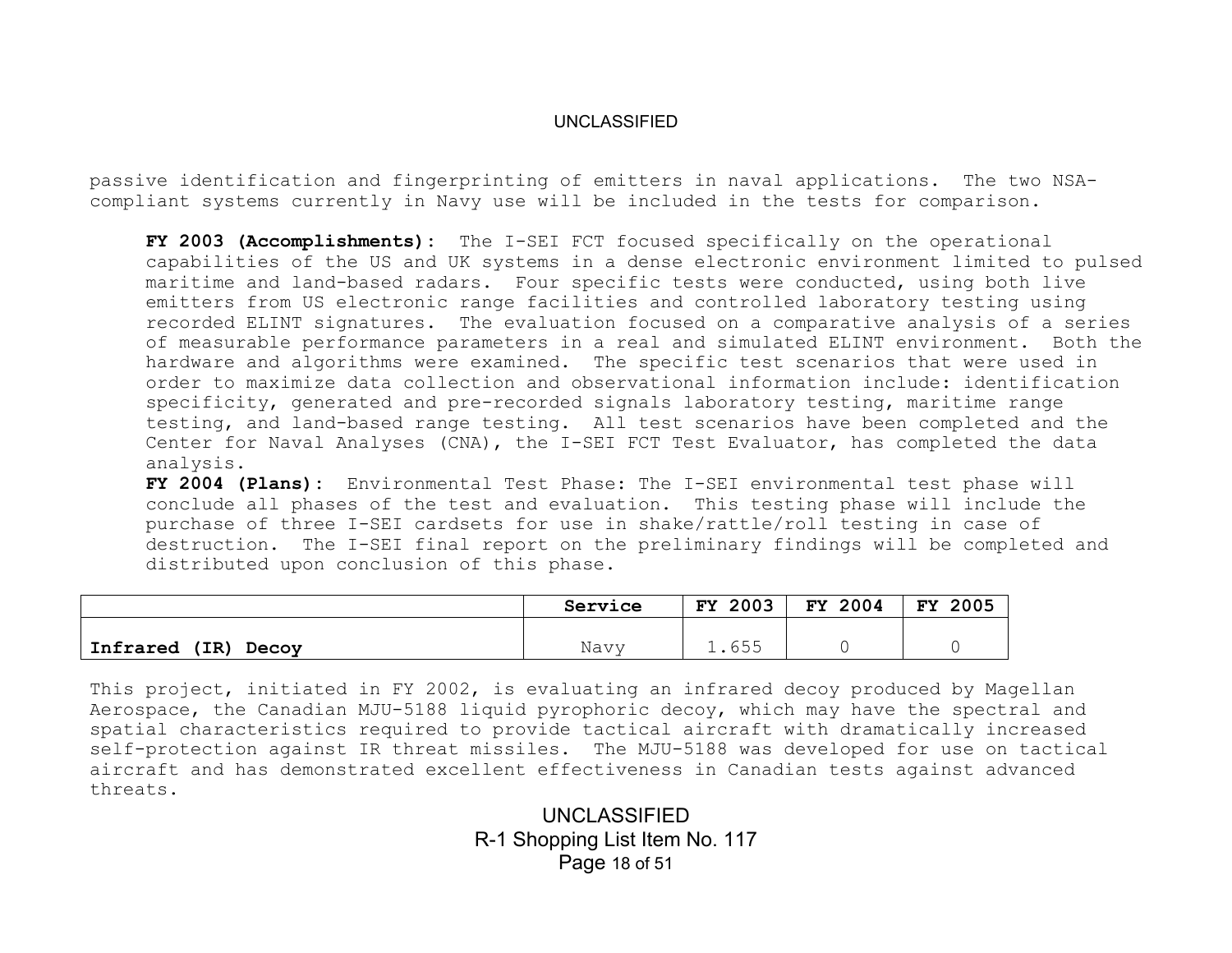passive identification and fingerprinting of emitters in naval applications. The two NSAcompliant systems currently in Navy use will be included in the tests for comparison.

**FY 2003 (Accomplishments):** The I-SEI FCT focused specifically on the operational capabilities of the US and UK systems in a dense electronic environment limited to pulsed maritime and land-based radars. Four specific tests were conducted, using both live emitters from US electronic range facilities and controlled laboratory testing using recorded ELINT signatures. The evaluation focused on a comparative analysis of a series of measurable performance parameters in a real and simulated ELINT environment. Both the hardware and algorithms were examined. The specific test scenarios that were used in order to maximize data collection and observational information include: identification specificity, generated and pre-recorded signals laboratory testing, maritime range testing, and land-based range testing. All test scenarios have been completed and the Center for Naval Analyses (CNA), the I-SEI FCT Test Evaluator, has completed the data analysis.

**FY 2004 (Plans):** Environmental Test Phase: The I-SEI environmental test phase will conclude all phases of the test and evaluation. This testing phase will include the purchase of three I-SEI cardsets for use in shake/rattle/roll testing in case of destruction. The I-SEI final report on the preliminary findings will be completed and distributed upon conclusion of this phase.

|                           | Service | 2003<br>FY.          | FY 2004 | FY<br>2005 |
|---------------------------|---------|----------------------|---------|------------|
| Infrared<br>(IR)<br>Decoy | Navy    | C E E<br>$\bot$ .000 |         |            |

This project, initiated in FY 2002, is evaluating an infrared decoy produced by Magellan Aerospace, the Canadian MJU-5188 liquid pyrophoric decoy, which may have the spectral and spatial characteristics required to provide tactical aircraft with dramatically increased self-protection against IR threat missiles. The MJU-5188 was developed for use on tactical aircraft and has demonstrated excellent effectiveness in Canadian tests against advanced threats.

> UNCLASSIFIED R-1 Shopping List Item No. 117 Page 18 of 51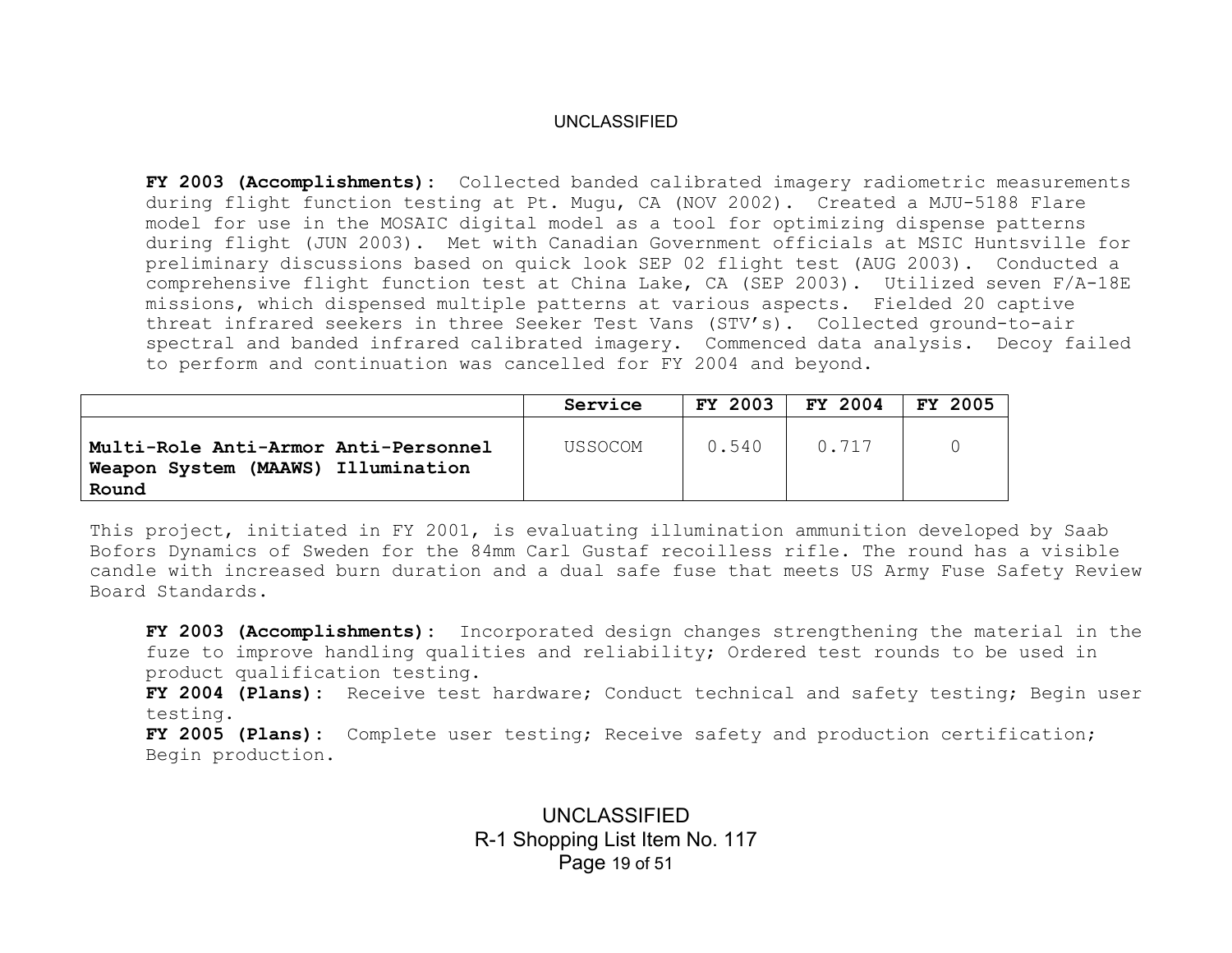**FY 2003 (Accomplishments):** Collected banded calibrated imagery radiometric measurements during flight function testing at Pt. Mugu, CA (NOV 2002). Created a MJU-5188 Flare model for use in the MOSAIC digital model as a tool for optimizing dispense patterns during flight (JUN 2003). Met with Canadian Government officials at MSIC Huntsville for preliminary discussions based on quick look SEP 02 flight test (AUG 2003). Conducted a comprehensive flight function test at China Lake, CA (SEP 2003). Utilized seven F/A-18E missions, which dispensed multiple patterns at various aspects. Fielded 20 captive threat infrared seekers in three Seeker Test Vans (STV's). Collected ground-to-air spectral and banded infrared calibrated imagery. Commenced data analysis. Decoy failed to perform and continuation was cancelled for FY 2004 and beyond.

|                                                                                     | Service | <b>FY 2003</b> | FY 2004 | FY 2005 |
|-------------------------------------------------------------------------------------|---------|----------------|---------|---------|
| Multi-Role Anti-Armor Anti-Personnel<br>Weapon System (MAAWS) Illumination<br>Round | USSOCOM | 0.540          | 0.717   |         |

This project, initiated in FY 2001, is evaluating illumination ammunition developed by Saab Bofors Dynamics of Sweden for the 84mm Carl Gustaf recoilless rifle. The round has a visible candle with increased burn duration and a dual safe fuse that meets US Army Fuse Safety Review Board Standards.

**FY 2003 (Accomplishments):** Incorporated design changes strengthening the material in the fuze to improve handling qualities and reliability; Ordered test rounds to be used in product qualification testing.

**FY 2004 (Plans):** Receive test hardware; Conduct technical and safety testing; Begin user testing.

**FY 2005 (Plans):** Complete user testing; Receive safety and production certification; Begin production.

> UNCLASSIFIED R-1 Shopping List Item No. 117 Page 19 of 51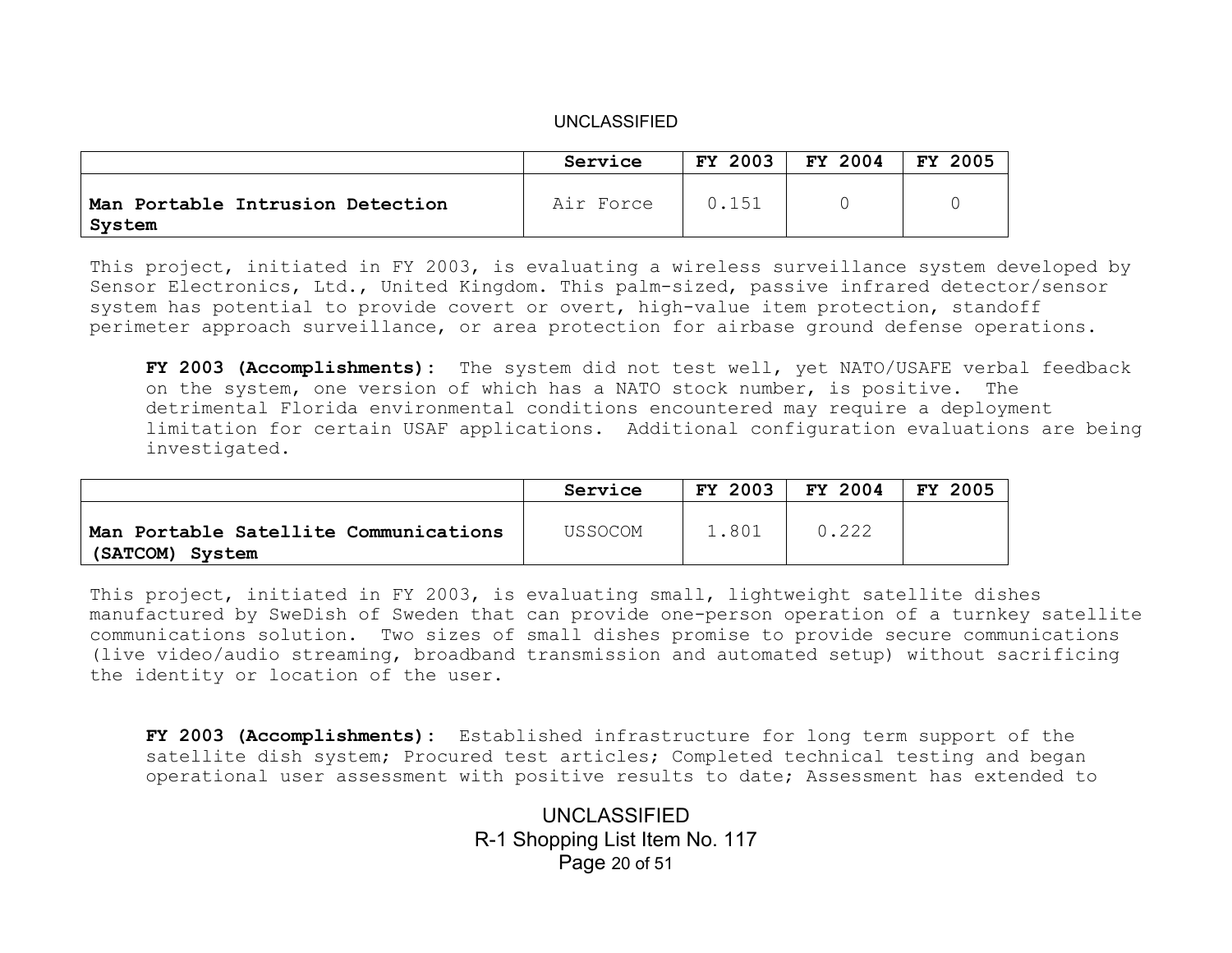|                                            | Service   | FY 2003 | FY 2004 | FY 2005 |
|--------------------------------------------|-----------|---------|---------|---------|
| Man Portable Intrusion Detection<br>System | Air Force | 0.151   |         |         |

This project, initiated in FY 2003, is evaluating a wireless surveillance system developed by Sensor Electronics, Ltd., United Kingdom. This palm-sized, passive infrared detector/sensor system has potential to provide covert or overt, high-value item protection, standoff perimeter approach surveillance, or area protection for airbase ground defense operations.

**FY 2003 (Accomplishments):** The system did not test well, yet NATO/USAFE verbal feedback on the system, one version of which has a NATO stock number, is positive. The detrimental Florida environmental conditions encountered may require a deployment limitation for certain USAF applications. Additional configuration evaluations are being investigated.

|                                                          | Service | <b>FY 2003</b> | FY 2004 | -2005<br>FY. |
|----------------------------------------------------------|---------|----------------|---------|--------------|
| Man Portable Satellite Communications<br>(SATCOM) System | USSOCOM | 1.801          | 0.222   |              |

This project, initiated in FY 2003, is evaluating small, lightweight satellite dishes manufactured by SweDish of Sweden that can provide one-person operation of a turnkey satellite communications solution. Two sizes of small dishes promise to provide secure communications (live video/audio streaming, broadband transmission and automated setup) without sacrificing the identity or location of the user.

**FY 2003 (Accomplishments):** Established infrastructure for long term support of the satellite dish system; Procured test articles; Completed technical testing and began operational user assessment with positive results to date; Assessment has extended to

> UNCLASSIFIED R-1 Shopping List Item No. 117 Page 20 of 51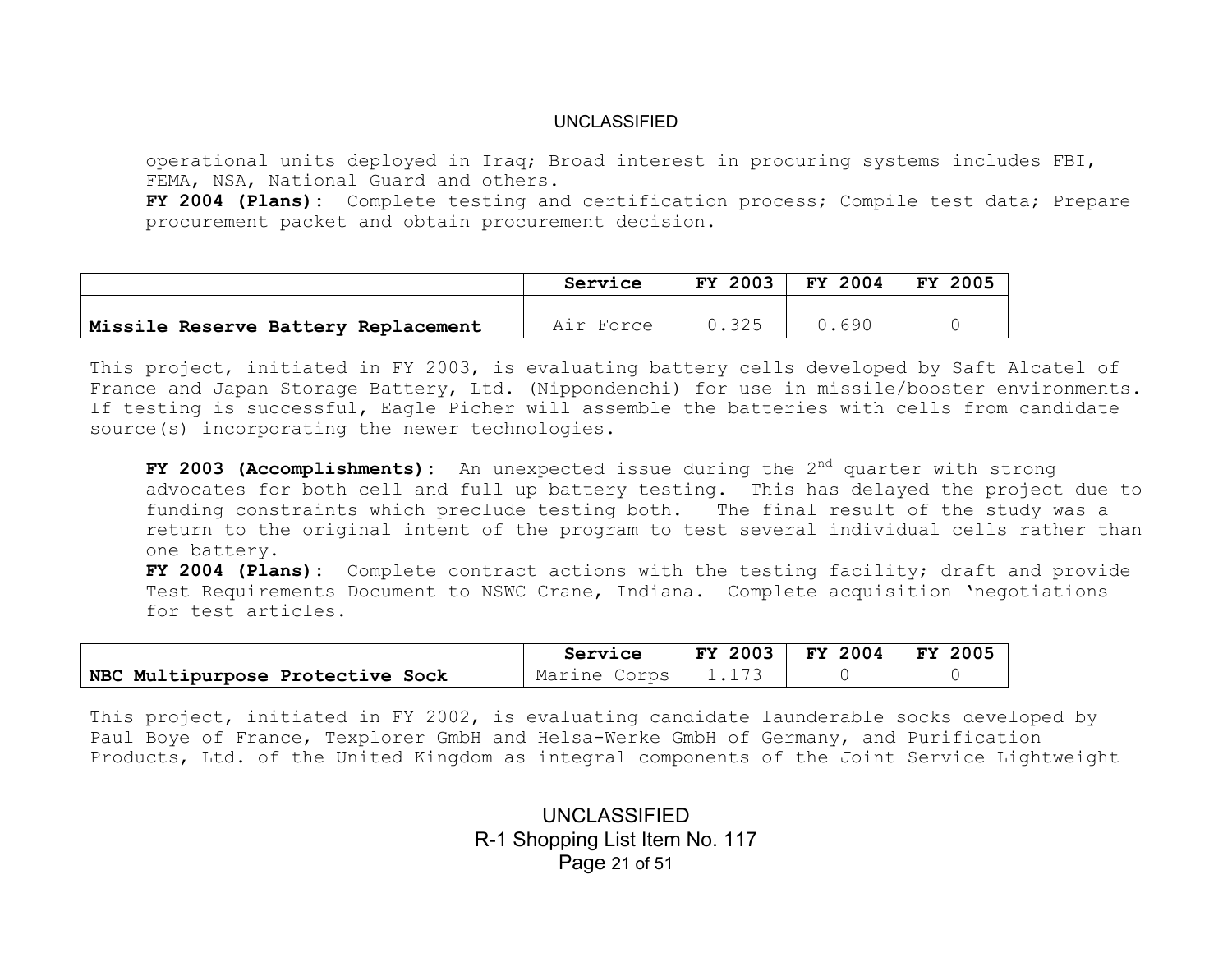operational units deployed in Iraq; Broad interest in procuring systems includes FBI, FEMA, NSA, National Guard and others.

**FY 2004 (Plans):** Complete testing and certification process; Compile test data; Prepare procurement packet and obtain procurement decision.

|                                     | Service   | <b>FY 2003</b> | <b>FY 2004</b> | 2005<br><b>FY</b> |
|-------------------------------------|-----------|----------------|----------------|-------------------|
| Missile Reserve Battery Replacement | Air Force | 0.325          | 0.690          |                   |

This project, initiated in FY 2003, is evaluating battery cells developed by Saft Alcatel of France and Japan Storage Battery, Ltd. (Nippondenchi) for use in missile/booster environments. If testing is successful, Eagle Picher will assemble the batteries with cells from candidate source(s) incorporating the newer technologies.

FY 2003 (Accomplishments): An unexpected issue during the 2<sup>nd</sup> quarter with strong advocates for both cell and full up battery testing. This has delayed the project due to funding constraints which preclude testing both. The final result of the study was a return to the original intent of the program to test several individual cells rather than one battery.

**FY 2004 (Plans):** Complete contract actions with the testing facility; draft and provide Test Requirements Document to NSWC Crane, Indiana. Complete acquisition 'negotiations for test articles.

|                                  | Service      | <b>FY 2003</b> | FY 2004 | <b>FY 2005</b> |
|----------------------------------|--------------|----------------|---------|----------------|
| NBC Multipurpose Protective Sock | Marine Corps |                |         |                |

This project, initiated in FY 2002, is evaluating candidate launderable socks developed by Paul Boye of France, Texplorer GmbH and Helsa-Werke GmbH of Germany, and Purification Products, Ltd. of the United Kingdom as integral components of the Joint Service Lightweight

> UNCLASSIFIED R-1 Shopping List Item No. 117 Page 21 of 51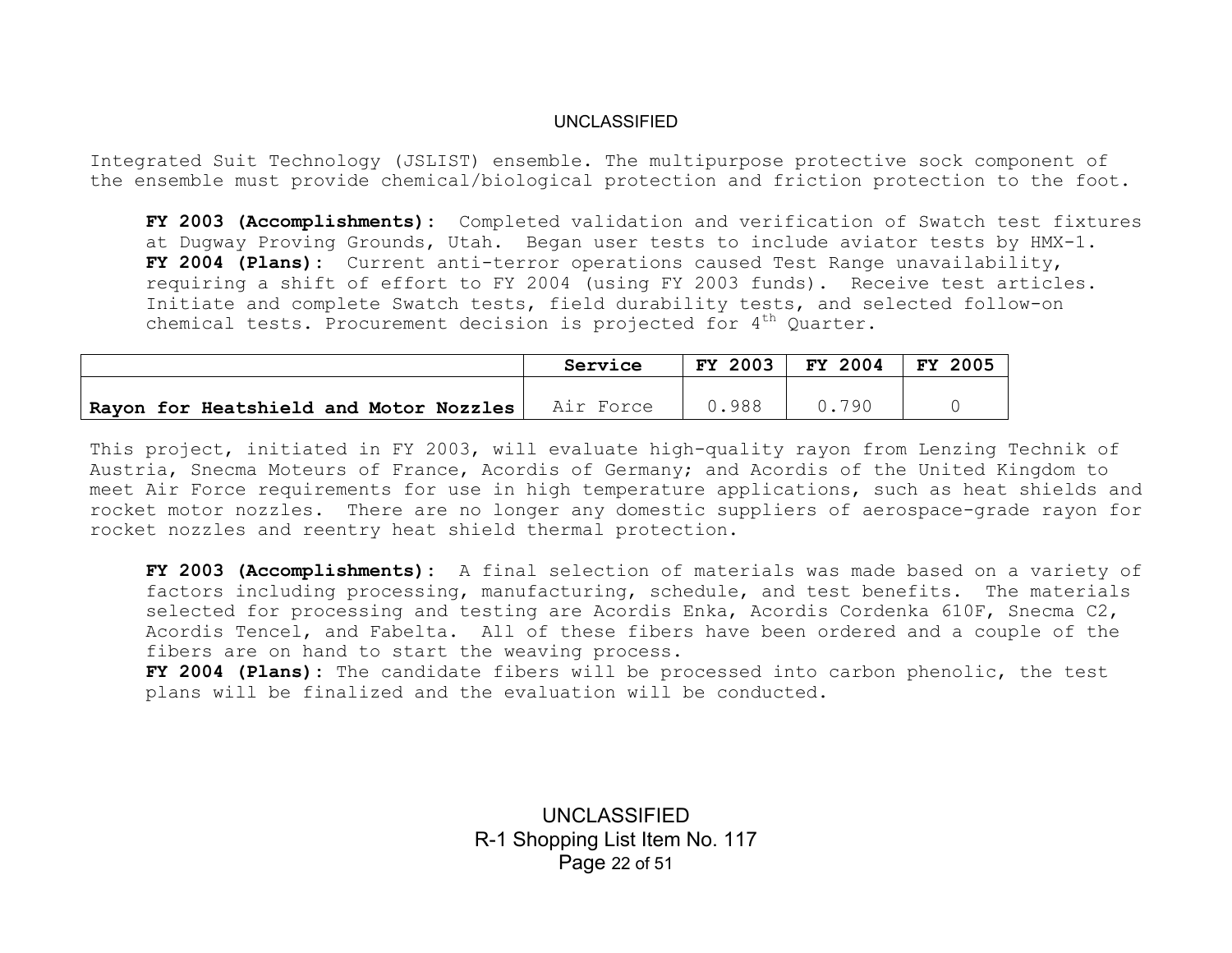Integrated Suit Technology (JSLIST) ensemble. The multipurpose protective sock component of the ensemble must provide chemical/biological protection and friction protection to the foot.

**FY 2003 (Accomplishments):** Completed validation and verification of Swatch test fixtures at Dugway Proving Grounds, Utah. Began user tests to include aviator tests by HMX-1. **FY 2004 (Plans):** Current anti-terror operations caused Test Range unavailability, requiring a shift of effort to FY 2004 (using FY 2003 funds). Receive test articles. Initiate and complete Swatch tests, field durability tests, and selected follow-on chemical tests. Procurement decision is projected for  $4<sup>th</sup>$  Quarter.

|                                        | Service   | FY 2003 | FY 2004 | FY 2005 |
|----------------------------------------|-----------|---------|---------|---------|
|                                        |           |         |         |         |
| Rayon for Heatshield and Motor Nozzles | Air Force | 988     | . 790   |         |

This project, initiated in FY 2003, will evaluate high-quality rayon from Lenzing Technik of Austria, Snecma Moteurs of France, Acordis of Germany; and Acordis of the United Kingdom to meet Air Force requirements for use in high temperature applications, such as heat shields and rocket motor nozzles. There are no longer any domestic suppliers of aerospace-grade rayon for rocket nozzles and reentry heat shield thermal protection.

**FY 2003 (Accomplishments):** A final selection of materials was made based on a variety of factors including processing, manufacturing, schedule, and test benefits. The materials selected for processing and testing are Acordis Enka, Acordis Cordenka 610F, Snecma C2, Acordis Tencel, and Fabelta. All of these fibers have been ordered and a couple of the fibers are on hand to start the weaving process.

**FY 2004 (Plans):** The candidate fibers will be processed into carbon phenolic, the test plans will be finalized and the evaluation will be conducted.

> UNCLASSIFIED R-1 Shopping List Item No. 117 Page 22 of 51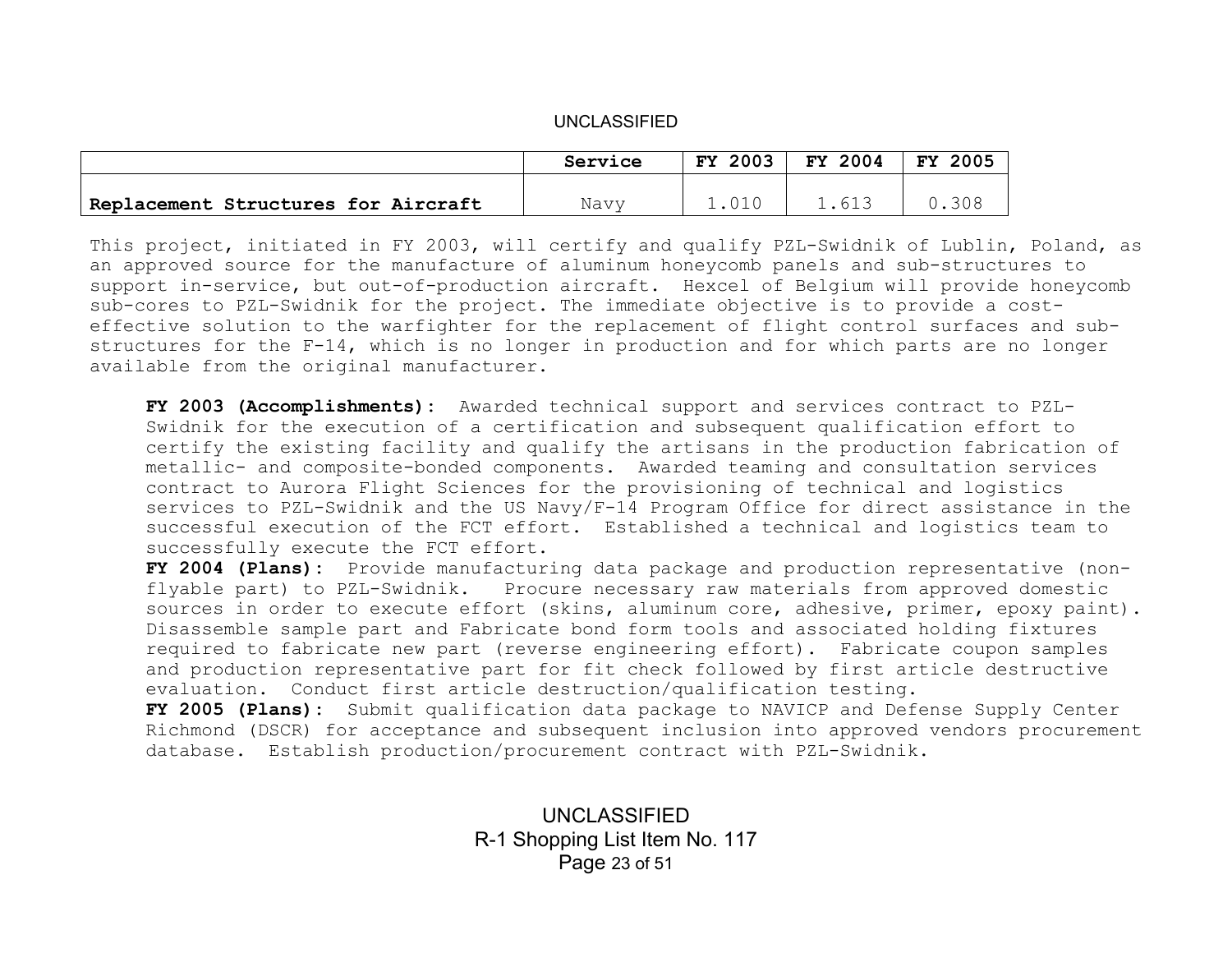|                                     | Service | <b>FY 2003</b> | FY 2004 | <b>FY 2005</b> |
|-------------------------------------|---------|----------------|---------|----------------|
|                                     |         |                |         |                |
| Replacement Structures for Aircraft | Navv    |                | 613     | 308            |

This project, initiated in FY 2003, will certify and qualify PZL-Swidnik of Lublin, Poland, as an approved source for the manufacture of aluminum honeycomb panels and sub-structures to support in-service, but out-of-production aircraft. Hexcel of Belgium will provide honeycomb sub-cores to PZL-Swidnik for the project. The immediate objective is to provide a costeffective solution to the warfighter for the replacement of flight control surfaces and substructures for the F-14, which is no longer in production and for which parts are no longer available from the original manufacturer.

**FY 2003 (Accomplishments):** Awarded technical support and services contract to PZL-Swidnik for the execution of a certification and subsequent qualification effort to certify the existing facility and qualify the artisans in the production fabrication of metallic- and composite-bonded components. Awarded teaming and consultation services contract to Aurora Flight Sciences for the provisioning of technical and logistics services to PZL-Swidnik and the US Navy/F-14 Program Office for direct assistance in the successful execution of the FCT effort. Established a technical and logistics team to successfully execute the FCT effort.

**FY 2004 (Plans):** Provide manufacturing data package and production representative (nonflyable part) to PZL-Swidnik. Procure necessary raw materials from approved domestic sources in order to execute effort (skins, aluminum core, adhesive, primer, epoxy paint). Disassemble sample part and Fabricate bond form tools and associated holding fixtures required to fabricate new part (reverse engineering effort). Fabricate coupon samples and production representative part for fit check followed by first article destructive evaluation. Conduct first article destruction/qualification testing.

**FY 2005 (Plans):** Submit qualification data package to NAVICP and Defense Supply Center Richmond (DSCR) for acceptance and subsequent inclusion into approved vendors procurement database. Establish production/procurement contract with PZL-Swidnik.

> UNCLASSIFIED R-1 Shopping List Item No. 117 Page 23 of 51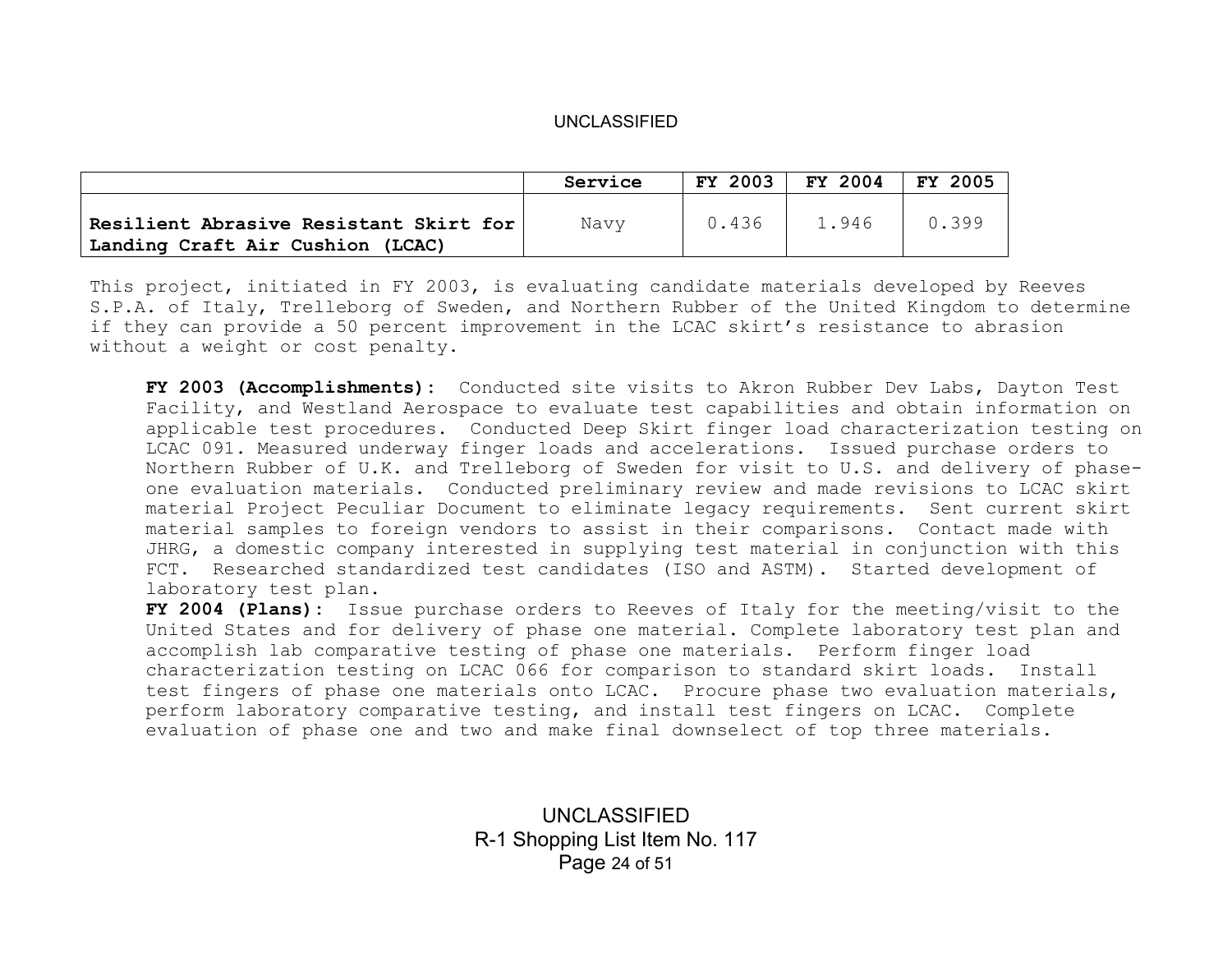|                                                                            | Service | FY 2003 | FY 2004 | 2005<br>FY. |
|----------------------------------------------------------------------------|---------|---------|---------|-------------|
| Resilient Abrasive Resistant Skirt for<br>Landing Craft Air Cushion (LCAC) | Navy    | 0.436   | 1.946   | 0.399       |

This project, initiated in FY 2003, is evaluating candidate materials developed by Reeves S.P.A. of Italy, Trelleborg of Sweden, and Northern Rubber of the United Kingdom to determine if they can provide a 50 percent improvement in the LCAC skirt's resistance to abrasion without a weight or cost penalty.

**FY 2003 (Accomplishments):** Conducted site visits to Akron Rubber Dev Labs, Dayton Test Facility, and Westland Aerospace to evaluate test capabilities and obtain information on applicable test procedures. Conducted Deep Skirt finger load characterization testing on LCAC 091. Measured underway finger loads and accelerations. Issued purchase orders to Northern Rubber of U.K. and Trelleborg of Sweden for visit to U.S. and delivery of phaseone evaluation materials. Conducted preliminary review and made revisions to LCAC skirt material Project Peculiar Document to eliminate legacy requirements. Sent current skirt material samples to foreign vendors to assist in their comparisons. Contact made with JHRG, a domestic company interested in supplying test material in conjunction with this FCT. Researched standardized test candidates (ISO and ASTM). Started development of laboratory test plan.

**FY 2004 (Plans):** Issue purchase orders to Reeves of Italy for the meeting/visit to the United States and for delivery of phase one material. Complete laboratory test plan and accomplish lab comparative testing of phase one materials. Perform finger load characterization testing on LCAC 066 for comparison to standard skirt loads. Install test fingers of phase one materials onto LCAC. Procure phase two evaluation materials, perform laboratory comparative testing, and install test fingers on LCAC. Complete evaluation of phase one and two and make final downselect of top three materials.

> UNCLASSIFIED R-1 Shopping List Item No. 117 Page 24 of 51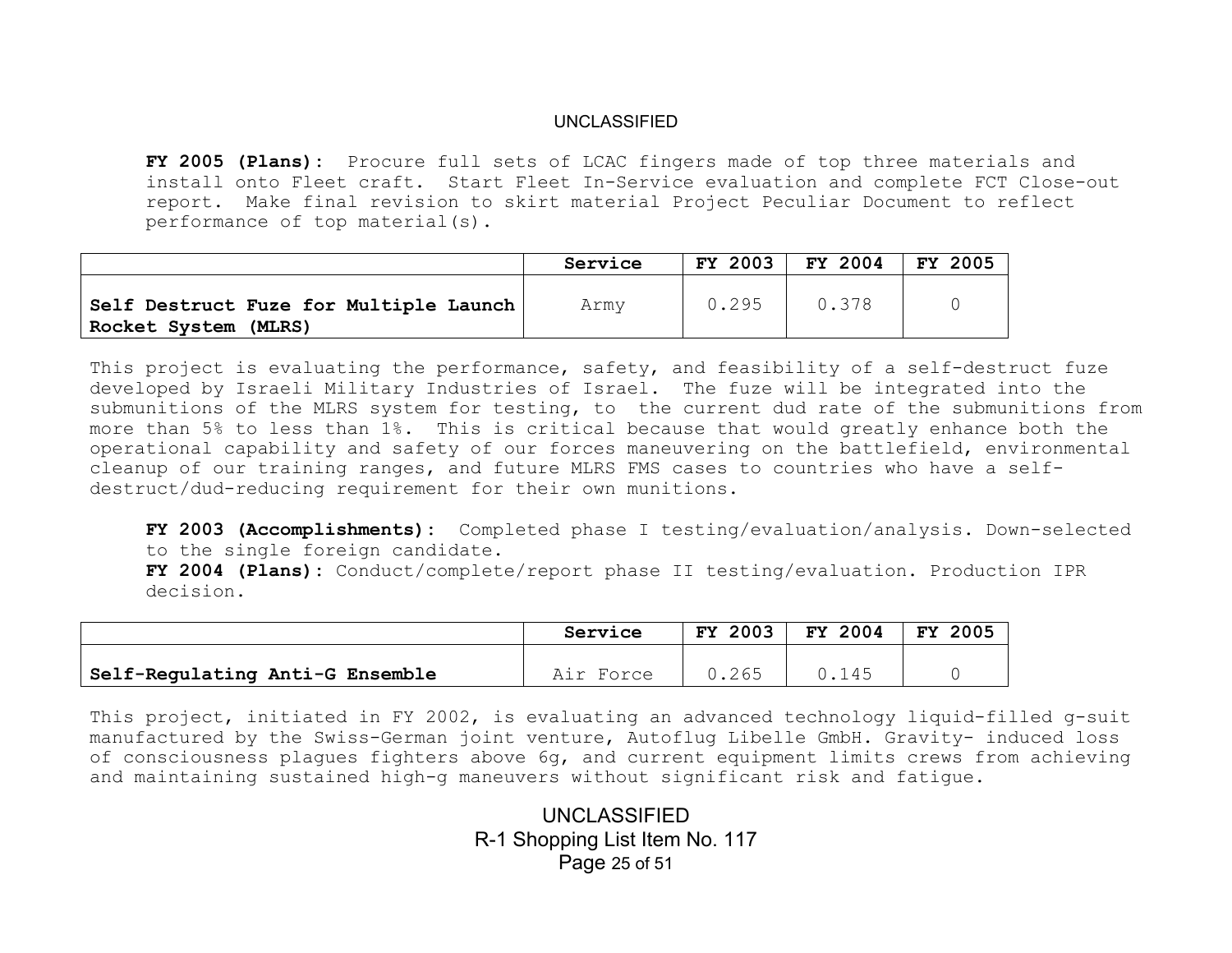**FY 2005 (Plans):** Procure full sets of LCAC fingers made of top three materials and install onto Fleet craft. Start Fleet In-Service evaluation and complete FCT Close-out report. Make final revision to skirt material Project Peculiar Document to reflect performance of top material(s).

|                                                                  | Service | FY 2003 | FY 2004 | FY 2005 |
|------------------------------------------------------------------|---------|---------|---------|---------|
| Self Destruct Fuze for Multiple Launch  <br>Rocket System (MLRS) | Army    | 0.295   | 0.378   |         |

This project is evaluating the performance, safety, and feasibility of a self-destruct fuze developed by Israeli Military Industries of Israel. The fuze will be integrated into the submunitions of the MLRS system for testing, to the current dud rate of the submunitions from more than 5% to less than 1%. This is critical because that would greatly enhance both the operational capability and safety of our forces maneuvering on the battlefield, environmental cleanup of our training ranges, and future MLRS FMS cases to countries who have a selfdestruct/dud-reducing requirement for their own munitions.

**FY 2003 (Accomplishments):** Completed phase I testing/evaluation/analysis. Down-selected to the single foreign candidate.

**FY 2004 (Plans):** Conduct/complete/report phase II testing/evaluation. Production IPR decision.

|                                 | Service   | <b>FY 2003</b> | FY 2004 | FY 2005 |
|---------------------------------|-----------|----------------|---------|---------|
|                                 |           |                |         |         |
| Self-Regulating Anti-G Ensemble | Air Force | 0.265          | 0.145   |         |

This project, initiated in FY 2002, is evaluating an advanced technology liquid-filled g-suit manufactured by the Swiss-German joint venture, Autoflug Libelle GmbH. Gravity- induced loss of consciousness plagues fighters above 6g, and current equipment limits crews from achieving and maintaining sustained high-g maneuvers without significant risk and fatigue.

> UNCLASSIFIED R-1 Shopping List Item No. 117 Page 25 of 51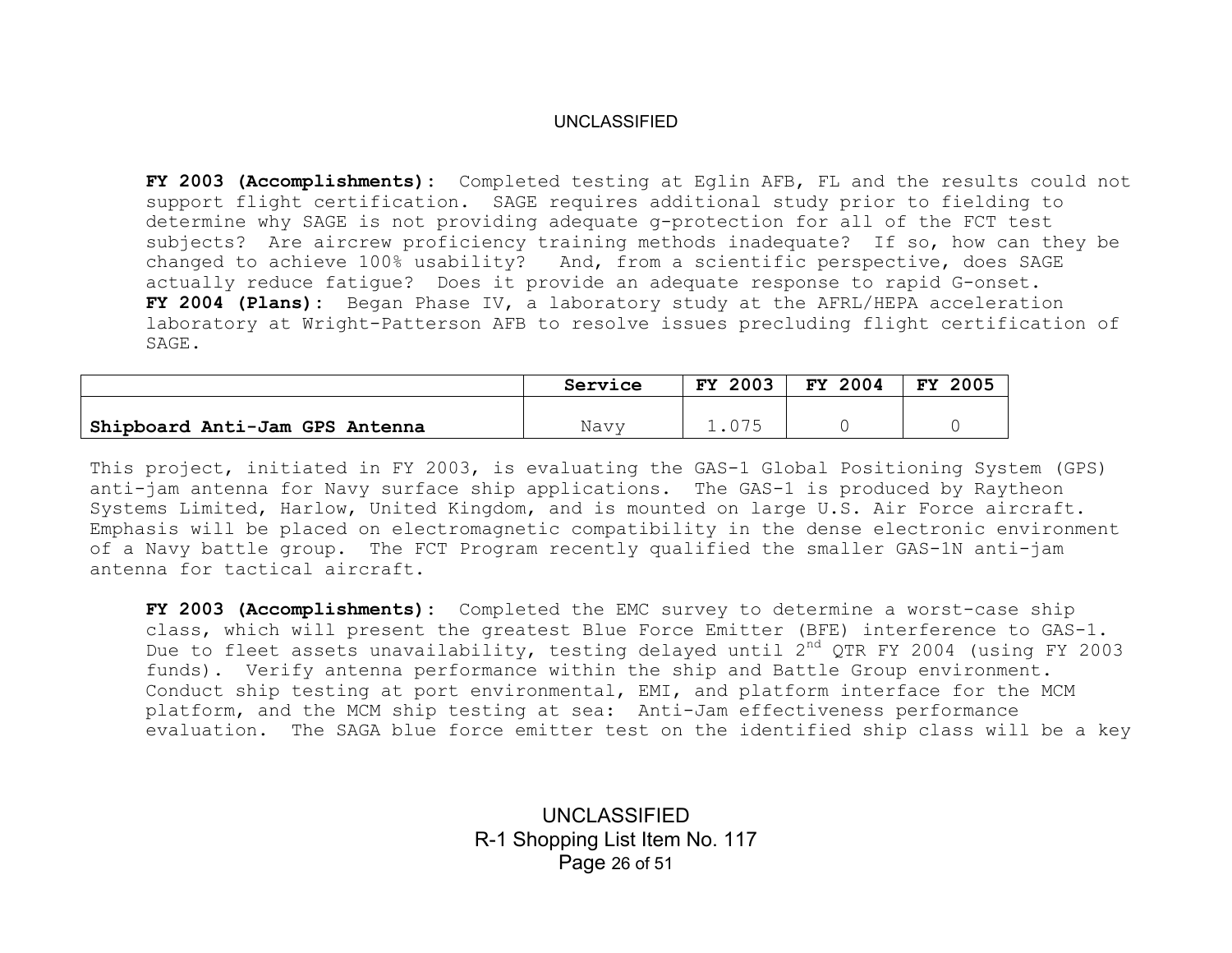**FY 2003 (Accomplishments):** Completed testing at Eglin AFB, FL and the results could not support flight certification. SAGE requires additional study prior to fielding to determine why SAGE is not providing adequate g-protection for all of the FCT test subjects? Are aircrew proficiency training methods inadequate? If so, how can they be changed to achieve 100% usability? And, from a scientific perspective, does SAGE actually reduce fatigue? Does it provide an adequate response to rapid G-onset. **FY 2004 (Plans):** Began Phase IV, a laboratory study at the AFRL/HEPA acceleration laboratory at Wright-Patterson AFB to resolve issues precluding flight certification of SAGE.

|                                | Service | <b>FY 2003</b> | FY 2004 | 2005<br>FY. |
|--------------------------------|---------|----------------|---------|-------------|
| Shipboard Anti-Jam GPS Antenna | Navy    |                |         |             |

This project, initiated in FY 2003, is evaluating the GAS-1 Global Positioning System (GPS) anti-jam antenna for Navy surface ship applications. The GAS-1 is produced by Raytheon Systems Limited, Harlow, United Kingdom, and is mounted on large U.S. Air Force aircraft. Emphasis will be placed on electromagnetic compatibility in the dense electronic environment of a Navy battle group. The FCT Program recently qualified the smaller GAS-1N anti-jam antenna for tactical aircraft.

**FY 2003 (Accomplishments):** Completed the EMC survey to determine a worst-case ship class, which will present the greatest Blue Force Emitter (BFE) interference to GAS-1. Due to fleet assets unavailability, testing delayed until 2<sup>nd</sup> QTR FY 2004 (using FY 2003 funds). Verify antenna performance within the ship and Battle Group environment. Conduct ship testing at port environmental, EMI, and platform interface for the MCM platform, and the MCM ship testing at sea: Anti-Jam effectiveness performance evaluation. The SAGA blue force emitter test on the identified ship class will be a key

> UNCLASSIFIED R-1 Shopping List Item No. 117 Page 26 of 51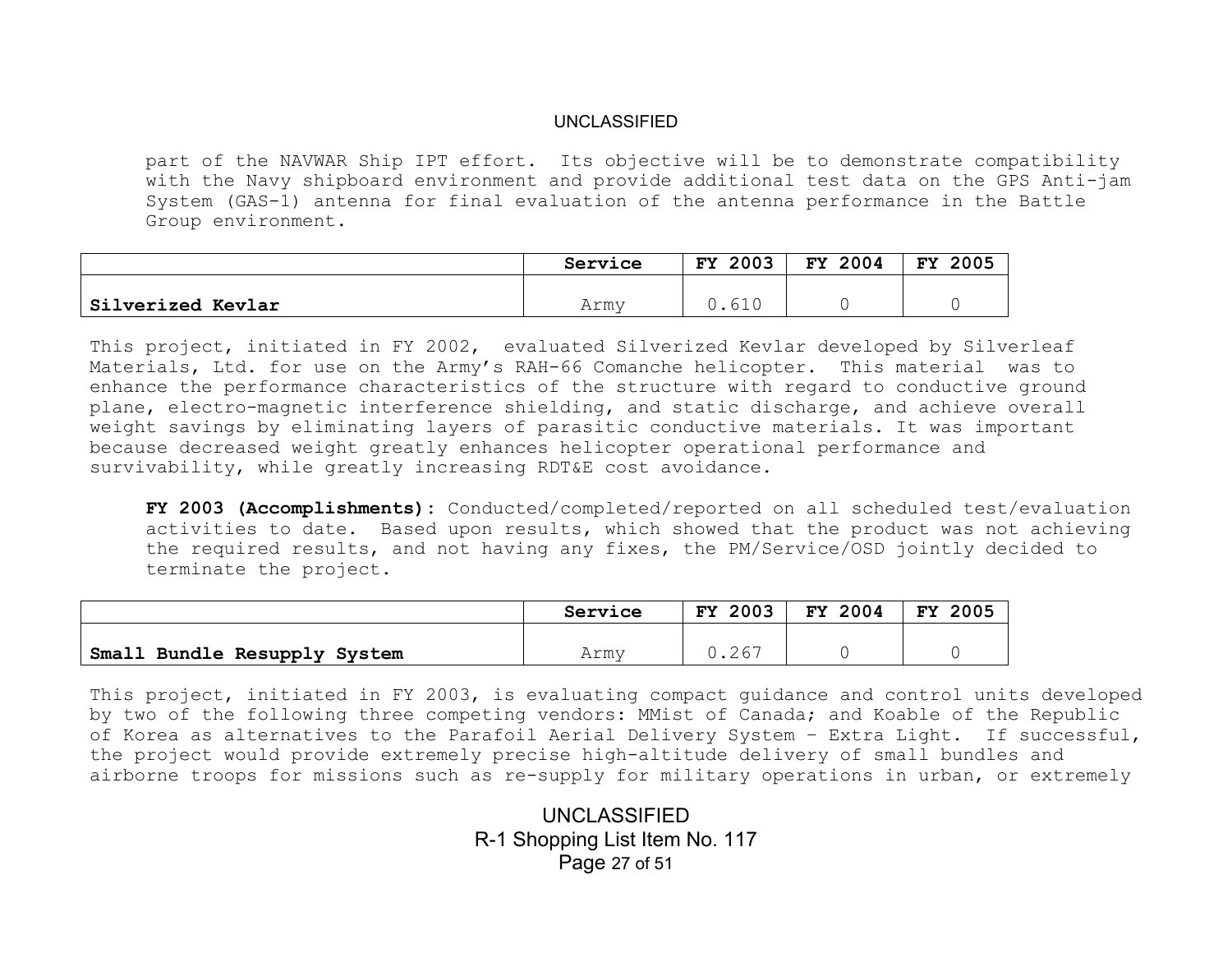part of the NAVWAR Ship IPT effort. Its objective will be to demonstrate compatibility with the Navy shipboard environment and provide additional test data on the GPS Anti-jam System (GAS-1) antenna for final evaluation of the antenna performance in the Battle Group environment.

|                          | Service | 2003<br>FY. | 2004<br><b>FY</b> | <b>FY</b><br>2005 |
|--------------------------|---------|-------------|-------------------|-------------------|
|                          |         |             |                   |                   |
| <b>Silverized Kevlar</b> | Armv    |             |                   |                   |

This project, initiated in FY 2002, evaluated Silverized Kevlar developed by Silverleaf Materials, Ltd. for use on the Army's RAH-66 Comanche helicopter. This material was to enhance the performance characteristics of the structure with regard to conductive ground plane, electro-magnetic interference shielding, and static discharge, and achieve overall weight savings by eliminating layers of parasitic conductive materials. It was important because decreased weight greatly enhances helicopter operational performance and survivability, while greatly increasing RDT&E cost avoidance.

**FY 2003 (Accomplishments):** Conducted/completed/reported on all scheduled test/evaluation activities to date. Based upon results, which showed that the product was not achieving the required results, and not having any fixes, the PM/Service/OSD jointly decided to terminate the project.

|                              | Service | <b>FY 2003</b> | FY 2004 | 2005<br><b>FY</b> |
|------------------------------|---------|----------------|---------|-------------------|
|                              |         |                |         |                   |
| Small Bundle Resupply System | Armv    | J.267          |         |                   |

This project, initiated in FY 2003, is evaluating compact guidance and control units developed by two of the following three competing vendors: MMist of Canada; and Koable of the Republic of Korea as alternatives to the Parafoil Aerial Delivery System – Extra Light. If successful, the project would provide extremely precise high-altitude delivery of small bundles and airborne troops for missions such as re-supply for military operations in urban, or extremely

> UNCLASSIFIED R-1 Shopping List Item No. 117 Page 27 of 51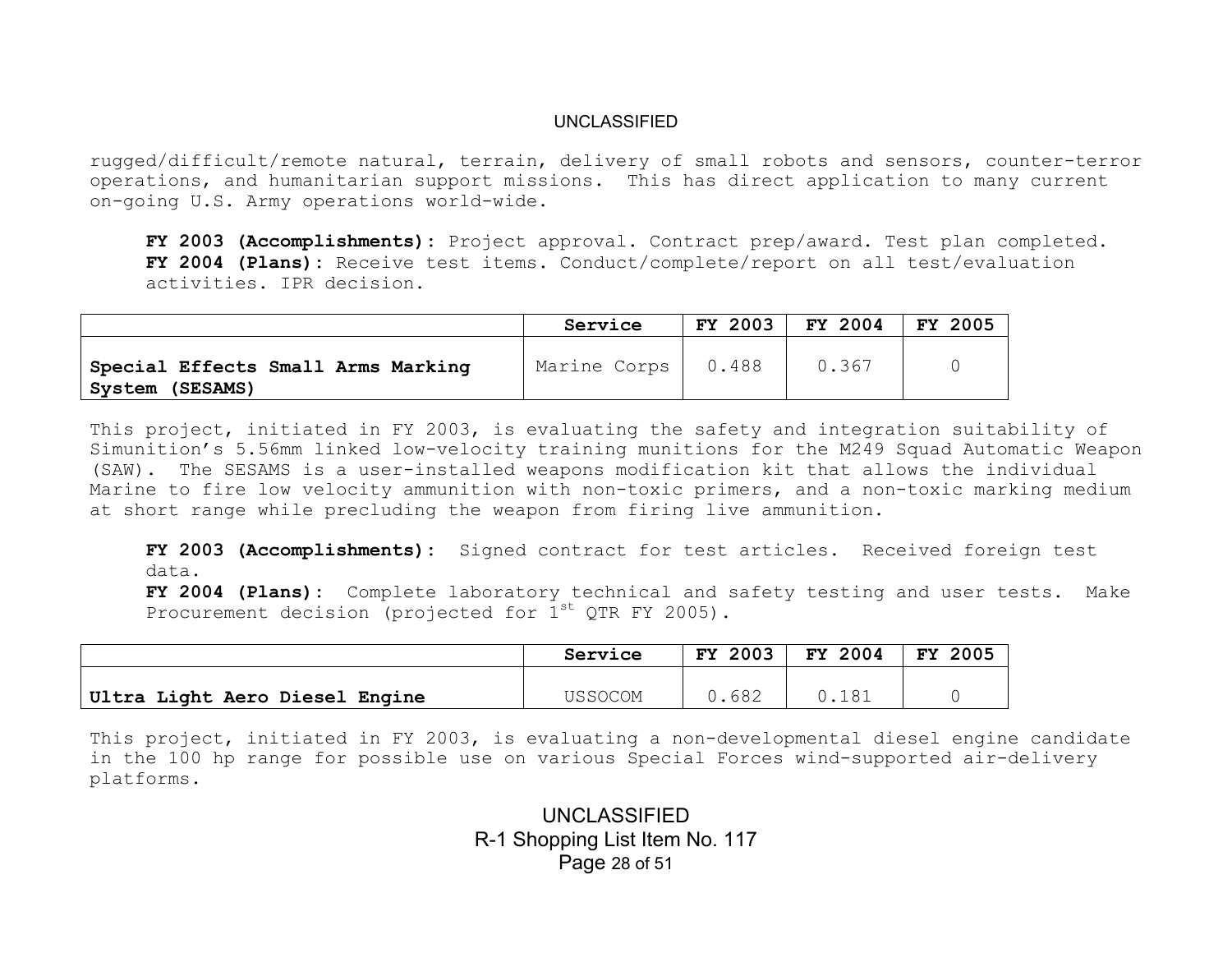rugged/difficult/remote natural, terrain, delivery of small robots and sensors, counter-terror operations, and humanitarian support missions. This has direct application to many current on-going U.S. Army operations world-wide.

**FY 2003 (Accomplishments):** Project approval. Contract prep/award. Test plan completed. **FY 2004 (Plans):** Receive test items. Conduct/complete/report on all test/evaluation activities. IPR decision.

|                                                       | Service      | FY 2003 | FY 2004 | FY 2005 |
|-------------------------------------------------------|--------------|---------|---------|---------|
| Special Effects Small Arms Marking<br>System (SESAMS) | Marine Corps | 0.488   | 0.367   |         |

This project, initiated in FY 2003, is evaluating the safety and integration suitability of Simunition's 5.56mm linked low-velocity training munitions for the M249 Squad Automatic Weapon (SAW). The SESAMS is a user-installed weapons modification kit that allows the individual Marine to fire low velocity ammunition with non-toxic primers, and a non-toxic marking medium at short range while precluding the weapon from firing live ammunition.

**FY 2003 (Accomplishments):** Signed contract for test articles. Received foreign test data.

**FY 2004 (Plans):** Complete laboratory technical and safety testing and user tests. Make Procurement decision (projected for  $1^{st}$  QTR FY 2005).

|                                | Service | FY 2003 | FY 2004 | <b>FY</b><br>2005 |
|--------------------------------|---------|---------|---------|-------------------|
|                                | USSOCOM | .682    | 0.181   |                   |
| Ultra Light Aero Diesel Engine |         |         |         |                   |

This project, initiated in FY 2003, is evaluating a non-developmental diesel engine candidate in the 100 hp range for possible use on various Special Forces wind-supported air-delivery platforms.

> UNCLASSIFIED R-1 Shopping List Item No. 117 Page 28 of 51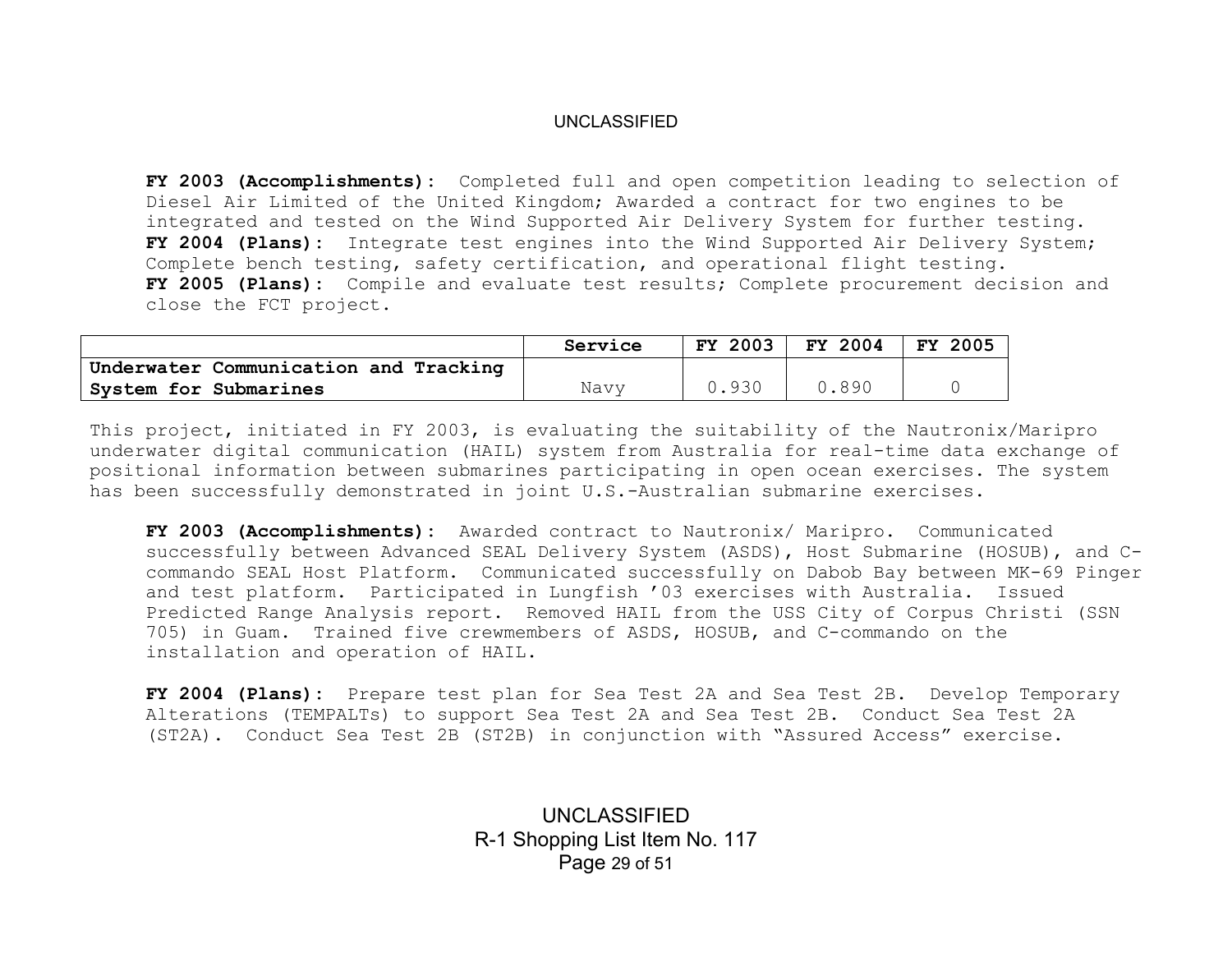**FY 2003 (Accomplishments):** Completed full and open competition leading to selection of Diesel Air Limited of the United Kingdom; Awarded a contract for two engines to be integrated and tested on the Wind Supported Air Delivery System for further testing. **FY 2004 (Plans):** Integrate test engines into the Wind Supported Air Delivery System; Complete bench testing, safety certification, and operational flight testing. **FY 2005 (Plans):** Compile and evaluate test results; Complete procurement decision and close the FCT project.

|                                       | Service | 2003<br>FY. | FY 2004 | 2005<br><b>FY</b> |
|---------------------------------------|---------|-------------|---------|-------------------|
| Underwater Communication and Tracking |         |             |         |                   |
| System for Submarines                 | Navv    | 1.930       | 0.890   |                   |

This project, initiated in FY 2003, is evaluating the suitability of the Nautronix/Maripro underwater digital communication (HAIL) system from Australia for real-time data exchange of positional information between submarines participating in open ocean exercises. The system has been successfully demonstrated in joint U.S.-Australian submarine exercises.

**FY 2003 (Accomplishments):** Awarded contract to Nautronix/ Maripro. Communicated successfully between Advanced SEAL Delivery System (ASDS), Host Submarine (HOSUB), and Ccommando SEAL Host Platform. Communicated successfully on Dabob Bay between MK-69 Pinger and test platform. Participated in Lungfish '03 exercises with Australia. Issued Predicted Range Analysis report. Removed HAIL from the USS City of Corpus Christi (SSN 705) in Guam. Trained five crewmembers of ASDS, HOSUB, and C-commando on the installation and operation of HAIL.

**FY 2004 (Plans):** Prepare test plan for Sea Test 2A and Sea Test 2B. Develop Temporary Alterations (TEMPALTs) to support Sea Test 2A and Sea Test 2B. Conduct Sea Test 2A (ST2A). Conduct Sea Test 2B (ST2B) in conjunction with "Assured Access" exercise.

> UNCLASSIFIED R-1 Shopping List Item No. 117 Page 29 of 51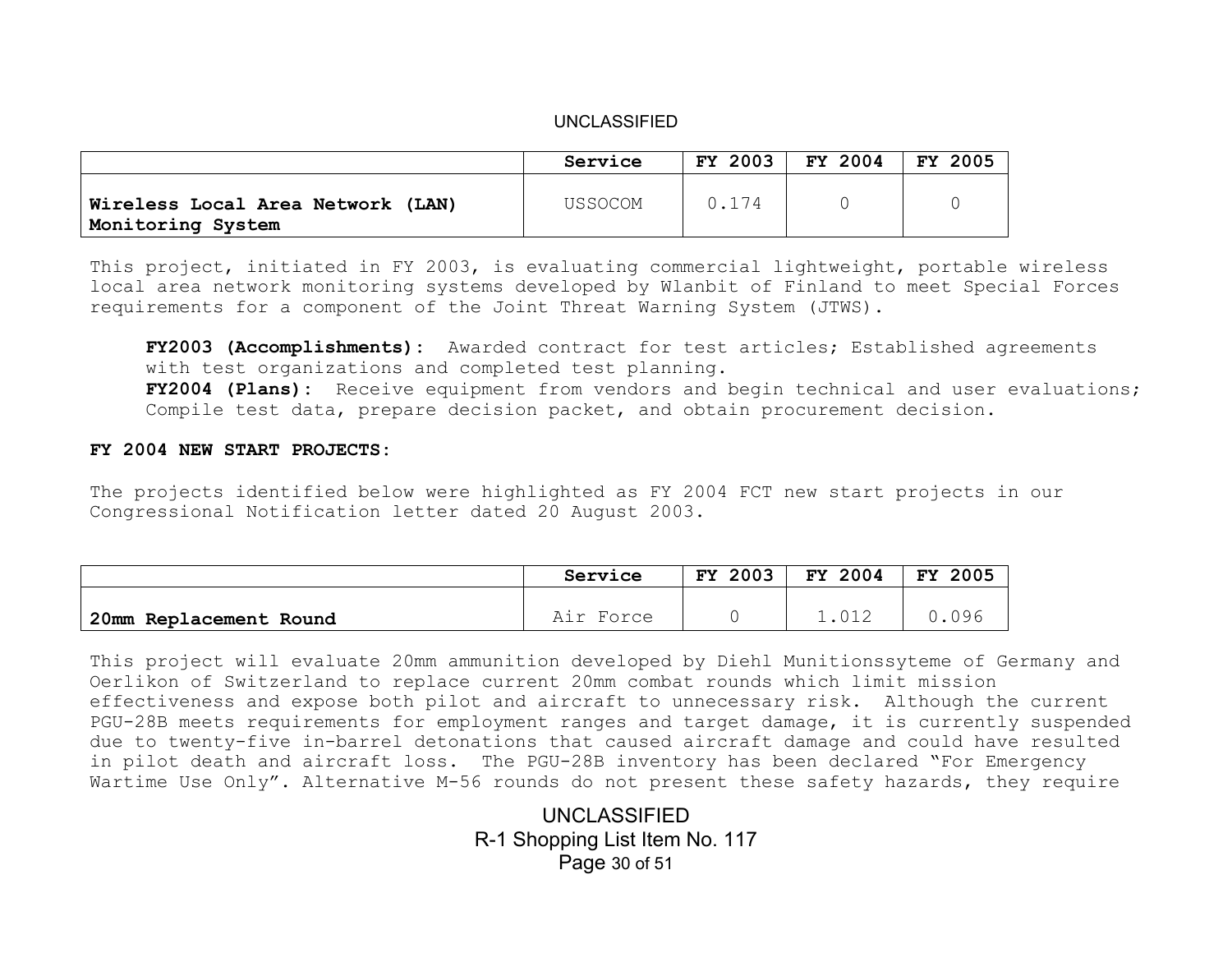|                                                        | Service        | FY 2003 | FY 2004 | FY 2005 |
|--------------------------------------------------------|----------------|---------|---------|---------|
| Wireless Local Area Network (LAN)<br>Monitoring System | <b>USSOCOM</b> | 0.174   |         |         |

This project, initiated in FY 2003, is evaluating commercial lightweight, portable wireless local area network monitoring systems developed by Wlanbit of Finland to meet Special Forces requirements for a component of the Joint Threat Warning System (JTWS).

**FY2003 (Accomplishments):** Awarded contract for test articles; Established agreements with test organizations and completed test planning. **FY2004 (Plans):** Receive equipment from vendors and begin technical and user evaluations; Compile test data, prepare decision packet, and obtain procurement decision.

#### **FY 2004 NEW START PROJECTS:**

The projects identified below were highlighted as FY 2004 FCT new start projects in our Congressional Notification letter dated 20 August 2003.

|                        | Service   | <b>FY 2003</b> | FY 2004 | FY 2005 |
|------------------------|-----------|----------------|---------|---------|
|                        |           |                |         |         |
| 20mm Replacement Round | Air Force |                | 1.012   | .096    |

This project will evaluate 20mm ammunition developed by Diehl Munitionssyteme of Germany and Oerlikon of Switzerland to replace current 20mm combat rounds which limit mission effectiveness and expose both pilot and aircraft to unnecessary risk. Although the current PGU-28B meets requirements for employment ranges and target damage, it is currently suspended due to twenty-five in-barrel detonations that caused aircraft damage and could have resulted in pilot death and aircraft loss. The PGU-28B inventory has been declared "For Emergency Wartime Use Only". Alternative M-56 rounds do not present these safety hazards, they require

> UNCLASSIFIED R-1 Shopping List Item No. 117 Page 30 of 51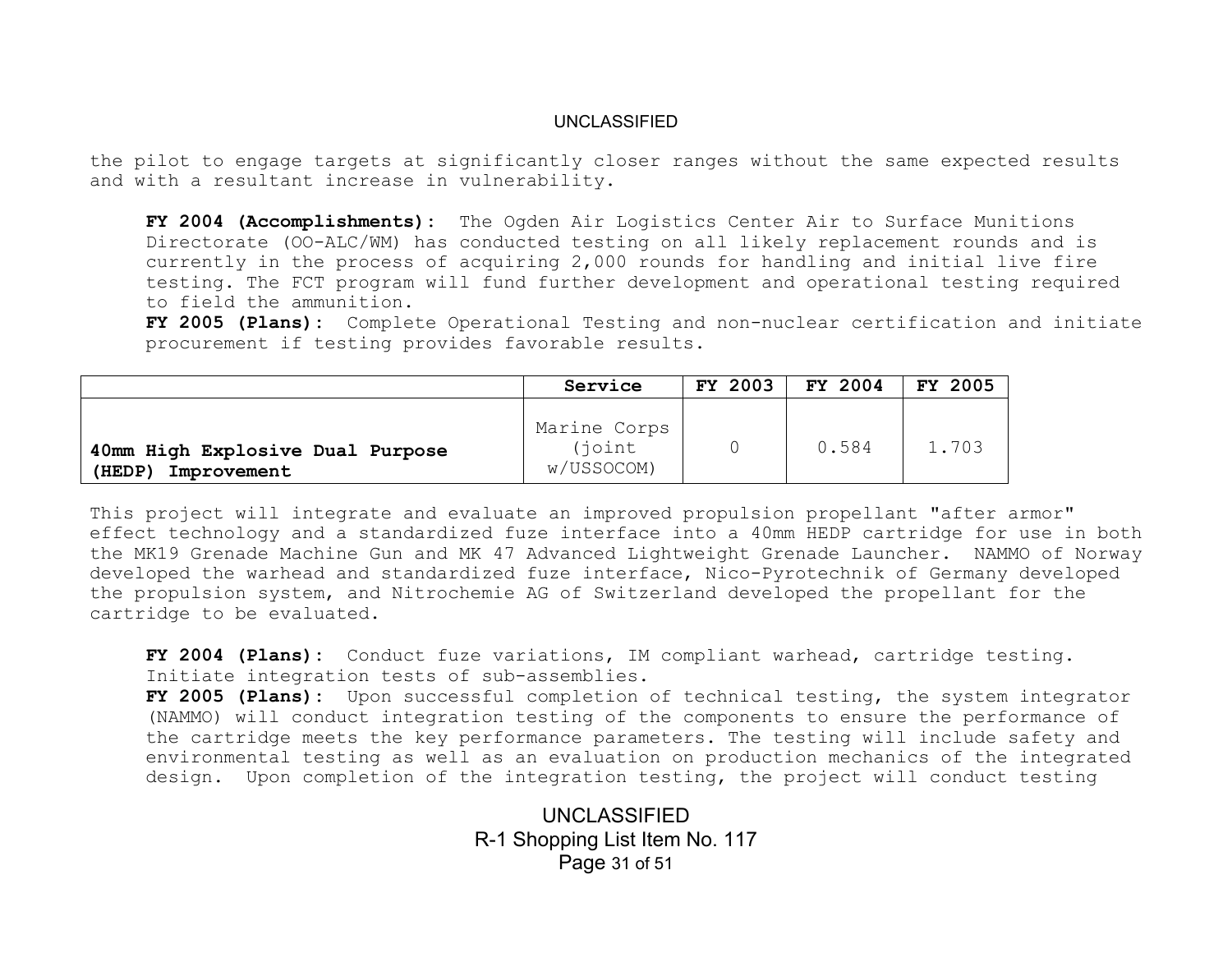the pilot to engage targets at significantly closer ranges without the same expected results and with a resultant increase in vulnerability.

**FY 2004 (Accomplishments):** The Ogden Air Logistics Center Air to Surface Munitions Directorate (OO-ALC/WM) has conducted testing on all likely replacement rounds and is currently in the process of acquiring 2,000 rounds for handling and initial live fire testing. The FCT program will fund further development and operational testing required to field the ammunition.

**FY 2005 (Plans):** Complete Operational Testing and non-nuclear certification and initiate procurement if testing provides favorable results.

|                                                           | Service                               | <b>FY 2003</b> | FY 2004 | FY 2005 |
|-----------------------------------------------------------|---------------------------------------|----------------|---------|---------|
| 40mm High Explosive Dual Purpose<br>(HEDP)<br>Improvement | Marine Corps<br>(joint)<br>w/USSOCOM) |                | 0.584   | 1.703   |

This project will integrate and evaluate an improved propulsion propellant "after armor" effect technology and a standardized fuze interface into a 40mm HEDP cartridge for use in both the MK19 Grenade Machine Gun and MK 47 Advanced Lightweight Grenade Launcher. NAMMO of Norway developed the warhead and standardized fuze interface, Nico-Pyrotechnik of Germany developed the propulsion system, and Nitrochemie AG of Switzerland developed the propellant for the cartridge to be evaluated.

**FY 2004 (Plans):** Conduct fuze variations, IM compliant warhead, cartridge testing. Initiate integration tests of sub-assemblies.

**FY 2005 (Plans):** Upon successful completion of technical testing, the system integrator (NAMMO) will conduct integration testing of the components to ensure the performance of the cartridge meets the key performance parameters. The testing will include safety and environmental testing as well as an evaluation on production mechanics of the integrated design. Upon completion of the integration testing, the project will conduct testing

> UNCLASSIFIED R-1 Shopping List Item No. 117 Page 31 of 51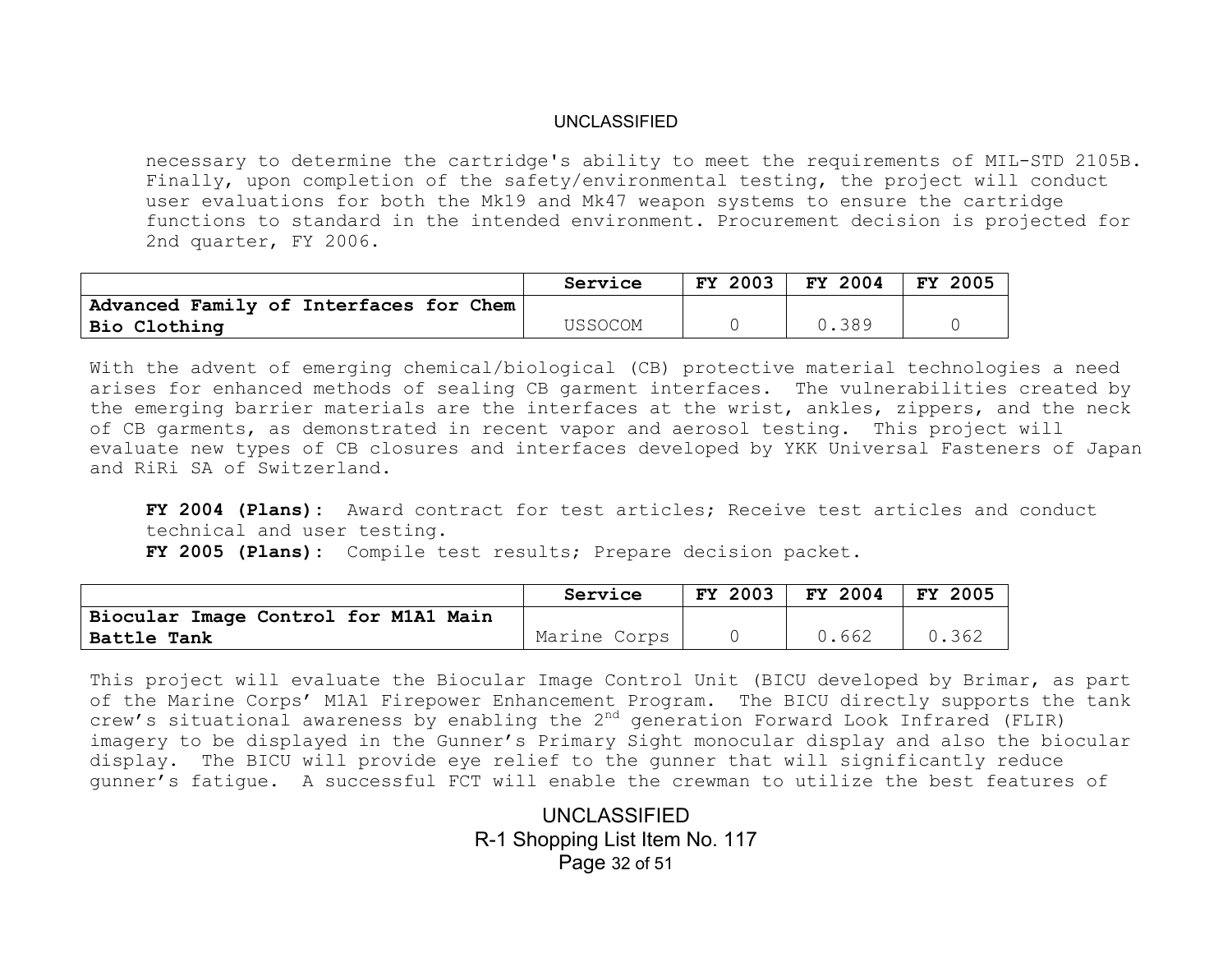necessary to determine the cartridge's ability to meet the requirements of MIL-STD 2105B. Finally, upon completion of the safety/environmental testing, the project will conduct user evaluations for both the Mk19 and Mk47 weapon systems to ensure the cartridge functions to standard in the intended environment. Procurement decision is projected for 2nd quarter, FY 2006.

|                                        | Service | <b>FY 2003</b> | FY 2004 | 2005<br>FY |
|----------------------------------------|---------|----------------|---------|------------|
| Advanced Family of Interfaces for Chem |         |                |         |            |
| Bio Clothing                           | USSOCOM |                | 0.389   |            |

With the advent of emerging chemical/biological (CB) protective material technologies a need arises for enhanced methods of sealing CB garment interfaces. The vulnerabilities created by the emerging barrier materials are the interfaces at the wrist, ankles, zippers, and the neck of CB garments, as demonstrated in recent vapor and aerosol testing. This project will evaluate new types of CB closures and interfaces developed by YKK Universal Fasteners of Japan and RiRi SA of Switzerland.

**FY 2004 (Plans):** Award contract for test articles; Receive test articles and conduct technical and user testing.

**FY 2005 (Plans):** Compile test results; Prepare decision packet.

|                                      | Service      | FY 2003 | <b>FY 2004</b> | FY 2005 |
|--------------------------------------|--------------|---------|----------------|---------|
| Biocular Image Control for M1A1 Main |              |         |                |         |
| Battle Tank                          | Marine Corps |         | 0.662          | 0.362   |

This project will evaluate the Biocular Image Control Unit (BICU developed by Brimar, as part of the Marine Corps' M1A1 Firepower Enhancement Program. The BICU directly supports the tank crew's situational awareness by enabling the  $2<sup>nd</sup>$  generation Forward Look Infrared (FLIR) imagery to be displayed in the Gunner's Primary Sight monocular display and also the biocular display. The BICU will provide eye relief to the gunner that will significantly reduce gunner's fatigue. A successful FCT will enable the crewman to utilize the best features of

> UNCLASSIFIED R-1 Shopping List Item No. 117 Page 32 of 51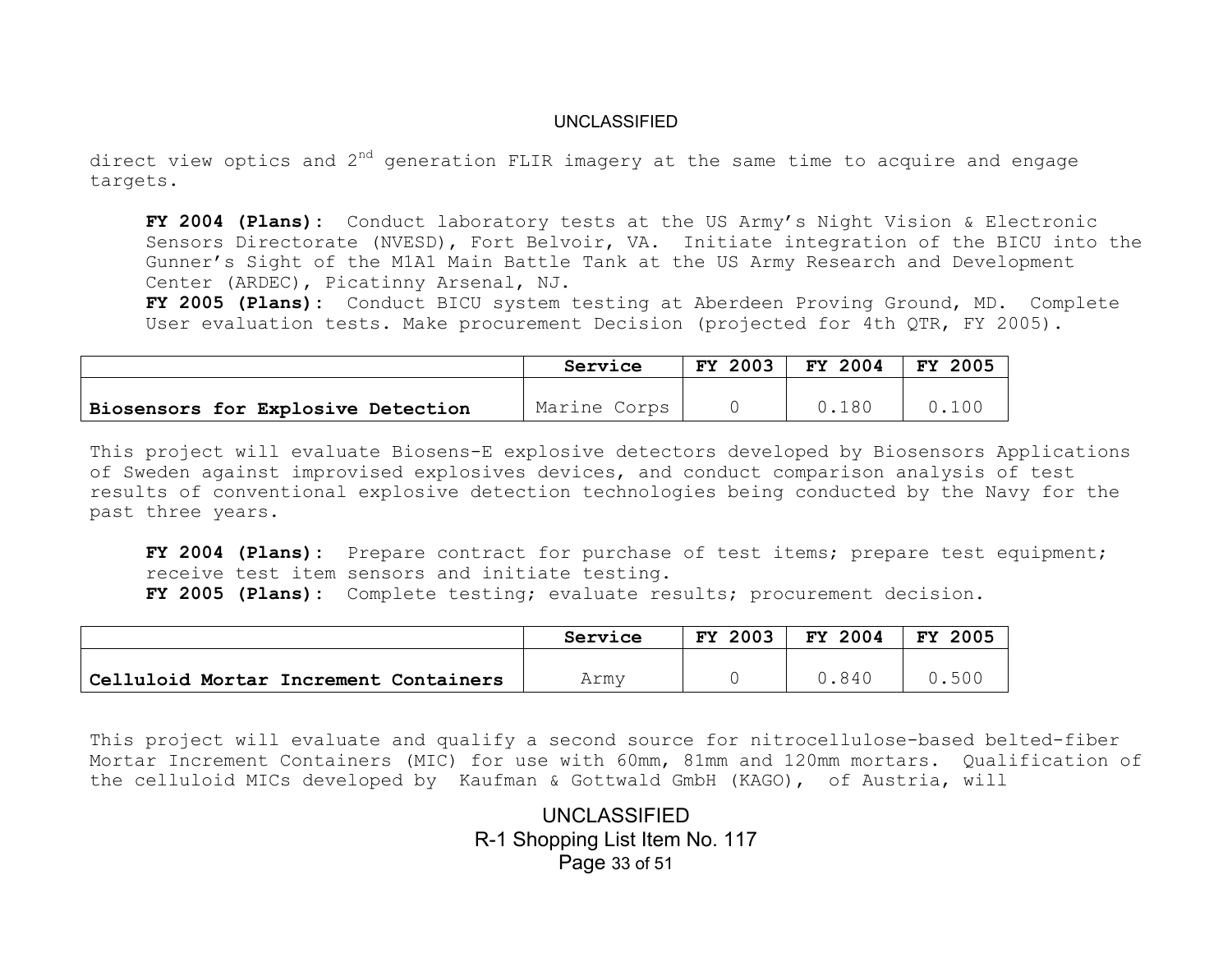direct view optics and  $2^{nd}$  generation FLIR imagery at the same time to acquire and engage targets.

**FY 2004 (Plans):** Conduct laboratory tests at the US Army's Night Vision & Electronic Sensors Directorate (NVESD), Fort Belvoir, VA. Initiate integration of the BICU into the Gunner's Sight of the M1A1 Main Battle Tank at the US Army Research and Development Center (ARDEC), Picatinny Arsenal, NJ.

**FY 2005 (Plans):** Conduct BICU system testing at Aberdeen Proving Ground, MD. Complete User evaluation tests. Make procurement Decision (projected for 4th QTR, FY 2005).

|                                    | Service      | FY 2003 | FY 2004 | FY 2005 |
|------------------------------------|--------------|---------|---------|---------|
|                                    |              |         |         |         |
| Biosensors for Explosive Detection | Marine Corps |         | .180    | 100     |

This project will evaluate Biosens-E explosive detectors developed by Biosensors Applications of Sweden against improvised explosives devices, and conduct comparison analysis of test results of conventional explosive detection technologies being conducted by the Navy for the past three years.

**FY 2004 (Plans):** Prepare contract for purchase of test items; prepare test equipment; receive test item sensors and initiate testing. **FY 2005 (Plans):** Complete testing; evaluate results; procurement decision.

|                                       | Service | FY 2003 | FY 2004 | <b>FY 2005</b> |
|---------------------------------------|---------|---------|---------|----------------|
|                                       |         |         |         |                |
| Celluloid Mortar Increment Containers | Army    |         | .840    | 0.500          |

This project will evaluate and qualify a second source for nitrocellulose-based belted-fiber Mortar Increment Containers (MIC) for use with 60mm, 81mm and 120mm mortars. Qualification of the celluloid MICs developed by Kaufman & Gottwald GmbH (KAGO), of Austria, will

> UNCLASSIFIED R-1 Shopping List Item No. 117 Page 33 of 51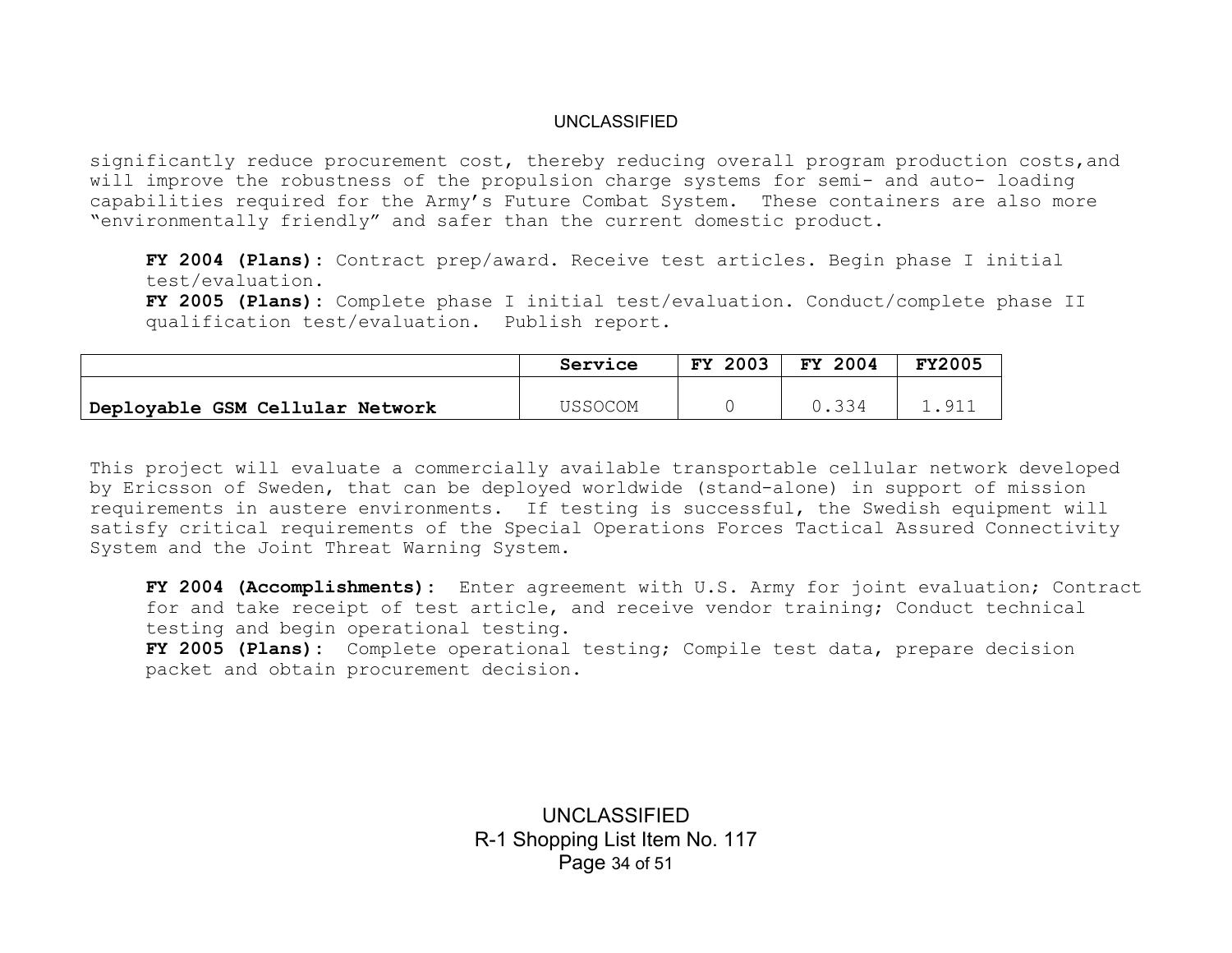significantly reduce procurement cost, thereby reducing overall program production costs,and will improve the robustness of the propulsion charge systems for semi- and auto- loading capabilities required for the Army's Future Combat System. These containers are also more "environmentally friendly" and safer than the current domestic product.

**FY 2004 (Plans):** Contract prep/award. Receive test articles. Begin phase I initial test/evaluation.

**FY 2005 (Plans):** Complete phase I initial test/evaluation. Conduct/complete phase II qualification test/evaluation. Publish report.

|                                 | Service | 2003<br>FY. | FY 2004 | <b>FY2005</b> |
|---------------------------------|---------|-------------|---------|---------------|
|                                 | USSOCOM |             | 0.334   | -91           |
| Deployable GSM Cellular Network |         |             |         |               |

This project will evaluate a commercially available transportable cellular network developed by Ericsson of Sweden, that can be deployed worldwide (stand-alone) in support of mission requirements in austere environments. If testing is successful, the Swedish equipment will satisfy critical requirements of the Special Operations Forces Tactical Assured Connectivity System and the Joint Threat Warning System.

**FY 2004 (Accomplishments):** Enter agreement with U.S. Army for joint evaluation; Contract for and take receipt of test article, and receive vendor training; Conduct technical testing and begin operational testing.

**FY 2005 (Plans):** Complete operational testing; Compile test data, prepare decision packet and obtain procurement decision.

> UNCLASSIFIED R-1 Shopping List Item No. 117 Page 34 of 51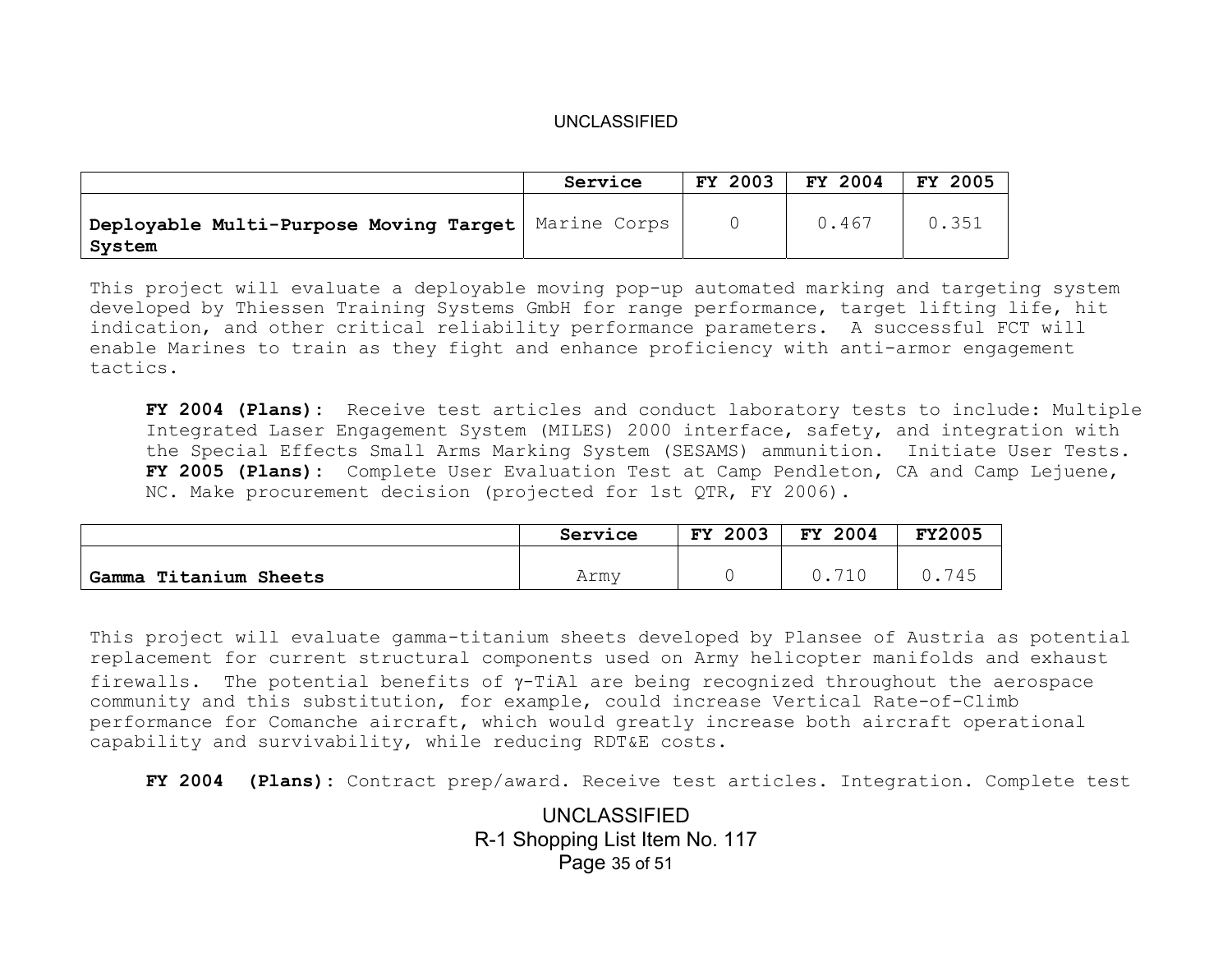|                                                                 | Service | FY 2003 | FY 2004 | <b>FY 2005</b> |
|-----------------------------------------------------------------|---------|---------|---------|----------------|
| Deployable Multi-Purpose Moving Target   Marine Corps<br>System |         |         | 0.467   | 0.351          |

This project will evaluate a deployable moving pop-up automated marking and targeting system developed by Thiessen Training Systems GmbH for range performance, target lifting life, hit indication, and other critical reliability performance parameters. A successful FCT will enable Marines to train as they fight and enhance proficiency with anti-armor engagement tactics.

**FY 2004 (Plans):** Receive test articles and conduct laboratory tests to include: Multiple Integrated Laser Engagement System (MILES) 2000 interface, safety, and integration with the Special Effects Small Arms Marking System (SESAMS) ammunition. Initiate User Tests. **FY 2005 (Plans):** Complete User Evaluation Test at Camp Pendleton, CA and Camp Lejuene, NC. Make procurement decision (projected for 1st QTR, FY 2006).

|                          | Service | 2003<br>FY | 2004<br><b>FY</b> | <b>FY2005</b> |
|--------------------------|---------|------------|-------------------|---------------|
| Titanium Sheets<br>Gamma | Army    |            | $-1$              | 745           |

This project will evaluate gamma-titanium sheets developed by Plansee of Austria as potential replacement for current structural components used on Army helicopter manifolds and exhaust firewalls. The potential benefits of  $\gamma$ -TiAl are being recognized throughout the aerospace community and this substitution, for example, could increase Vertical Rate-of-Climb performance for Comanche aircraft, which would greatly increase both aircraft operational capability and survivability, while reducing RDT&E costs.

**FY 2004 (Plans):** Contract prep/award. Receive test articles. Integration. Complete test

UNCLASSIFIED R-1 Shopping List Item No. 117 Page 35 of 51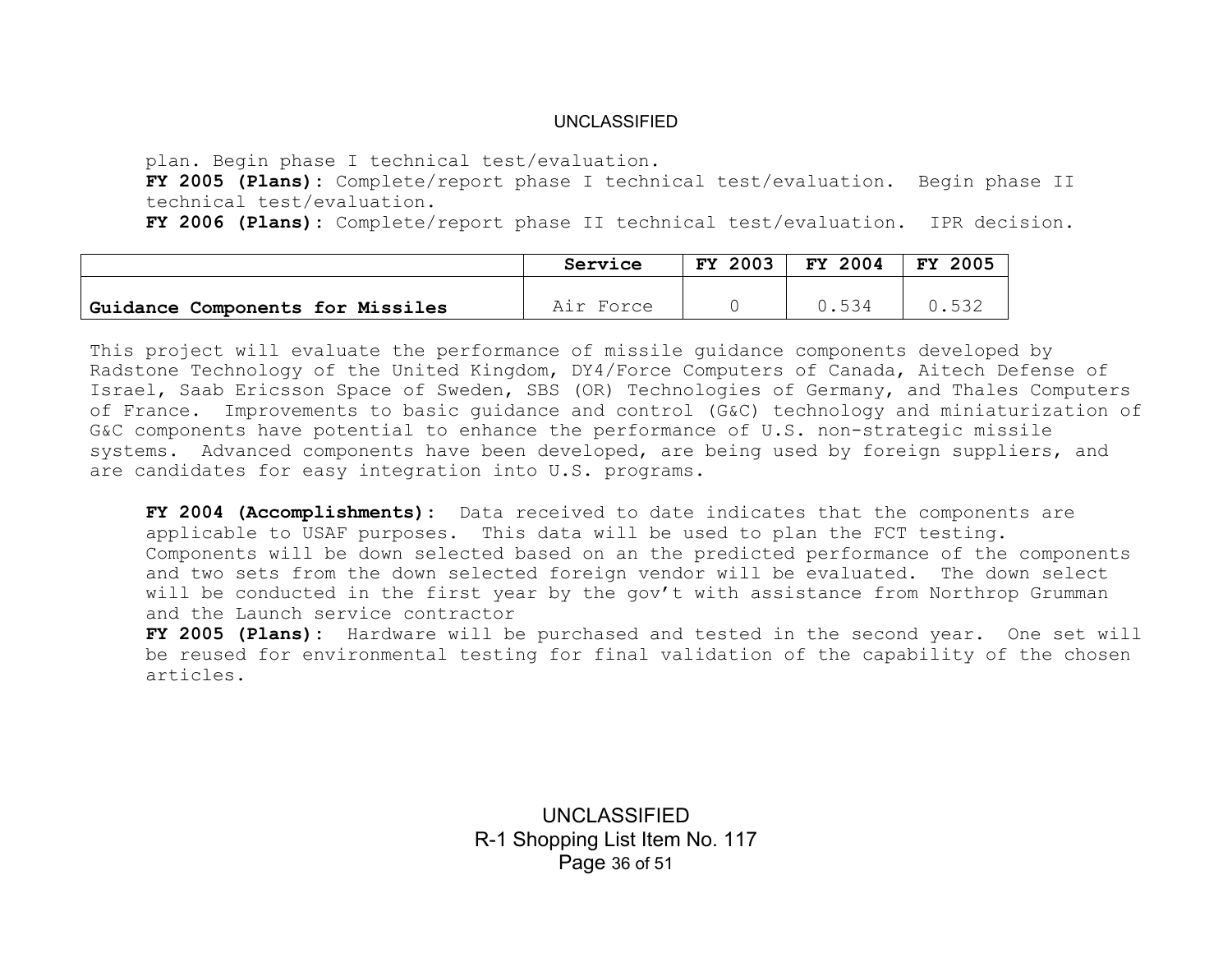plan. Begin phase I technical test/evaluation.

**FY 2005 (Plans):** Complete/report phase I technical test/evaluation. Begin phase II technical test/evaluation.

**FY 2006 (Plans):** Complete/report phase II technical test/evaluation. IPR decision.

|                                  | Service   | <b>FY 2003</b> | FY 2004 | FY 2005 |
|----------------------------------|-----------|----------------|---------|---------|
| Guidance Components for Missiles | Air Force |                | J.534   | 「いっこ    |
|                                  |           |                |         |         |

This project will evaluate the performance of missile guidance components developed by Radstone Technology of the United Kingdom, DY4/Force Computers of Canada, Aitech Defense of Israel, Saab Ericsson Space of Sweden, SBS (OR) Technologies of Germany, and Thales Computers of France. Improvements to basic guidance and control (G&C) technology and miniaturization of G&C components have potential to enhance the performance of U.S. non-strategic missile systems. Advanced components have been developed, are being used by foreign suppliers, and are candidates for easy integration into U.S. programs.

**FY 2004 (Accomplishments):** Data received to date indicates that the components are applicable to USAF purposes. This data will be used to plan the FCT testing. Components will be down selected based on an the predicted performance of the components and two sets from the down selected foreign vendor will be evaluated. The down select will be conducted in the first year by the gov't with assistance from Northrop Grumman and the Launch service contractor

**FY 2005 (Plans):** Hardware will be purchased and tested in the second year. One set will be reused for environmental testing for final validation of the capability of the chosen articles.

> UNCLASSIFIED R-1 Shopping List Item No. 117 Page 36 of 51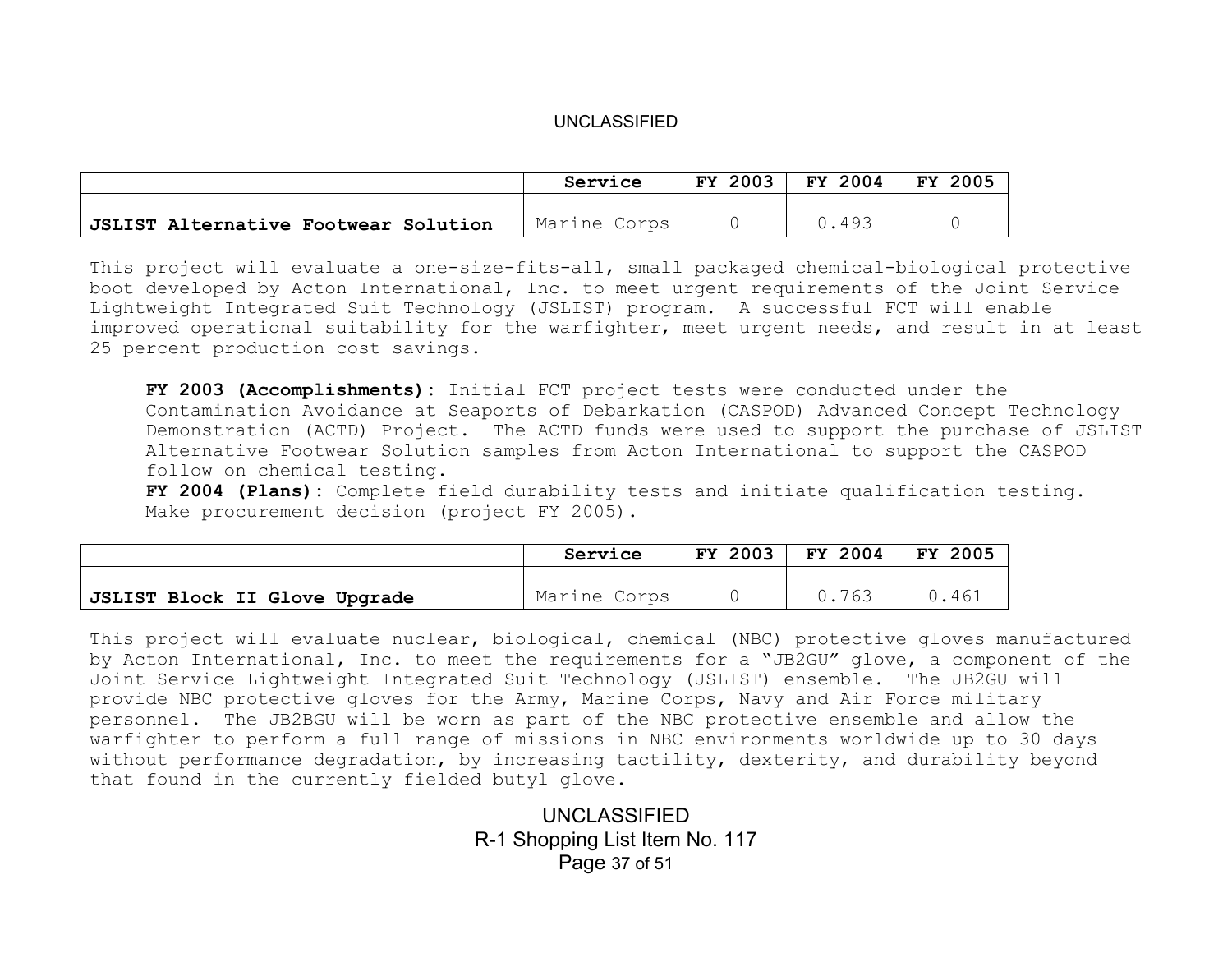|                                      | Service      | FY 2003 | FY 2004 | 2005<br>FY |
|--------------------------------------|--------------|---------|---------|------------|
|                                      |              |         |         |            |
| JSLIST Alternative Footwear Solution | Marine Corps |         | 0.493   |            |

This project will evaluate a one-size-fits-all, small packaged chemical-biological protective boot developed by Acton International, Inc. to meet urgent requirements of the Joint Service Lightweight Integrated Suit Technology (JSLIST) program. A successful FCT will enable improved operational suitability for the warfighter, meet urgent needs, and result in at least 25 percent production cost savings.

**FY 2003 (Accomplishments):** Initial FCT project tests were conducted under the Contamination Avoidance at Seaports of Debarkation (CASPOD) Advanced Concept Technology Demonstration (ACTD) Project. The ACTD funds were used to support the purchase of JSLIST Alternative Footwear Solution samples from Acton International to support the CASPOD follow on chemical testing.

**FY 2004 (Plans):** Complete field durability tests and initiate qualification testing. Make procurement decision (project FY 2005).

|                               | Service      | <b>FY 2003</b> | FY 2004 | 2005<br>FY |
|-------------------------------|--------------|----------------|---------|------------|
|                               |              |                |         |            |
| JSLIST Block II Glove Upgrade | Marine Corps |                | 0.763   | 0.461      |

This project will evaluate nuclear, biological, chemical (NBC) protective gloves manufactured by Acton International, Inc. to meet the requirements for a "JB2GU" glove, a component of the Joint Service Lightweight Integrated Suit Technology (JSLIST) ensemble. The JB2GU will provide NBC protective gloves for the Army, Marine Corps, Navy and Air Force military personnel. The JB2BGU will be worn as part of the NBC protective ensemble and allow the warfighter to perform a full range of missions in NBC environments worldwide up to 30 days without performance degradation, by increasing tactility, dexterity, and durability beyond that found in the currently fielded butyl glove.

> UNCLASSIFIED R-1 Shopping List Item No. 117 Page 37 of 51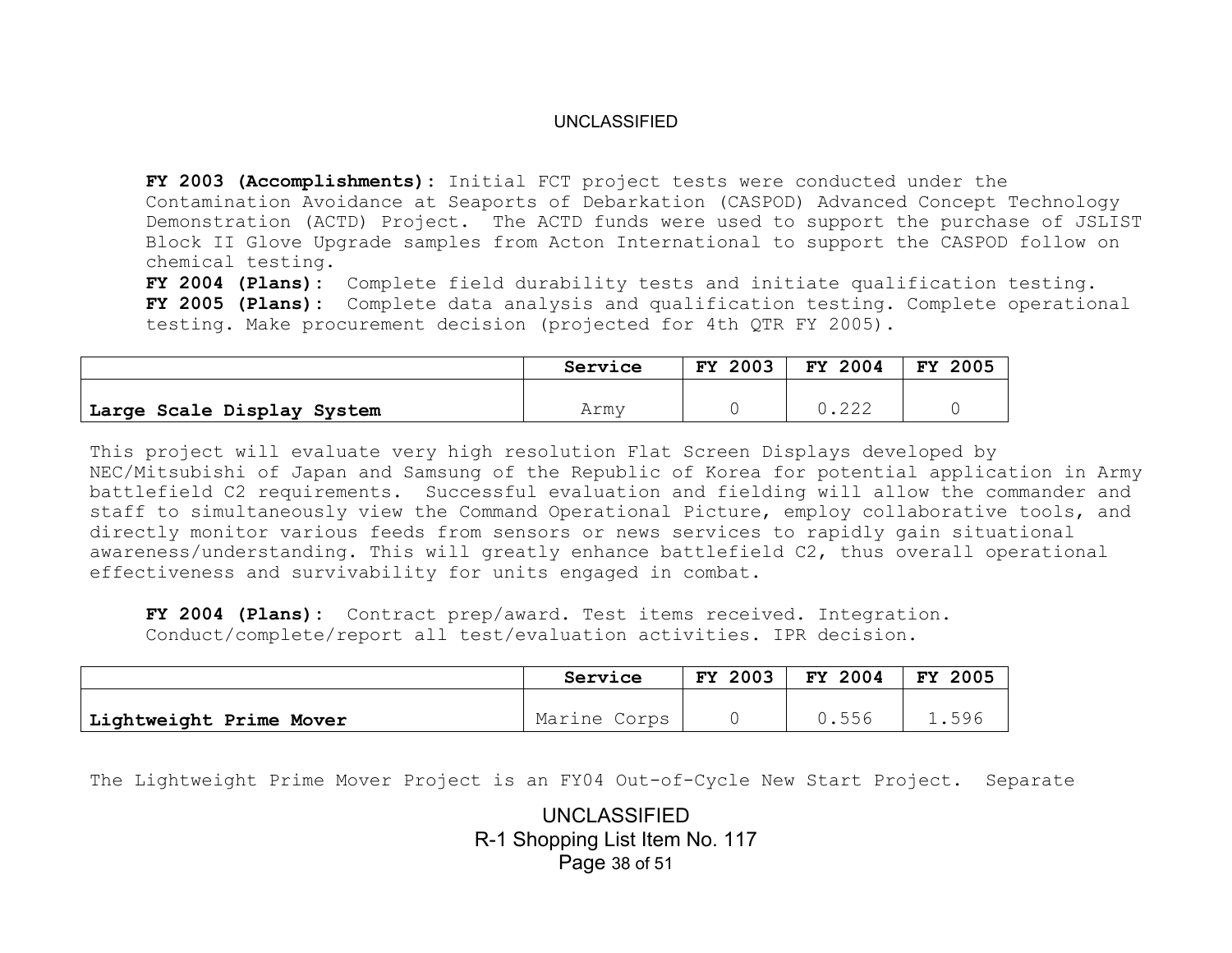**FY 2003 (Accomplishments):** Initial FCT project tests were conducted under the Contamination Avoidance at Seaports of Debarkation (CASPOD) Advanced Concept Technology Demonstration (ACTD) Project. The ACTD funds were used to support the purchase of JSLIST Block II Glove Upgrade samples from Acton International to support the CASPOD follow on chemical testing.

**FY 2004 (Plans):** Complete field durability tests and initiate qualification testing. **FY 2005 (Plans):** Complete data analysis and qualification testing. Complete operational testing. Make procurement decision (projected for 4th QTR FY 2005).

|                            | Service | <b>FY 2003</b> | FY 2004 | 2005<br>FY. |
|----------------------------|---------|----------------|---------|-------------|
| Large Scale Display System | Armv    |                | ے ے ۔   |             |

This project will evaluate very high resolution Flat Screen Displays developed by NEC/Mitsubishi of Japan and Samsung of the Republic of Korea for potential application in Army battlefield C2 requirements. Successful evaluation and fielding will allow the commander and staff to simultaneously view the Command Operational Picture, employ collaborative tools, and directly monitor various feeds from sensors or news services to rapidly gain situational awareness/understanding. This will greatly enhance battlefield C2, thus overall operational effectiveness and survivability for units engaged in combat.

**FY 2004 (Plans):** Contract prep/award. Test items received. Integration. Conduct/complete/report all test/evaluation activities. IPR decision.

|                         | Service      | 2003<br>FY. | FY 2004          | FY<br>2005 |
|-------------------------|--------------|-------------|------------------|------------|
| Lightweight Prime Mover | Marine Corps |             | 556<br>v . j j v | 1.596      |

The Lightweight Prime Mover Project is an FY04 Out-of-Cycle New Start Project. Separate

UNCLASSIFIED R-1 Shopping List Item No. 117 Page 38 of 51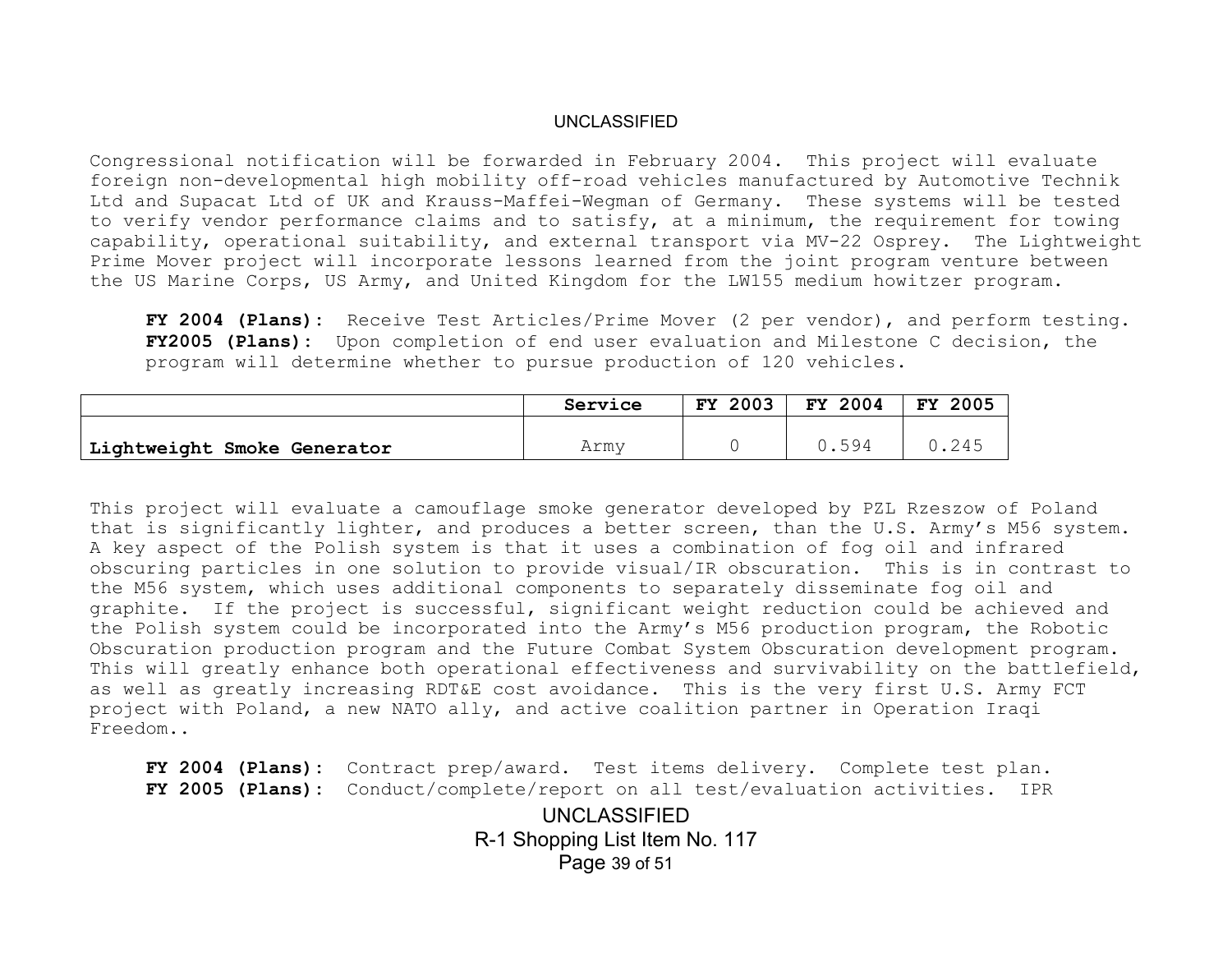Congressional notification will be forwarded in February 2004. This project will evaluate foreign non-developmental high mobility off-road vehicles manufactured by Automotive Technik Ltd and Supacat Ltd of UK and Krauss-Maffei-Wegman of Germany. These systems will be tested to verify vendor performance claims and to satisfy, at a minimum, the requirement for towing capability, operational suitability, and external transport via MV-22 Osprey. The Lightweight Prime Mover project will incorporate lessons learned from the joint program venture between the US Marine Corps, US Army, and United Kingdom for the LW155 medium howitzer program.

**FY 2004 (Plans):** Receive Test Articles/Prime Mover (2 per vendor), and perform testing. **FY2005 (Plans):** Upon completion of end user evaluation and Milestone C decision, the program will determine whether to pursue production of 120 vehicles.

|                             | Service | 2003<br>FY. | FY 2004 | 2005<br>FY |
|-----------------------------|---------|-------------|---------|------------|
| Lightweight Smoke Generator | Army    |             | 0594    | 0.245      |

This project will evaluate a camouflage smoke generator developed by PZL Rzeszow of Poland that is significantly lighter, and produces a better screen, than the U.S. Army's M56 system. A key aspect of the Polish system is that it uses a combination of fog oil and infrared obscuring particles in one solution to provide visual/IR obscuration. This is in contrast to the M56 system, which uses additional components to separately disseminate fog oil and graphite. If the project is successful, significant weight reduction could be achieved and the Polish system could be incorporated into the Army's M56 production program, the Robotic Obscuration production program and the Future Combat System Obscuration development program. This will greatly enhance both operational effectiveness and survivability on the battlefield, as well as greatly increasing RDT&E cost avoidance. This is the very first U.S. Army FCT project with Poland, a new NATO ally, and active coalition partner in Operation Iraqi Freedom..

UNCLASSIFIED R-1 Shopping List Item No. 117 Page 39 of 51 **FY 2004 (Plans):** Contract prep/award. Test items delivery. Complete test plan. **FY 2005 (Plans):** Conduct/complete/report on all test/evaluation activities. IPR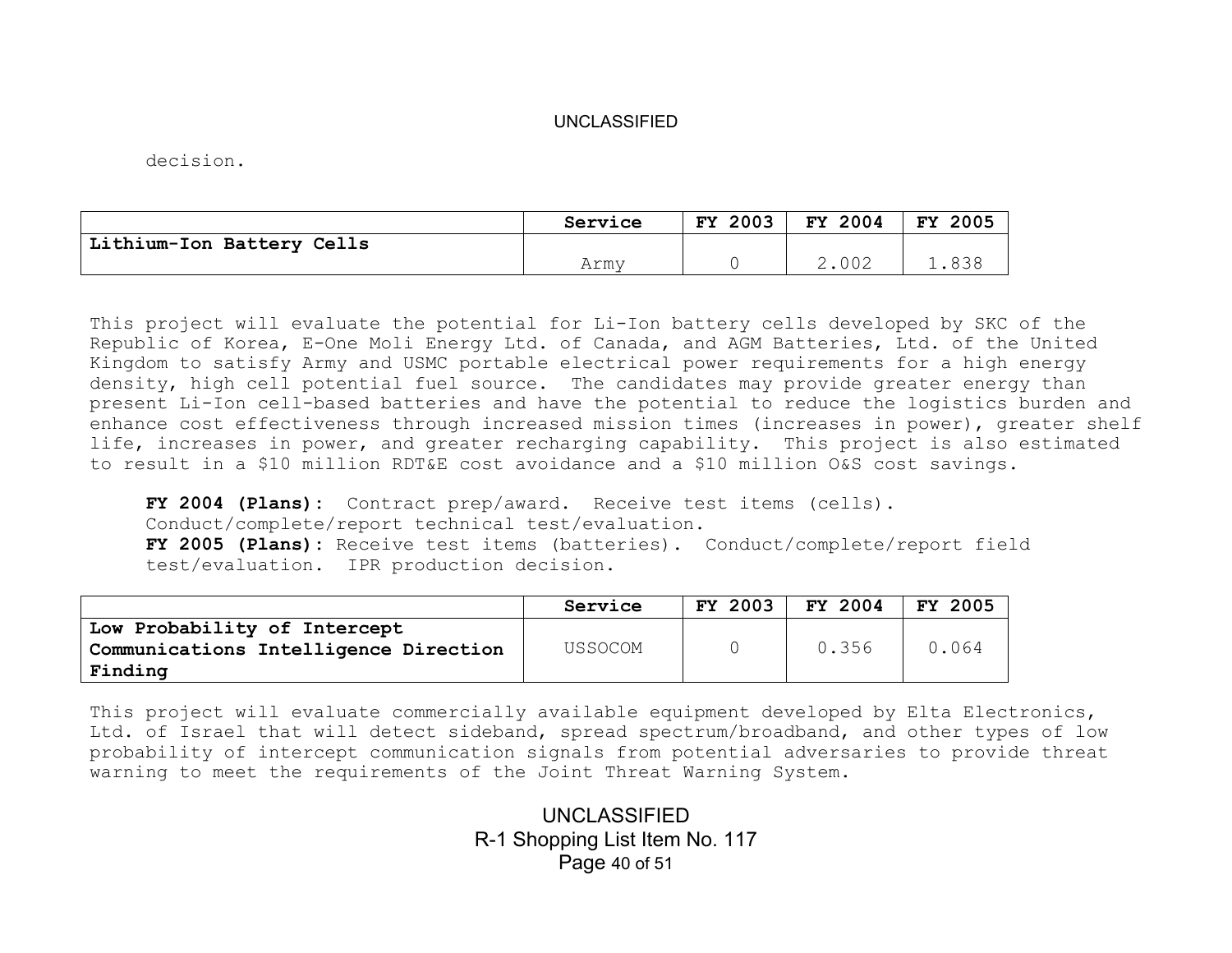decision.

|                           | Service | FY 2003 | FY 2004 | 2005<br>FY |
|---------------------------|---------|---------|---------|------------|
| Lithium-Ion Battery Cells |         |         |         |            |
|                           | Army    |         | 2.002   |            |

This project will evaluate the potential for Li-Ion battery cells developed by SKC of the Republic of Korea, E-One Moli Energy Ltd. of Canada, and AGM Batteries, Ltd. of the United Kingdom to satisfy Army and USMC portable electrical power requirements for a high energy density, high cell potential fuel source. The candidates may provide greater energy than present Li-Ion cell-based batteries and have the potential to reduce the logistics burden and enhance cost effectiveness through increased mission times (increases in power), greater shelf life, increases in power, and greater recharging capability. This project is also estimated to result in a \$10 million RDT&E cost avoidance and a \$10 million O&S cost savings.

**FY 2004 (Plans):** Contract prep/award. Receive test items (cells). Conduct/complete/report technical test/evaluation. **FY 2005 (Plans):** Receive test items (batteries). Conduct/complete/report field test/evaluation. IPR production decision.

|                                       | Service | <b>FY 2003</b> | FY 2004 | 2005<br><b>FY</b> |
|---------------------------------------|---------|----------------|---------|-------------------|
| Low Probability of Intercept          |         |                |         |                   |
| Communications Intelligence Direction | USSOCOM |                | 0.356   | 0.064             |
| Finding                               |         |                |         |                   |

This project will evaluate commercially available equipment developed by Elta Electronics, Ltd. of Israel that will detect sideband, spread spectrum/broadband, and other types of low probability of intercept communication signals from potential adversaries to provide threat warning to meet the requirements of the Joint Threat Warning System.

> UNCLASSIFIED R-1 Shopping List Item No. 117 Page 40 of 51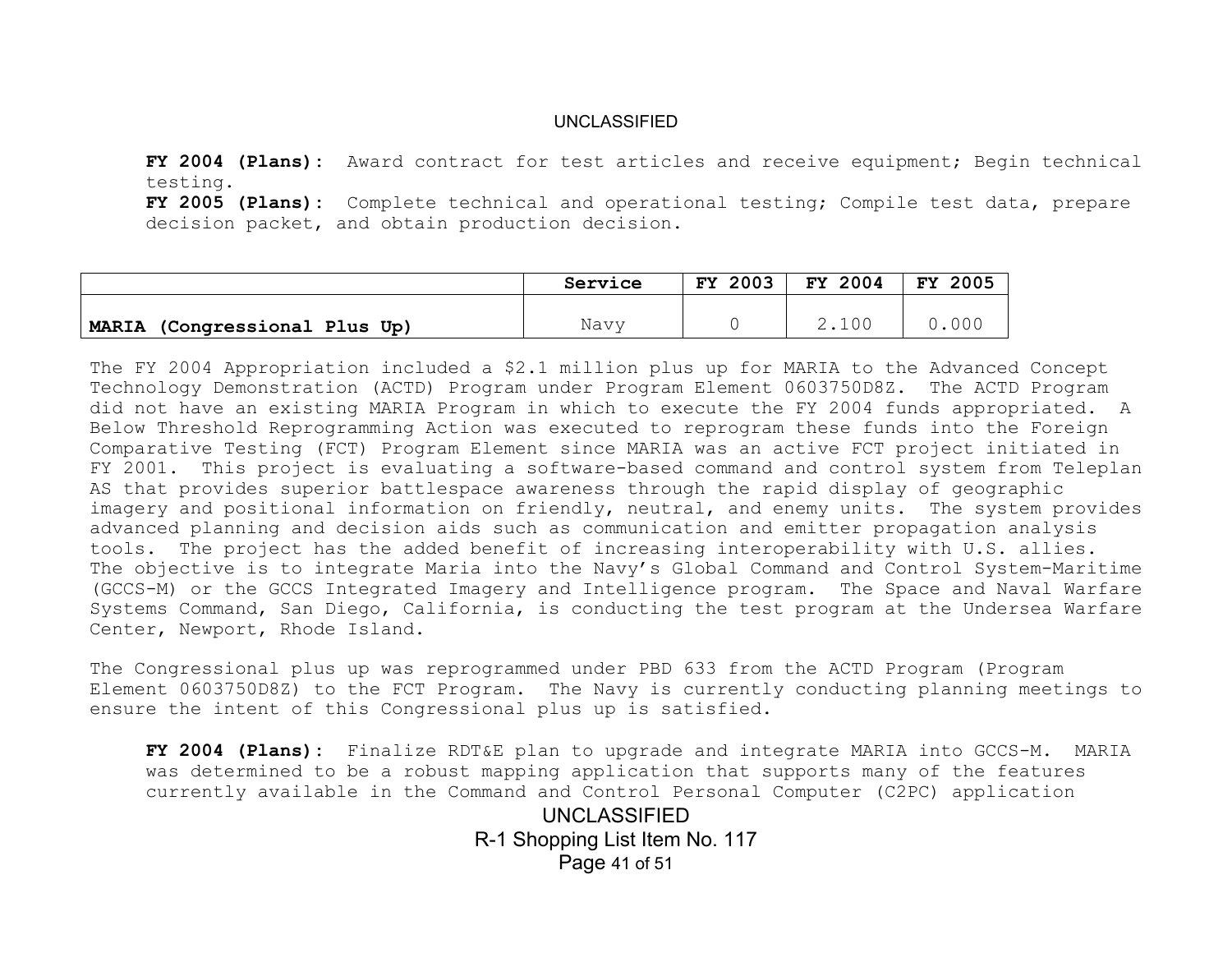**FY 2004 (Plans):** Award contract for test articles and receive equipment; Begin technical testing.

**FY 2005 (Plans):** Complete technical and operational testing; Compile test data, prepare decision packet, and obtain production decision.

|                               | Service | 2003<br>FY. | FY 2004 | 2005<br><b>FY</b> |
|-------------------------------|---------|-------------|---------|-------------------|
|                               |         |             |         |                   |
| MARIA (Congressional Plus Up) | Navy    |             | 2.100   |                   |

The FY 2004 Appropriation included a \$2.1 million plus up for MARIA to the Advanced Concept Technology Demonstration (ACTD) Program under Program Element 0603750D8Z. The ACTD Program did not have an existing MARIA Program in which to execute the FY 2004 funds appropriated. A Below Threshold Reprogramming Action was executed to reprogram these funds into the Foreign Comparative Testing (FCT) Program Element since MARIA was an active FCT project initiated in FY 2001. This project is evaluating a software-based command and control system from Teleplan AS that provides superior battlespace awareness through the rapid display of geographic imagery and positional information on friendly, neutral, and enemy units. The system provides advanced planning and decision aids such as communication and emitter propagation analysis tools. The project has the added benefit of increasing interoperability with U.S. allies. The objective is to integrate Maria into the Navy's Global Command and Control System-Maritime (GCCS-M) or the GCCS Integrated Imagery and Intelligence program. The Space and Naval Warfare Systems Command, San Diego, California, is conducting the test program at the Undersea Warfare Center, Newport, Rhode Island.

The Congressional plus up was reprogrammed under PBD 633 from the ACTD Program (Program Element 0603750D8Z) to the FCT Program. The Navy is currently conducting planning meetings to ensure the intent of this Congressional plus up is satisfied.

**FY 2004 (Plans):** Finalize RDT&E plan to upgrade and integrate MARIA into GCCS-M. MARIA was determined to be a robust mapping application that supports many of the features currently available in the Command and Control Personal Computer (C2PC) application

> UNCLASSIFIED R-1 Shopping List Item No. 117 Page 41 of 51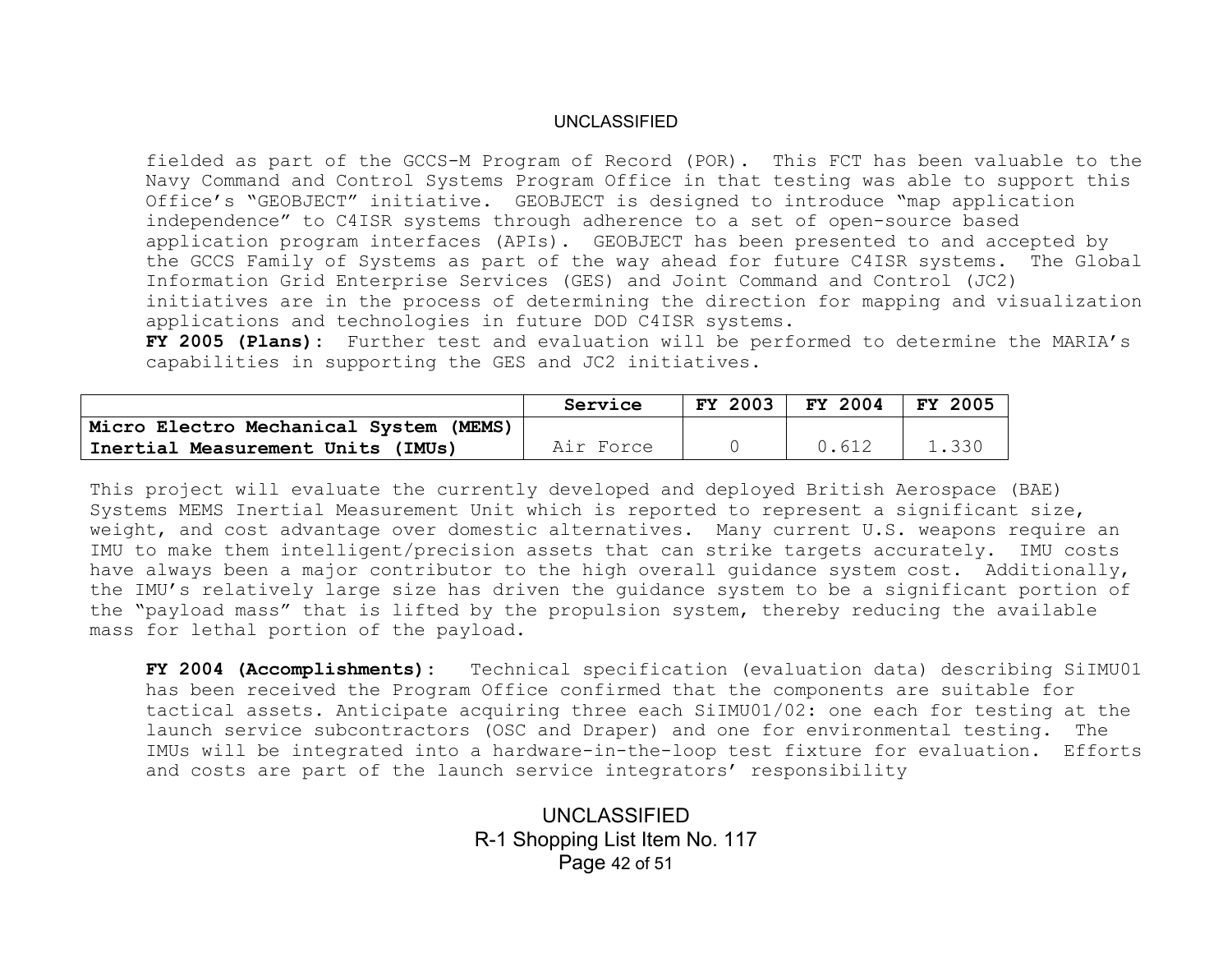fielded as part of the GCCS-M Program of Record (POR). This FCT has been valuable to the Navy Command and Control Systems Program Office in that testing was able to support this Office's "GEOBJECT" initiative. GEOBJECT is designed to introduce "map application independence" to C4ISR systems through adherence to a set of open-source based application program interfaces (APIs). GEOBJECT has been presented to and accepted by the GCCS Family of Systems as part of the way ahead for future C4ISR systems. The Global Information Grid Enterprise Services (GES) and Joint Command and Control (JC2) initiatives are in the process of determining the direction for mapping and visualization applications and technologies in future DOD C4ISR systems.

**FY 2005 (Plans):** Further test and evaluation will be performed to determine the MARIA's capabilities in supporting the GES and JC2 initiatives.

|                                        | Service   | <b>FY 2003</b> | <b>FY 2004</b> | FY 2005 |
|----------------------------------------|-----------|----------------|----------------|---------|
| Micro Electro Mechanical System (MEMS) |           |                |                |         |
| Inertial Measurement Units (IMUs)      | Air Force |                | 0.612          | 1.330   |

This project will evaluate the currently developed and deployed British Aerospace (BAE) Systems MEMS Inertial Measurement Unit which is reported to represent a significant size, weight, and cost advantage over domestic alternatives. Many current U.S. weapons require an IMU to make them intelligent/precision assets that can strike targets accurately. IMU costs have always been a major contributor to the high overall quidance system cost. Additionally, the IMU's relatively large size has driven the guidance system to be a significant portion of the "payload mass" that is lifted by the propulsion system, thereby reducing the available mass for lethal portion of the payload.

**FY 2004 (Accomplishments):** Technical specification (evaluation data) describing SiIMU01 has been received the Program Office confirmed that the components are suitable for tactical assets. Anticipate acquiring three each SiIMU01/02: one each for testing at the launch service subcontractors (OSC and Draper) and one for environmental testing. The IMUs will be integrated into a hardware-in-the-loop test fixture for evaluation. Efforts and costs are part of the launch service integrators' responsibility

> UNCLASSIFIED R-1 Shopping List Item No. 117 Page 42 of 51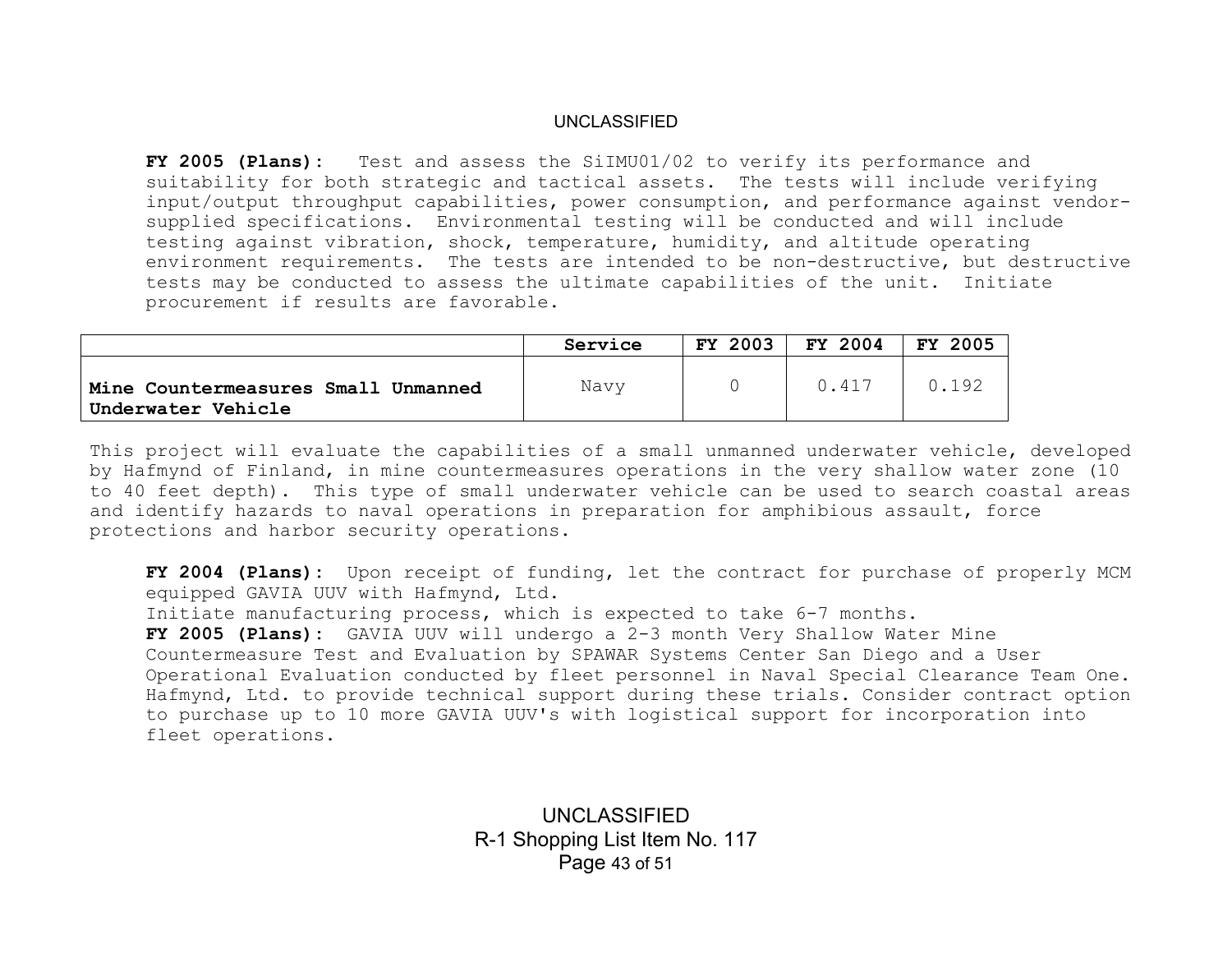**FY 2005 (Plans):** Test and assess the SiIMU01/02 to verify its performance and suitability for both strategic and tactical assets. The tests will include verifying input/output throughput capabilities, power consumption, and performance against vendorsupplied specifications. Environmental testing will be conducted and will include testing against vibration, shock, temperature, humidity, and altitude operating environment requirements. The tests are intended to be non-destructive, but destructive tests may be conducted to assess the ultimate capabilities of the unit. Initiate procurement if results are favorable.

|                                                           | Service | 2003<br>FY. | FY 2004 | <b>FY 2005</b> |
|-----------------------------------------------------------|---------|-------------|---------|----------------|
| Mine Countermeasures Small Unmanned<br>Underwater Vehicle | Navy    |             | 0.417   | 192            |

This project will evaluate the capabilities of a small unmanned underwater vehicle, developed by Hafmynd of Finland, in mine countermeasures operations in the very shallow water zone (10 to 40 feet depth). This type of small underwater vehicle can be used to search coastal areas and identify hazards to naval operations in preparation for amphibious assault, force protections and harbor security operations.

**FY 2004 (Plans):** Upon receipt of funding, let the contract for purchase of properly MCM equipped GAVIA UUV with Hafmynd, Ltd. Initiate manufacturing process, which is expected to take 6-7 months. **FY 2005 (Plans):** GAVIA UUV will undergo a 2-3 month Very Shallow Water Mine Countermeasure Test and Evaluation by SPAWAR Systems Center San Diego and a User Operational Evaluation conducted by fleet personnel in Naval Special Clearance Team One. Hafmynd, Ltd. to provide technical support during these trials. Consider contract option to purchase up to 10 more GAVIA UUV's with logistical support for incorporation into fleet operations.

> UNCLASSIFIED R-1 Shopping List Item No. 117 Page 43 of 51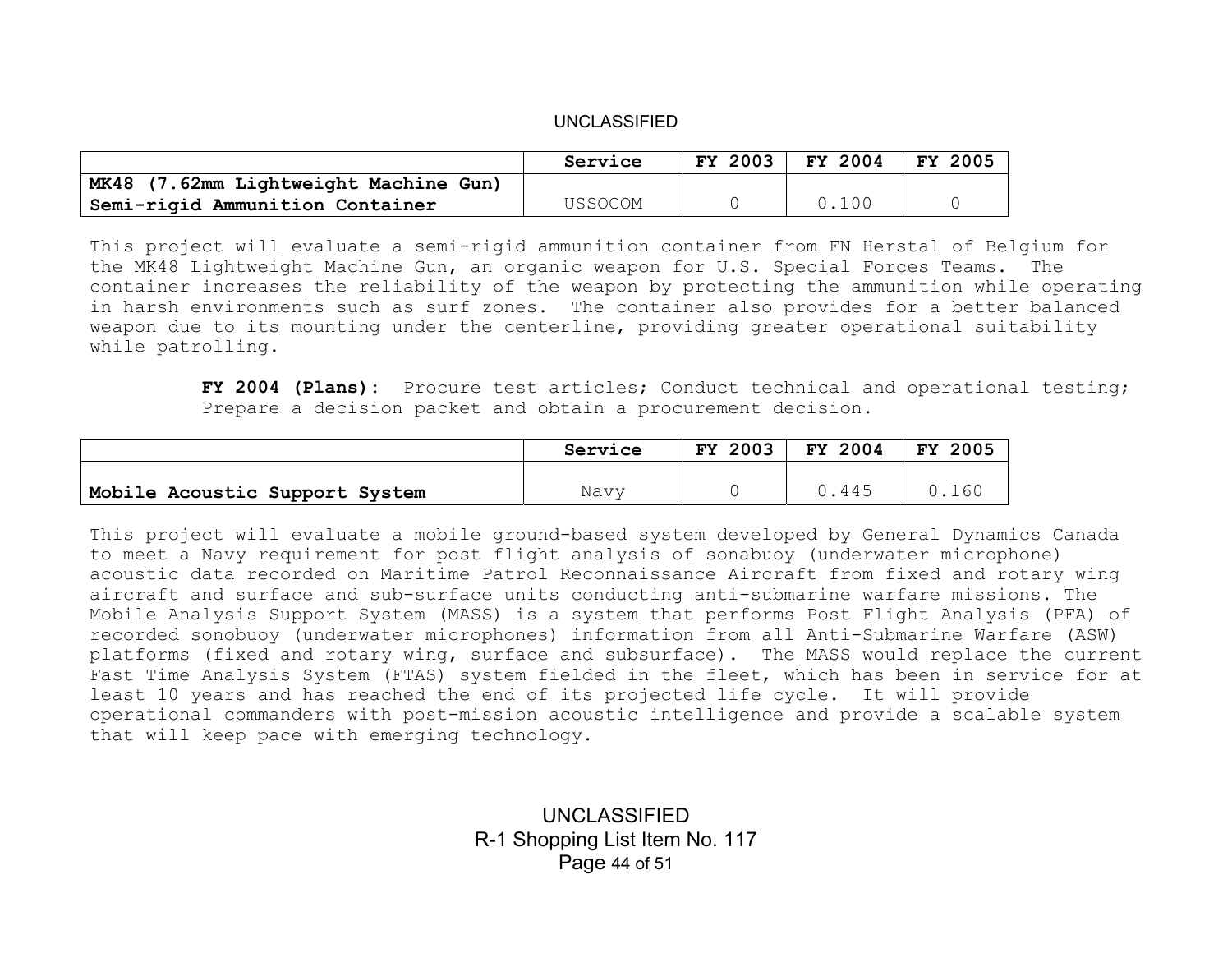|                                       | Service | 2003<br>FY. | FY 2004 | 2005<br>FY |
|---------------------------------------|---------|-------------|---------|------------|
| MK48 (7.62mm Lightweight Machine Gun) |         |             |         |            |
| Semi-rigid Ammunition Container       | USSOCOM |             | 0.100   |            |

This project will evaluate a semi-rigid ammunition container from FN Herstal of Belgium for the MK48 Lightweight Machine Gun, an organic weapon for U.S. Special Forces Teams. The container increases the reliability of the weapon by protecting the ammunition while operating in harsh environments such as surf zones. The container also provides for a better balanced weapon due to its mounting under the centerline, providing greater operational suitability while patrolling.

> **FY 2004 (Plans):** Procure test articles; Conduct technical and operational testing; Prepare a decision packet and obtain a procurement decision.

|                                | Service | 2003<br>FY . | FY 2004 | 2005<br>FY. |
|--------------------------------|---------|--------------|---------|-------------|
|                                | Navv    |              | .445    | .160        |
| Mobile Acoustic Support System |         |              |         |             |

This project will evaluate a mobile ground-based system developed by General Dynamics Canada to meet a Navy requirement for post flight analysis of sonabuoy (underwater microphone) acoustic data recorded on Maritime Patrol Reconnaissance Aircraft from fixed and rotary wing aircraft and surface and sub-surface units conducting anti-submarine warfare missions. The Mobile Analysis Support System (MASS) is a system that performs Post Flight Analysis (PFA) of recorded sonobuoy (underwater microphones) information from all Anti-Submarine Warfare (ASW) platforms (fixed and rotary wing, surface and subsurface). The MASS would replace the current Fast Time Analysis System (FTAS) system fielded in the fleet, which has been in service for at least 10 years and has reached the end of its projected life cycle. It will provide operational commanders with post-mission acoustic intelligence and provide a scalable system that will keep pace with emerging technology.

> UNCLASSIFIED R-1 Shopping List Item No. 117 Page 44 of 51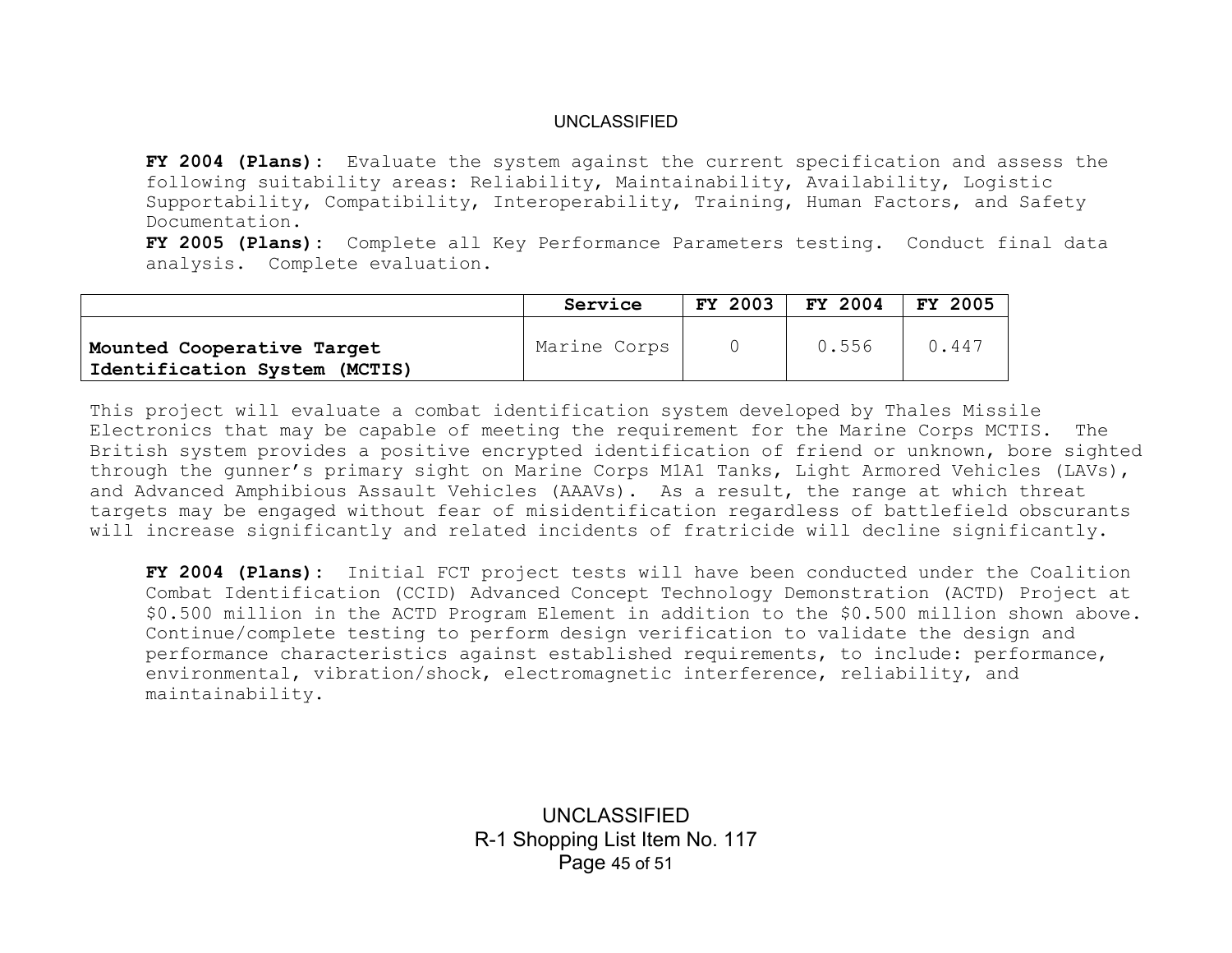**FY 2004 (Plans):** Evaluate the system against the current specification and assess the following suitability areas: Reliability, Maintainability, Availability, Logistic Supportability, Compatibility, Interoperability, Training, Human Factors, and Safety Documentation.

**FY 2005 (Plans):** Complete all Key Performance Parameters testing. Conduct final data analysis. Complete evaluation.

|                                                             | Service      | <b>FY 2003</b> | FY 2004 | <b>FY 2005</b> |
|-------------------------------------------------------------|--------------|----------------|---------|----------------|
| Mounted Cooperative Target<br>Identification System (MCTIS) | Marine Corps |                | 0.556   | 0.447          |

This project will evaluate a combat identification system developed by Thales Missile Electronics that may be capable of meeting the requirement for the Marine Corps MCTIS. The British system provides a positive encrypted identification of friend or unknown, bore sighted through the gunner's primary sight on Marine Corps M1A1 Tanks, Light Armored Vehicles (LAVs), and Advanced Amphibious Assault Vehicles (AAAVs). As a result, the range at which threat targets may be engaged without fear of misidentification regardless of battlefield obscurants will increase significantly and related incidents of fratricide will decline significantly.

**FY 2004 (Plans):** Initial FCT project tests will have been conducted under the Coalition Combat Identification (CCID) Advanced Concept Technology Demonstration (ACTD) Project at \$0.500 million in the ACTD Program Element in addition to the \$0.500 million shown above. Continue/complete testing to perform design verification to validate the design and performance characteristics against established requirements, to include: performance, environmental, vibration/shock, electromagnetic interference, reliability, and maintainability.

> UNCLASSIFIED R-1 Shopping List Item No. 117 Page 45 of 51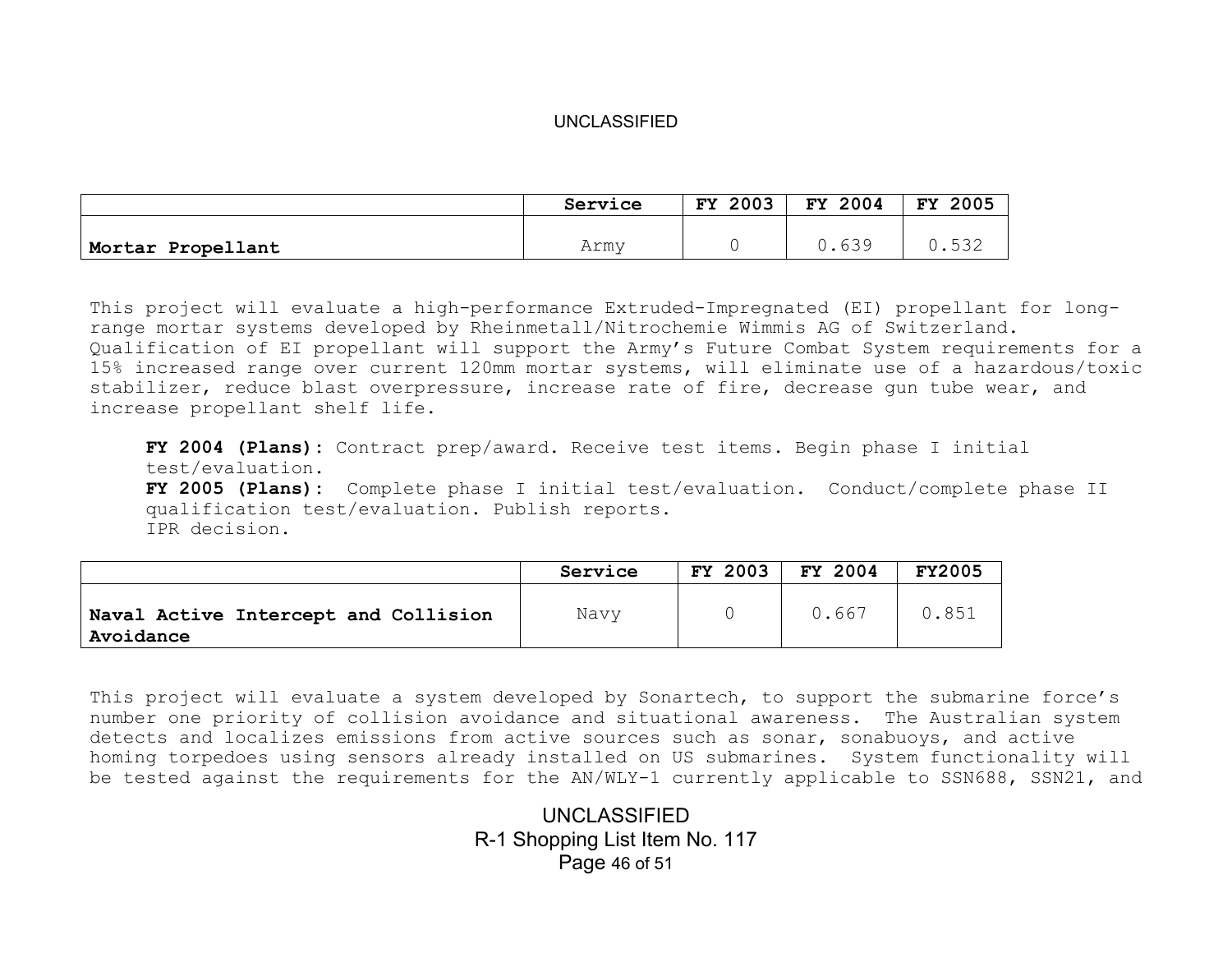|                   | Service | 2003<br>FY. | FY 2004 | 2005<br><b>FY</b> |
|-------------------|---------|-------------|---------|-------------------|
|                   |         |             |         |                   |
| Mortar Propellant | Army    |             | 630     | ربا               |

This project will evaluate a high-performance Extruded-Impregnated (EI) propellant for longrange mortar systems developed by Rheinmetall/Nitrochemie Wimmis AG of Switzerland. Qualification of EI propellant will support the Army's Future Combat System requirements for a 15% increased range over current 120mm mortar systems, will eliminate use of a hazardous/toxic stabilizer, reduce blast overpressure, increase rate of fire, decrease gun tube wear, and increase propellant shelf life.

**FY 2004 (Plans):** Contract prep/award. Receive test items. Begin phase I initial test/evaluation. **FY 2005 (Plans):** Complete phase I initial test/evaluation. Conduct/complete phase II qualification test/evaluation. Publish reports. IPR decision.

|                                                   | Service | FY 2003 | FY 2004 | <b>FY2005</b> |
|---------------------------------------------------|---------|---------|---------|---------------|
| Naval Active Intercept and Collision<br>Avoidance | Navy    |         | 0.667   | 0.851         |

This project will evaluate a system developed by Sonartech, to support the submarine force's number one priority of collision avoidance and situational awareness. The Australian system detects and localizes emissions from active sources such as sonar, sonabuoys, and active homing torpedoes using sensors already installed on US submarines. System functionality will be tested against the requirements for the AN/WLY-1 currently applicable to SSN688, SSN21, and

> UNCLASSIFIED R-1 Shopping List Item No. 117 Page 46 of 51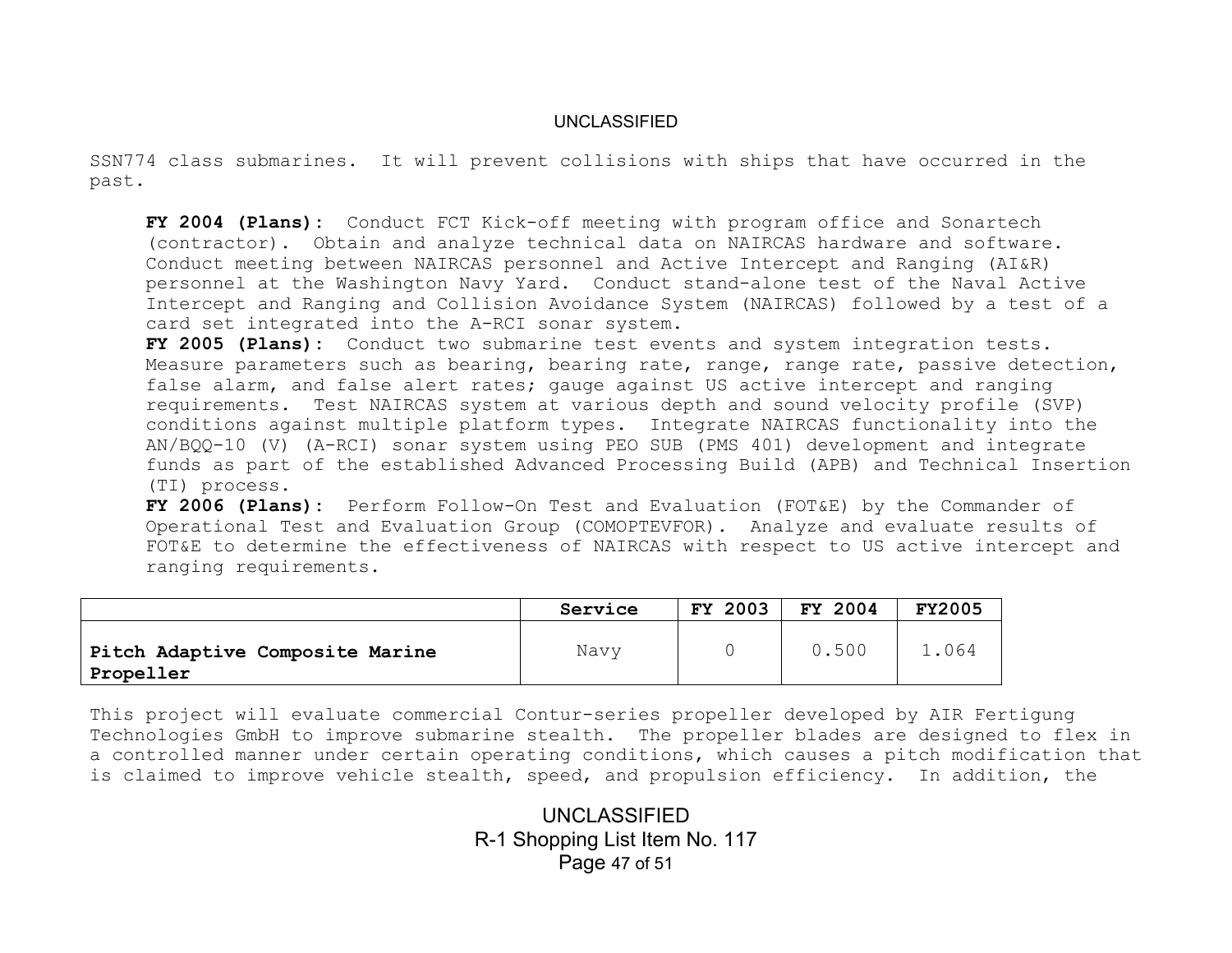SSN774 class submarines. It will prevent collisions with ships that have occurred in the past.

**FY 2004 (Plans):** Conduct FCT Kick-off meeting with program office and Sonartech (contractor). Obtain and analyze technical data on NAIRCAS hardware and software. Conduct meeting between NAIRCAS personnel and Active Intercept and Ranging (AI&R) personnel at the Washington Navy Yard. Conduct stand-alone test of the Naval Active Intercept and Ranging and Collision Avoidance System (NAIRCAS) followed by a test of a card set integrated into the A-RCI sonar system.

**FY 2005 (Plans):** Conduct two submarine test events and system integration tests. Measure parameters such as bearing, bearing rate, range, range rate, passive detection, false alarm, and false alert rates; gauge against US active intercept and ranging requirements. Test NAIRCAS system at various depth and sound velocity profile (SVP) conditions against multiple platform types. Integrate NAIRCAS functionality into the AN/BQQ-10 (V) (A-RCI) sonar system using PEO SUB (PMS 401) development and integrate funds as part of the established Advanced Processing Build (APB) and Technical Insertion (TI) process.

**FY 2006 (Plans):** Perform Follow-On Test and Evaluation (FOT&E) by the Commander of Operational Test and Evaluation Group (COMOPTEVFOR). Analyze and evaluate results of FOT&E to determine the effectiveness of NAIRCAS with respect to US active intercept and ranging requirements.

|                                               | Service | <b>FY 2003</b> | FY 2004 | <b>FY2005</b> |
|-----------------------------------------------|---------|----------------|---------|---------------|
| Pitch Adaptive Composite Marine<br>'Propeller | Navv    |                | 0.500   | L.064         |

This project will evaluate commercial Contur-series propeller developed by AIR Fertigung Technologies GmbH to improve submarine stealth. The propeller blades are designed to flex in a controlled manner under certain operating conditions, which causes a pitch modification that is claimed to improve vehicle stealth, speed, and propulsion efficiency. In addition, the

> UNCLASSIFIED R-1 Shopping List Item No. 117 Page 47 of 51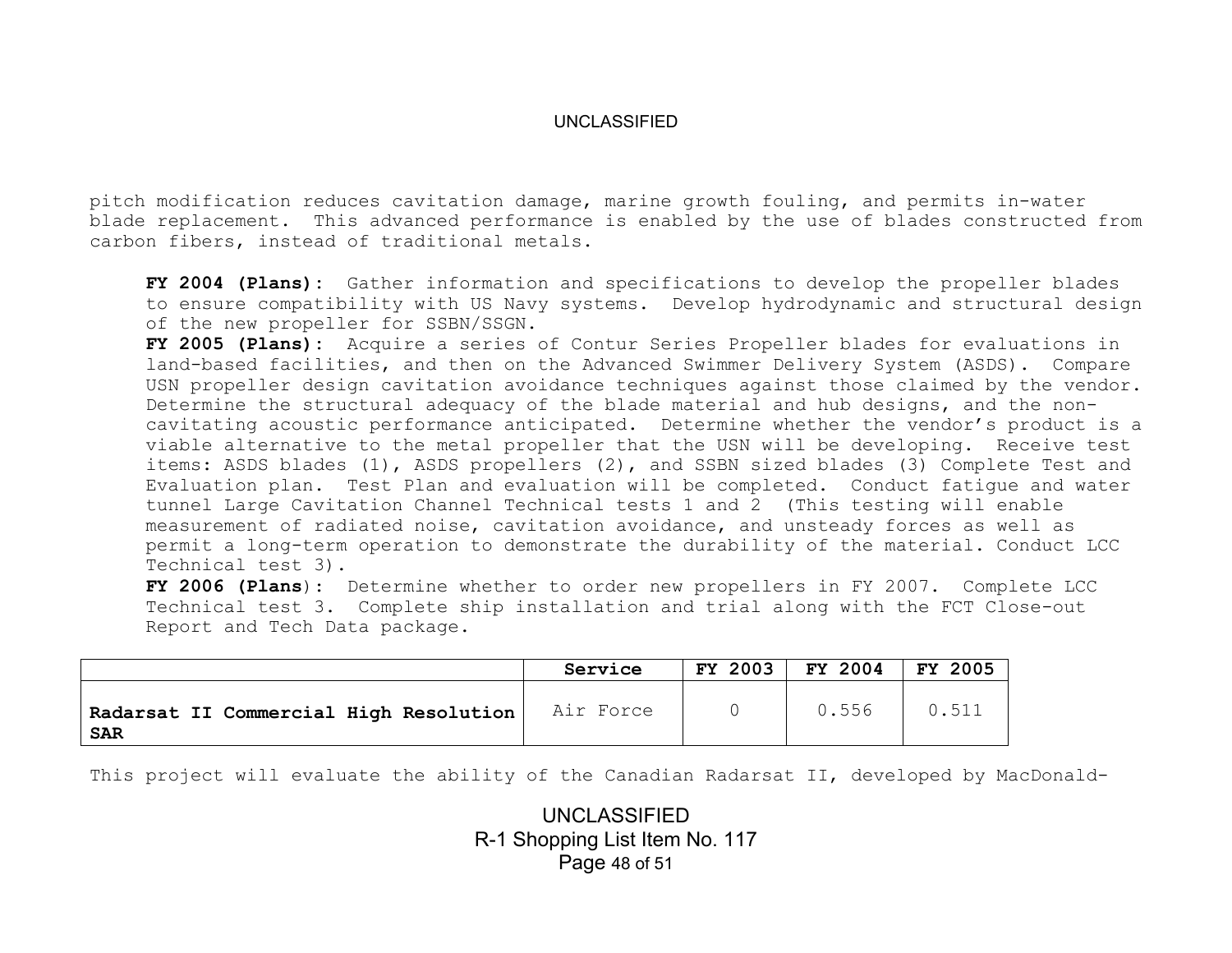pitch modification reduces cavitation damage, marine growth fouling, and permits in-water blade replacement. This advanced performance is enabled by the use of blades constructed from carbon fibers, instead of traditional metals.

**FY 2004 (Plans):** Gather information and specifications to develop the propeller blades to ensure compatibility with US Navy systems. Develop hydrodynamic and structural design of the new propeller for SSBN/SSGN.

**FY 2005 (Plans):** Acquire a series of Contur Series Propeller blades for evaluations in land-based facilities, and then on the Advanced Swimmer Delivery System (ASDS). Compare USN propeller design cavitation avoidance techniques against those claimed by the vendor. Determine the structural adequacy of the blade material and hub designs, and the noncavitating acoustic performance anticipated. Determine whether the vendor's product is a viable alternative to the metal propeller that the USN will be developing. Receive test items: ASDS blades (1), ASDS propellers (2), and SSBN sized blades (3) Complete Test and Evaluation plan. Test Plan and evaluation will be completed. Conduct fatigue and water tunnel Large Cavitation Channel Technical tests 1 and 2 (This testing will enable measurement of radiated noise, cavitation avoidance, and unsteady forces as well as permit a long-term operation to demonstrate the durability of the material. Conduct LCC Technical test 3).

**FY 2006 (Plans**): Determine whether to order new propellers in FY 2007. Complete LCC Technical test 3. Complete ship installation and trial along with the FCT Close-out Report and Tech Data package.

|                                                        | Service   | <b>FY 2003</b> | FY 2004 | <b>FY 2005</b> |
|--------------------------------------------------------|-----------|----------------|---------|----------------|
| Radarsat II Commercial High Resolution  <br><b>SAR</b> | Air Force |                | 0.556   | 0.511          |

This project will evaluate the ability of the Canadian Radarsat II, developed by MacDonald-

UNCLASSIFIED R-1 Shopping List Item No. 117 Page 48 of 51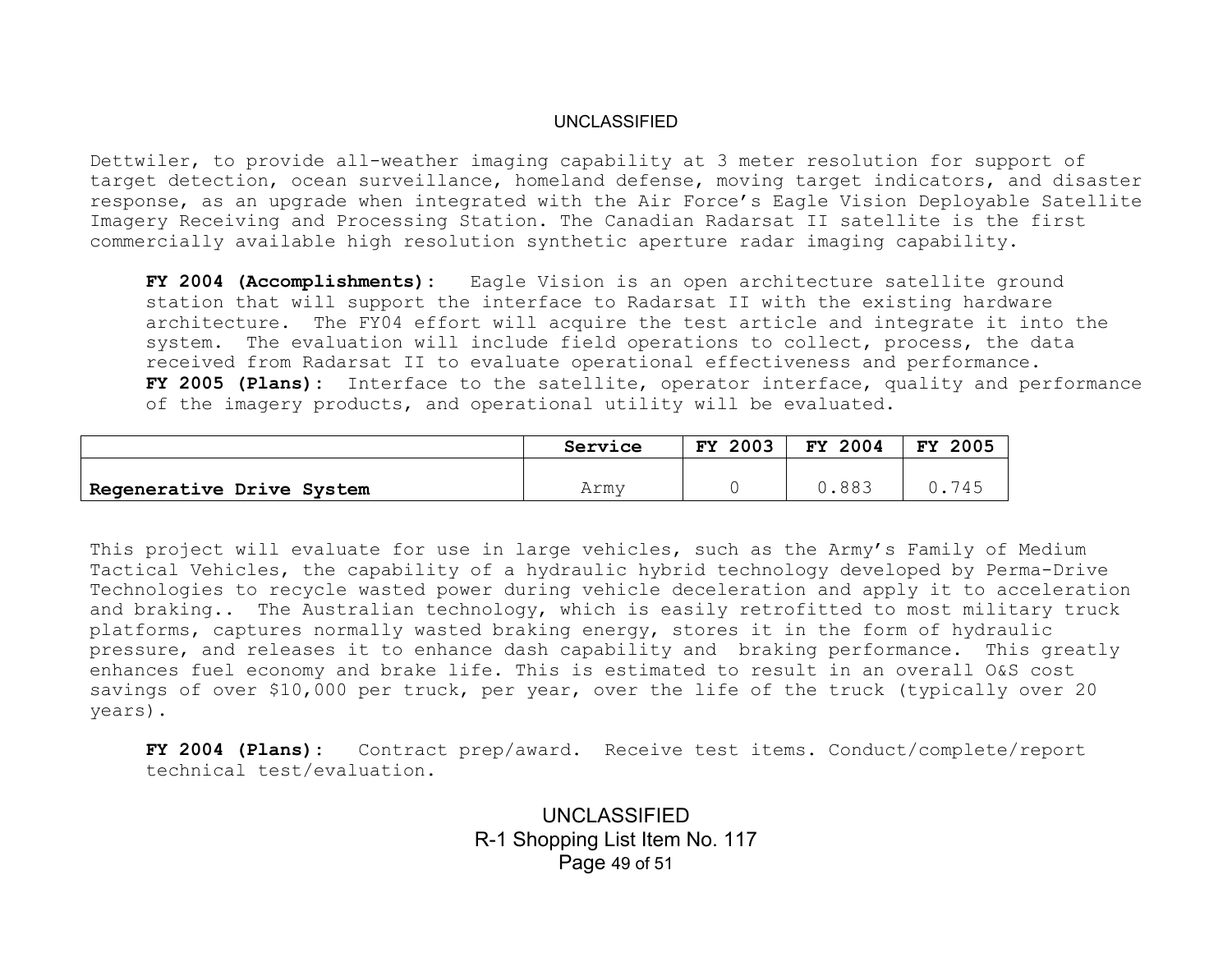Dettwiler, to provide all-weather imaging capability at 3 meter resolution for support of target detection, ocean surveillance, homeland defense, moving target indicators, and disaster response, as an upgrade when integrated with the Air Force's Eagle Vision Deployable Satellite Imagery Receiving and Processing Station. The Canadian Radarsat II satellite is the first commercially available high resolution synthetic aperture radar imaging capability.

**FY 2004 (Accomplishments):** Eagle Vision is an open architecture satellite ground station that will support the interface to Radarsat II with the existing hardware architecture. The FY04 effort will acquire the test article and integrate it into the system. The evaluation will include field operations to collect, process, the data received from Radarsat II to evaluate operational effectiveness and performance. **FY 2005 (Plans):** Interface to the satellite, operator interface, quality and performance of the imagery products, and operational utility will be evaluated.

|                           | Service | 2003<br>FY | FY 2004 | <b>FY</b><br>2005 |
|---------------------------|---------|------------|---------|-------------------|
| Regenerative Drive System | Armv    |            | 0.883   |                   |

This project will evaluate for use in large vehicles, such as the Army's Family of Medium Tactical Vehicles, the capability of a hydraulic hybrid technology developed by Perma-Drive Technologies to recycle wasted power during vehicle deceleration and apply it to acceleration and braking.. The Australian technology, which is easily retrofitted to most military truck platforms, captures normally wasted braking energy, stores it in the form of hydraulic pressure, and releases it to enhance dash capability and braking performance. This greatly enhances fuel economy and brake life. This is estimated to result in an overall O&S cost savings of over \$10,000 per truck, per year, over the life of the truck (typically over 20 years).

**FY 2004 (Plans):** Contract prep/award. Receive test items. Conduct/complete/report technical test/evaluation.

> UNCLASSIFIED R-1 Shopping List Item No. 117 Page 49 of 51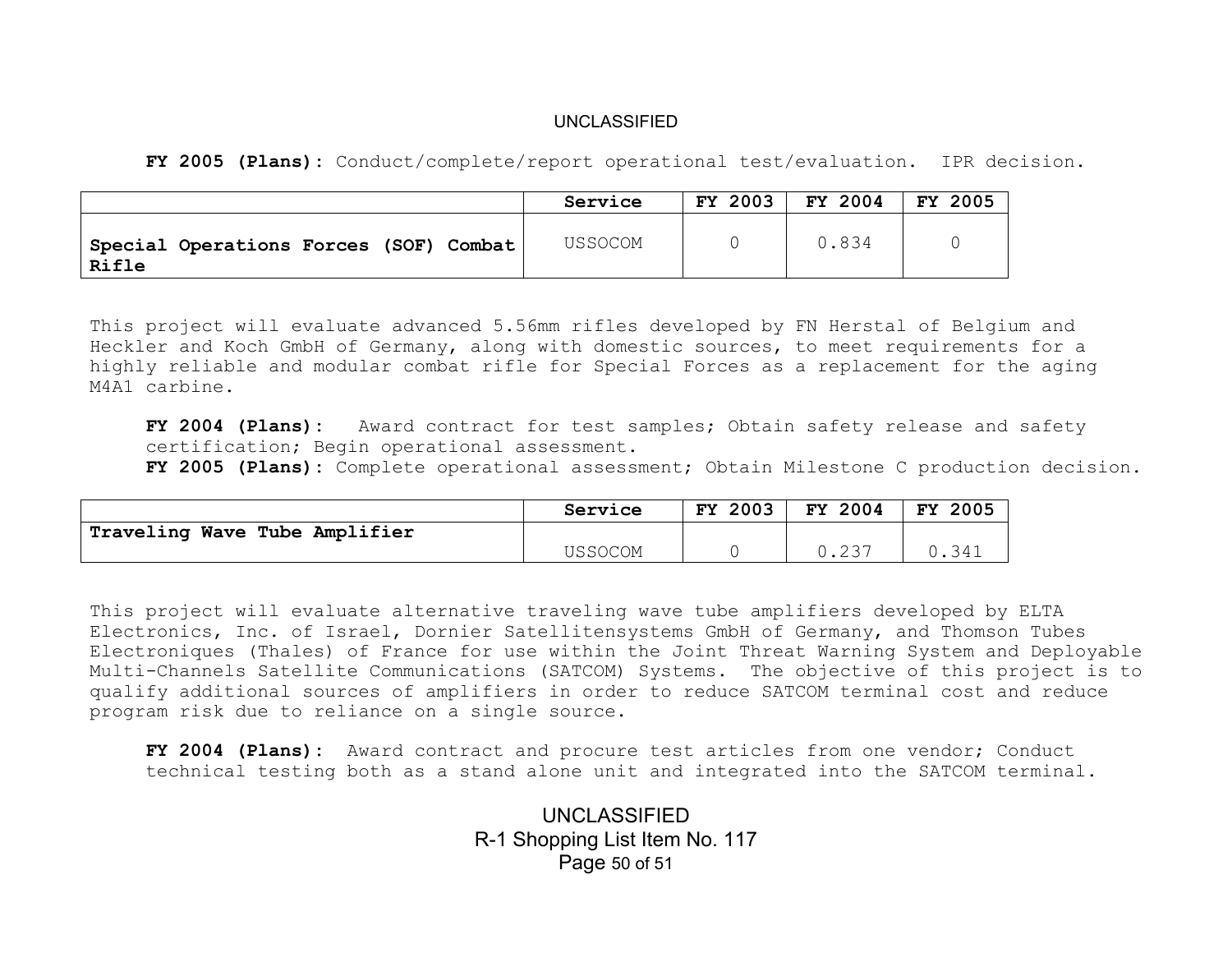**FY 2005 (Plans):** Conduct/complete/report operational test/evaluation. IPR decision.

|                                                 | Service | FY 2003 | FY 2004 | FY 2005 |
|-------------------------------------------------|---------|---------|---------|---------|
| Special Operations Forces (SOF) Combat<br>Rifle | USSOCOM |         | 0.834   |         |

This project will evaluate advanced 5.56mm rifles developed by FN Herstal of Belgium and Heckler and Koch GmbH of Germany, along with domestic sources, to meet requirements for a highly reliable and modular combat rifle for Special Forces as a replacement for the aging M4A1 carbine.

**FY 2004 (Plans):** Award contract for test samples; Obtain safety release and safety certification; Begin operational assessment.

**FY 2005 (Plans):** Complete operational assessment; Obtain Milestone C production decision.

|                               | Service | 2003<br>FY. | FY 2004          | 2005<br><b>FY</b> |
|-------------------------------|---------|-------------|------------------|-------------------|
| Traveling Wave Tube Amplifier |         |             |                  |                   |
|                               | USSOCOM |             | <u>، ب ے .</u> ب | 0.341             |

This project will evaluate alternative traveling wave tube amplifiers developed by ELTA Electronics, Inc. of Israel, Dornier Satellitensystems GmbH of Germany, and Thomson Tubes Electroniques (Thales) of France for use within the Joint Threat Warning System and Deployable Multi-Channels Satellite Communications (SATCOM) Systems. The objective of this project is to qualify additional sources of amplifiers in order to reduce SATCOM terminal cost and reduce program risk due to reliance on a single source.

**FY 2004 (Plans):** Award contract and procure test articles from one vendor; Conduct technical testing both as a stand alone unit and integrated into the SATCOM terminal.

> UNCLASSIFIED R-1 Shopping List Item No. 117 Page 50 of 51